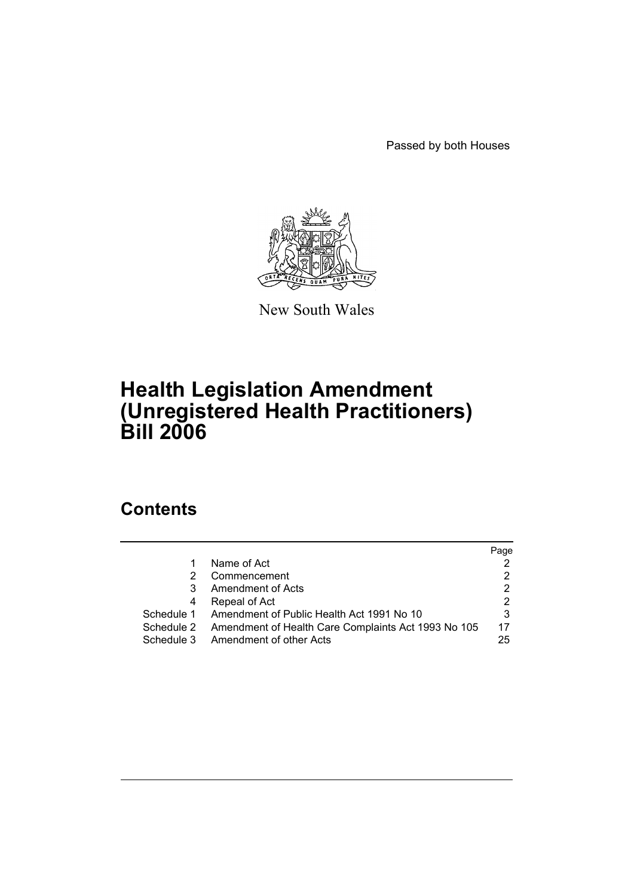Passed by both Houses



New South Wales

# **Health Legislation Amendment (Unregistered Health Practitioners) Bill 2006**

# **Contents**

|            |                                                     | Page |
|------------|-----------------------------------------------------|------|
|            | Name of Act                                         |      |
| 2          | Commencement                                        | 2    |
| 3          | Amendment of Acts                                   | 2    |
| 4          | Repeal of Act                                       | 2    |
| Schedule 1 | Amendment of Public Health Act 1991 No 10           |      |
| Schedule 2 | Amendment of Health Care Complaints Act 1993 No 105 | 17   |
| Schedule 3 | Amendment of other Acts                             | 25   |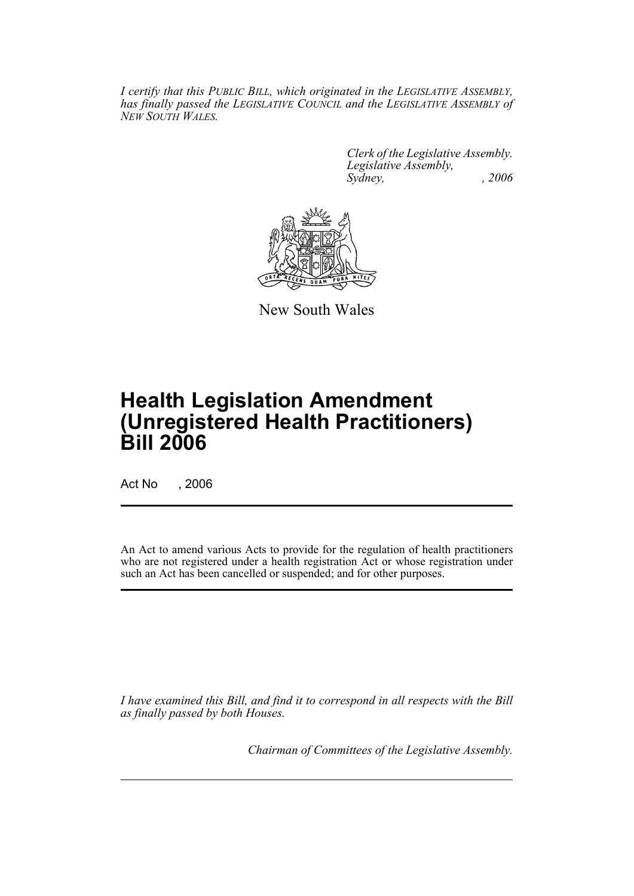*I certify that this PUBLIC BILL, which originated in the LEGISLATIVE ASSEMBLY, has finally passed the LEGISLATIVE COUNCIL and the LEGISLATIVE ASSEMBLY of NEW SOUTH WALES.*

> *Clerk of the Legislative Assembly. Legislative Assembly, Sydney, , 2006*



New South Wales

# **Health Legislation Amendment (Unregistered Health Practitioners) Bill 2006**

Act No , 2006

An Act to amend various Acts to provide for the regulation of health practitioners who are not registered under a health registration Act or whose registration under such an Act has been cancelled or suspended; and for other purposes.

*I have examined this Bill, and find it to correspond in all respects with the Bill as finally passed by both Houses.*

*Chairman of Committees of the Legislative Assembly.*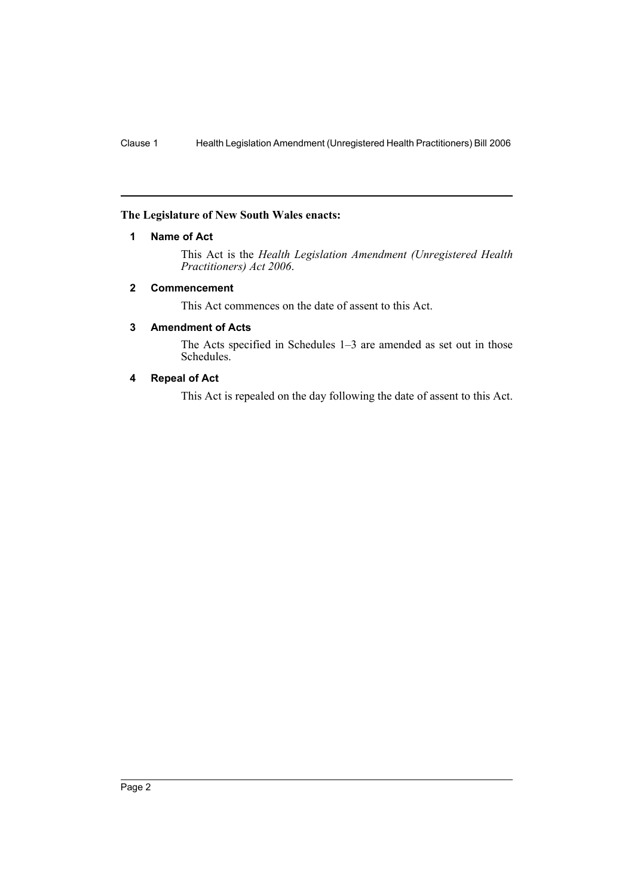### **The Legislature of New South Wales enacts:**

### **1 Name of Act**

This Act is the *Health Legislation Amendment (Unregistered Health Practitioners) Act 2006*.

### **2 Commencement**

This Act commences on the date of assent to this Act.

### **3 Amendment of Acts**

The Acts specified in Schedules 1–3 are amended as set out in those Schedules.

# **4 Repeal of Act**

This Act is repealed on the day following the date of assent to this Act.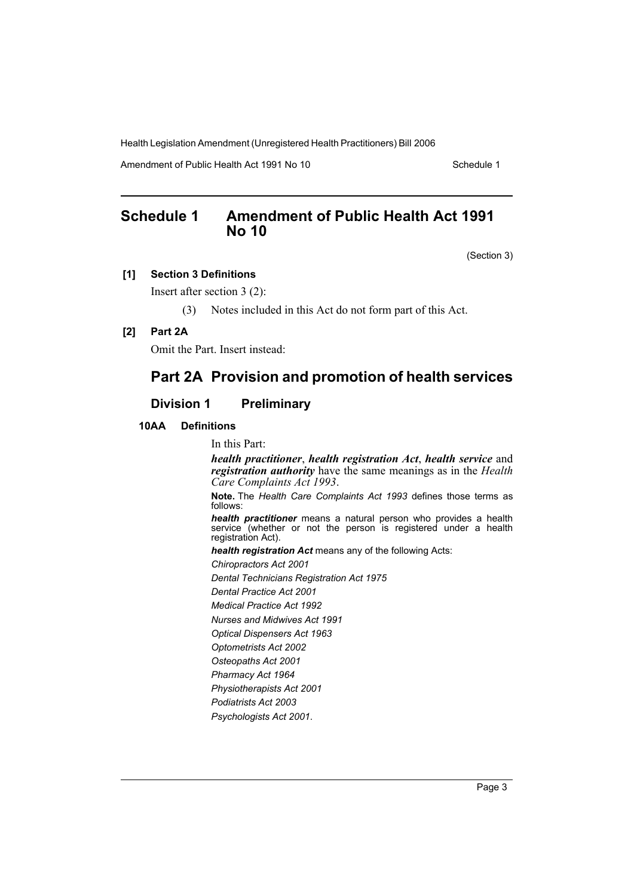Amendment of Public Health Act 1991 No 10 Schedule 1

# **Schedule 1 Amendment of Public Health Act 1991 No 10**

(Section 3)

### **[1] Section 3 Definitions**

Insert after section 3 (2):

(3) Notes included in this Act do not form part of this Act.

## **[2] Part 2A**

Omit the Part. Insert instead:

# **Part 2A Provision and promotion of health services**

# **Division 1 Preliminary**

### **10AA Definitions**

In this Part:

*health practitioner*, *health registration Act*, *health service* and *registration authority* have the same meanings as in the *Health Care Complaints Act 1993*.

**Note.** The *Health Care Complaints Act 1993* defines those terms as follows:

*health practitioner* means a natural person who provides a health service (whether or not the person is registered under a health registration Act).

*health registration Act* means any of the following Acts:

*Chiropractors Act 2001*

*Dental Technicians Registration Act 1975*

*Dental Practice Act 2001*

*Medical Practice Act 1992*

*Nurses and Midwives Act 1991*

*Optical Dispensers Act 1963*

*Optometrists Act 2002*

*Osteopaths Act 2001*

*Pharmacy Act 1964*

*Physiotherapists Act 2001 Podiatrists Act 2003*

*Psychologists Act 2001*.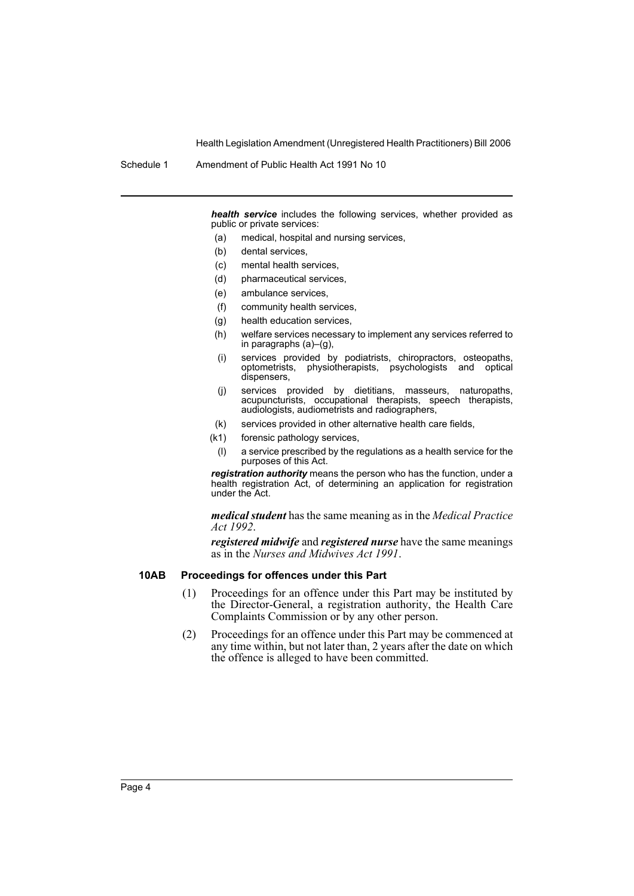Schedule 1 Amendment of Public Health Act 1991 No 10

*health service* includes the following services, whether provided as public or private services:

- (a) medical, hospital and nursing services,
- (b) dental services,
- (c) mental health services,
- (d) pharmaceutical services,
- (e) ambulance services,
- (f) community health services,
- (g) health education services,
- (h) welfare services necessary to implement any services referred to in paragraphs (a)–(g),
- (i) services provided by podiatrists, chiropractors, osteopaths, optometrists, physiotherapists, psychologists and optical dispensers,
- (j) services provided by dietitians, masseurs, naturopaths, acupuncturists, occupational therapists, speech therapists, audiologists, audiometrists and radiographers,
- (k) services provided in other alternative health care fields,
- (k1) forensic pathology services,
	- (l) a service prescribed by the regulations as a health service for the purposes of this Act.

*registration authority* means the person who has the function, under a health registration Act, of determining an application for registration under the Act.

*medical student* has the same meaning as in the *Medical Practice Act 1992*.

*registered midwife* and *registered nurse* have the same meanings as in the *Nurses and Midwives Act 1991*.

### **10AB Proceedings for offences under this Part**

- (1) Proceedings for an offence under this Part may be instituted by the Director-General, a registration authority, the Health Care Complaints Commission or by any other person.
- (2) Proceedings for an offence under this Part may be commenced at any time within, but not later than, 2 years after the date on which the offence is alleged to have been committed.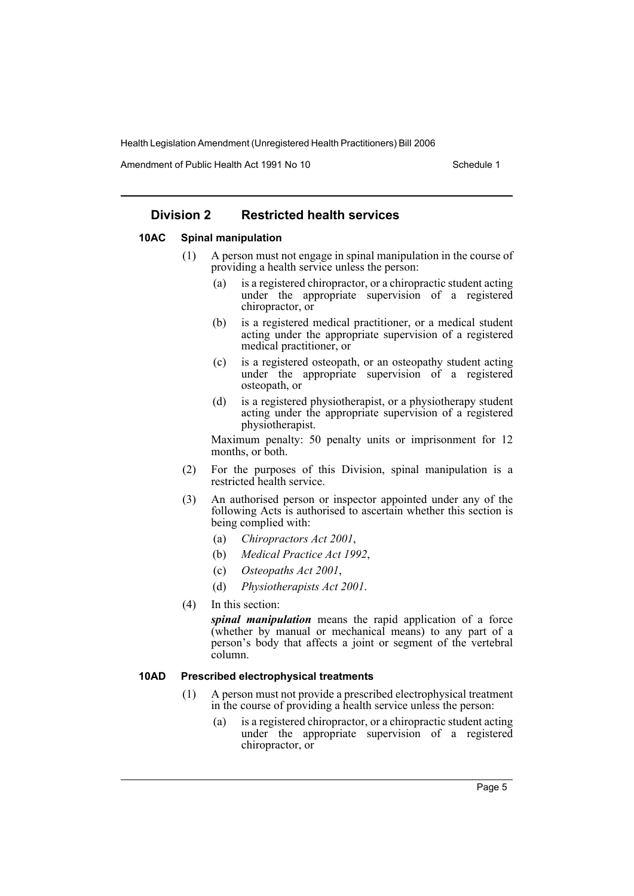Amendment of Public Health Act 1991 No 10 Schedule 1

# **Division 2 Restricted health services**

### **10AC Spinal manipulation**

- (1) A person must not engage in spinal manipulation in the course of providing a health service unless the person:
	- (a) is a registered chiropractor, or a chiropractic student acting under the appropriate supervision of a registered chiropractor, or
	- (b) is a registered medical practitioner, or a medical student acting under the appropriate supervision of a registered medical practitioner, or
	- (c) is a registered osteopath, or an osteopathy student acting under the appropriate supervision of a registered osteopath, or
	- (d) is a registered physiotherapist, or a physiotherapy student acting under the appropriate supervision of a registered physiotherapist.

Maximum penalty: 50 penalty units or imprisonment for 12 months, or both.

- (2) For the purposes of this Division, spinal manipulation is a restricted health service.
- (3) An authorised person or inspector appointed under any of the following Acts is authorised to ascertain whether this section is being complied with:
	- (a) *Chiropractors Act 2001*,
	- (b) *Medical Practice Act 1992*,
	- (c) *Osteopaths Act 2001*,
	- (d) *Physiotherapists Act 2001*.
- (4) In this section:

*spinal manipulation* means the rapid application of a force (whether by manual or mechanical means) to any part of a person's body that affects a joint or segment of the vertebral column.

### **10AD Prescribed electrophysical treatments**

- (1) A person must not provide a prescribed electrophysical treatment in the course of providing a health service unless the person:
	- (a) is a registered chiropractor, or a chiropractic student acting under the appropriate supervision of a registered chiropractor, or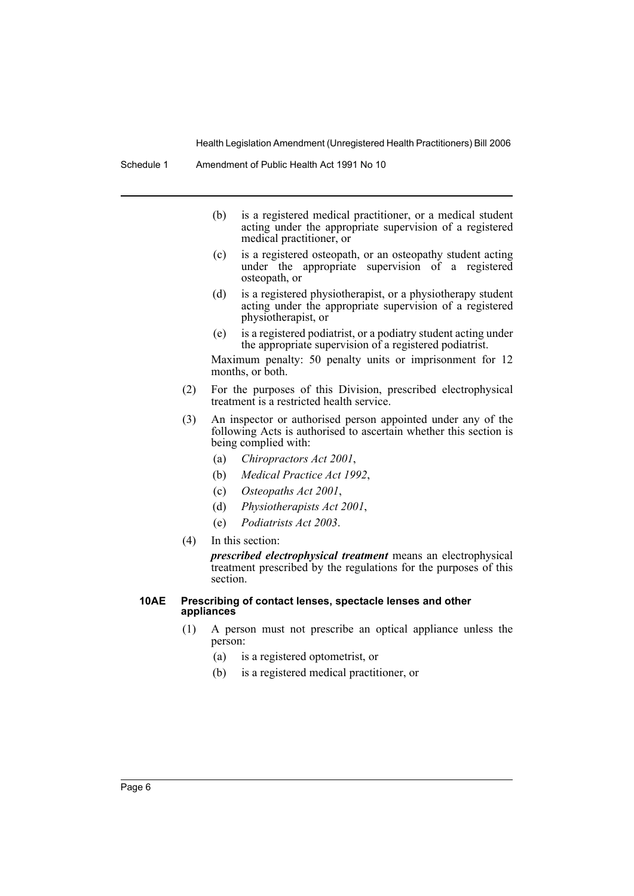- (b) is a registered medical practitioner, or a medical student acting under the appropriate supervision of a registered medical practitioner, or
- (c) is a registered osteopath, or an osteopathy student acting under the appropriate supervision of a registered osteopath, or
- (d) is a registered physiotherapist, or a physiotherapy student acting under the appropriate supervision of a registered physiotherapist, or
- (e) is a registered podiatrist, or a podiatry student acting under the appropriate supervision of a registered podiatrist.

Maximum penalty: 50 penalty units or imprisonment for 12 months, or both.

- (2) For the purposes of this Division, prescribed electrophysical treatment is a restricted health service.
- (3) An inspector or authorised person appointed under any of the following Acts is authorised to ascertain whether this section is being complied with:
	- (a) *Chiropractors Act 2001*,
	- (b) *Medical Practice Act 1992*,
	- (c) *Osteopaths Act 2001*,
	- (d) *Physiotherapists Act 2001*,
	- (e) *Podiatrists Act 2003*.
- (4) In this section:

*prescribed electrophysical treatment* means an electrophysical treatment prescribed by the regulations for the purposes of this section.

### **10AE Prescribing of contact lenses, spectacle lenses and other appliances**

- (1) A person must not prescribe an optical appliance unless the person:
	- (a) is a registered optometrist, or
	- (b) is a registered medical practitioner, or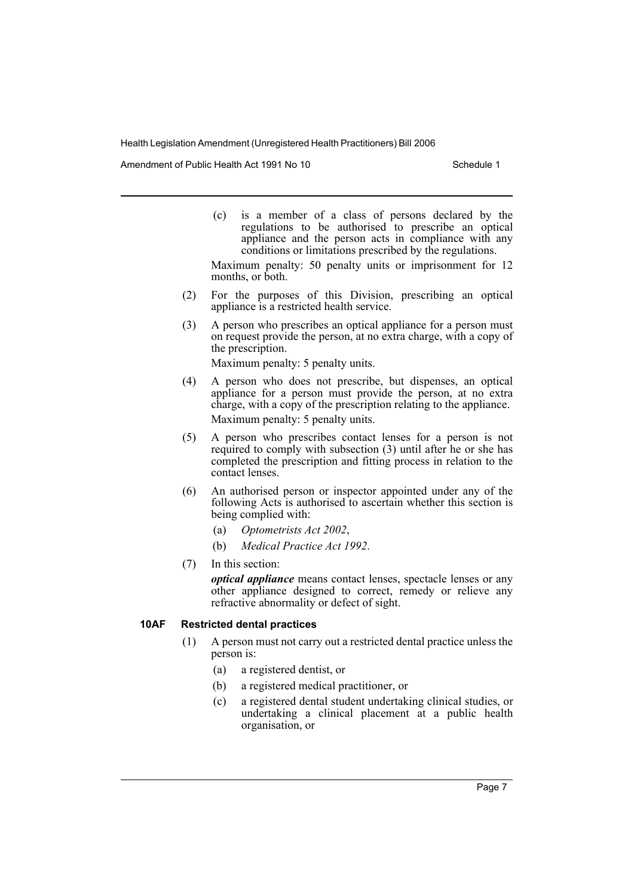Amendment of Public Health Act 1991 No 10 Schedule 1

(c) is a member of a class of persons declared by the regulations to be authorised to prescribe an optical appliance and the person acts in compliance with any conditions or limitations prescribed by the regulations.

Maximum penalty: 50 penalty units or imprisonment for 12 months, or both.

- (2) For the purposes of this Division, prescribing an optical appliance is a restricted health service.
- (3) A person who prescribes an optical appliance for a person must on request provide the person, at no extra charge, with a copy of the prescription.

Maximum penalty: 5 penalty units.

- (4) A person who does not prescribe, but dispenses, an optical appliance for a person must provide the person, at no extra charge, with a copy of the prescription relating to the appliance. Maximum penalty: 5 penalty units.
- (5) A person who prescribes contact lenses for a person is not required to comply with subsection (3) until after he or she has completed the prescription and fitting process in relation to the contact lenses.
- (6) An authorised person or inspector appointed under any of the following Acts is authorised to ascertain whether this section is being complied with:
	- (a) *Optometrists Act 2002*,
	- (b) *Medical Practice Act 1992*.
- (7) In this section:

*optical appliance* means contact lenses, spectacle lenses or any other appliance designed to correct, remedy or relieve any refractive abnormality or defect of sight.

### **10AF Restricted dental practices**

- (1) A person must not carry out a restricted dental practice unless the person is:
	- (a) a registered dentist, or
	- (b) a registered medical practitioner, or
	- (c) a registered dental student undertaking clinical studies, or undertaking a clinical placement at a public health organisation, or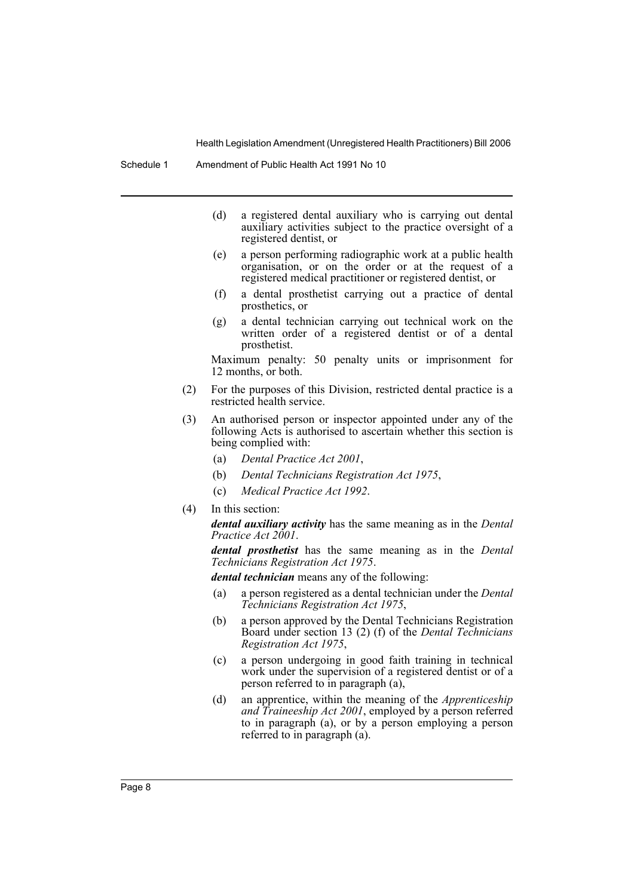- (d) a registered dental auxiliary who is carrying out dental auxiliary activities subject to the practice oversight of a registered dentist, or
- (e) a person performing radiographic work at a public health organisation, or on the order or at the request of a registered medical practitioner or registered dentist, or
- (f) a dental prosthetist carrying out a practice of dental prosthetics, or
- (g) a dental technician carrying out technical work on the written order of a registered dentist or of a dental prosthetist.

Maximum penalty: 50 penalty units or imprisonment for 12 months, or both.

- (2) For the purposes of this Division, restricted dental practice is a restricted health service.
- (3) An authorised person or inspector appointed under any of the following Acts is authorised to ascertain whether this section is being complied with:
	- (a) *Dental Practice Act 2001*,
	- (b) *Dental Technicians Registration Act 1975*,
	- (c) *Medical Practice Act 1992*.
- (4) In this section:

*dental auxiliary activity* has the same meaning as in the *Dental Practice Act 2001*.

*dental prosthetist* has the same meaning as in the *Dental Technicians Registration Act 1975*.

*dental technician* means any of the following:

- (a) a person registered as a dental technician under the *Dental Technicians Registration Act 1975*,
- (b) a person approved by the Dental Technicians Registration Board under section 13 (2) (f) of the *Dental Technicians Registration Act 1975*,
- (c) a person undergoing in good faith training in technical work under the supervision of a registered dentist or of a person referred to in paragraph (a),
- (d) an apprentice, within the meaning of the *Apprenticeship and Traineeship Act 2001*, employed by a person referred to in paragraph (a), or by a person employing a person referred to in paragraph (a).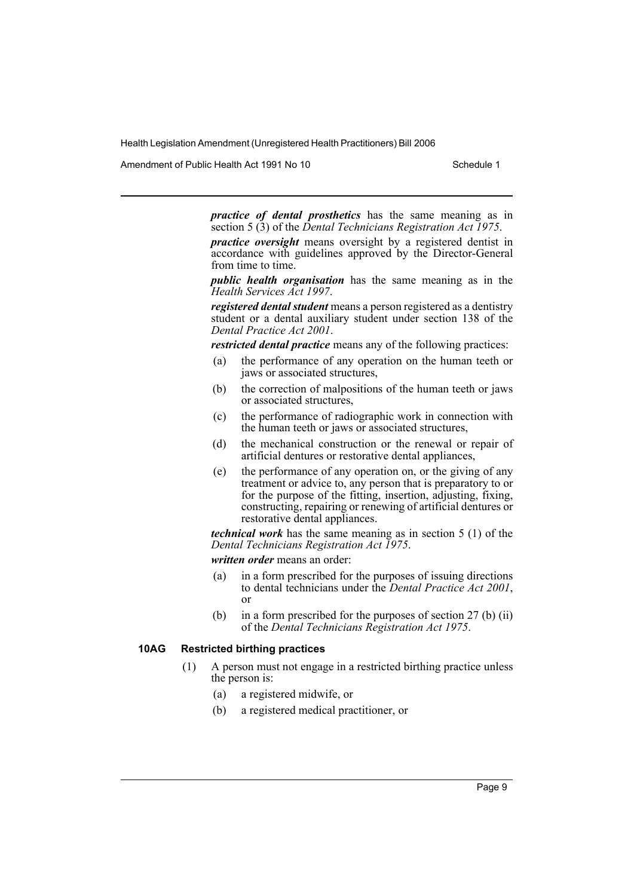Amendment of Public Health Act 1991 No 10 Schedule 1

*practice of dental prosthetics* has the same meaning as in section 5 (3) of the *Dental Technicians Registration Act 1975*.

*practice oversight* means oversight by a registered dentist in accordance with guidelines approved by the Director-General from time to time.

*public health organisation* has the same meaning as in the *Health Services Act 1997*.

*registered dental student* means a person registered as a dentistry student or a dental auxiliary student under section 138 of the *Dental Practice Act 2001*.

*restricted dental practice* means any of the following practices:

- (a) the performance of any operation on the human teeth or jaws or associated structures,
- (b) the correction of malpositions of the human teeth or jaws or associated structures,
- (c) the performance of radiographic work in connection with the human teeth or jaws or associated structures,
- (d) the mechanical construction or the renewal or repair of artificial dentures or restorative dental appliances,
- (e) the performance of any operation on, or the giving of any treatment or advice to, any person that is preparatory to or for the purpose of the fitting, insertion, adjusting, fixing, constructing, repairing or renewing of artificial dentures or restorative dental appliances.

*technical work* has the same meaning as in section 5 (1) of the *Dental Technicians Registration Act 1975*.

*written order* means an order:

- (a) in a form prescribed for the purposes of issuing directions to dental technicians under the *Dental Practice Act 2001*, or
- (b) in a form prescribed for the purposes of section 27 (b) (ii) of the *Dental Technicians Registration Act 1975*.

#### **10AG Restricted birthing practices**

- (1) A person must not engage in a restricted birthing practice unless the person is:
	- (a) a registered midwife, or
	- (b) a registered medical practitioner, or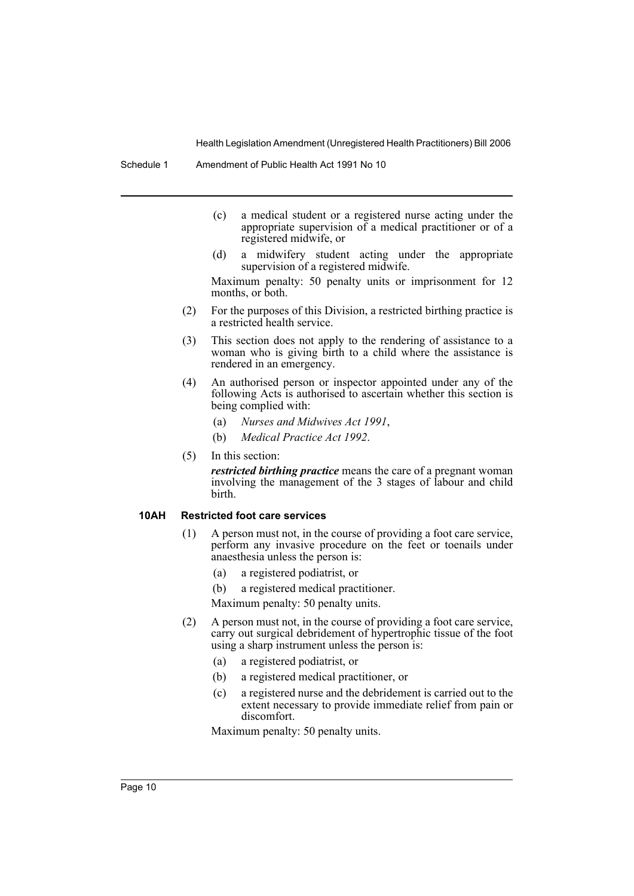Schedule 1 Amendment of Public Health Act 1991 No 10

- (c) a medical student or a registered nurse acting under the appropriate supervision of a medical practitioner or of a registered midwife, or
- (d) a midwifery student acting under the appropriate supervision of a registered midwife.

Maximum penalty: 50 penalty units or imprisonment for 12 months, or both.

- (2) For the purposes of this Division, a restricted birthing practice is a restricted health service.
- (3) This section does not apply to the rendering of assistance to a woman who is giving birth to a child where the assistance is rendered in an emergency.
- (4) An authorised person or inspector appointed under any of the following Acts is authorised to ascertain whether this section is being complied with:
	- (a) *Nurses and Midwives Act 1991*,
	- (b) *Medical Practice Act 1992*.
- (5) In this section:

*restricted birthing practice* means the care of a pregnant woman involving the management of the 3 stages of labour and child birth.

#### **10AH Restricted foot care services**

- (1) A person must not, in the course of providing a foot care service, perform any invasive procedure on the feet or toenails under anaesthesia unless the person is:
	- (a) a registered podiatrist, or
	- (b) a registered medical practitioner.

Maximum penalty: 50 penalty units.

- (2) A person must not, in the course of providing a foot care service, carry out surgical debridement of hypertrophic tissue of the foot using a sharp instrument unless the person is:
	- (a) a registered podiatrist, or
	- (b) a registered medical practitioner, or
	- (c) a registered nurse and the debridement is carried out to the extent necessary to provide immediate relief from pain or discomfort.

Maximum penalty: 50 penalty units.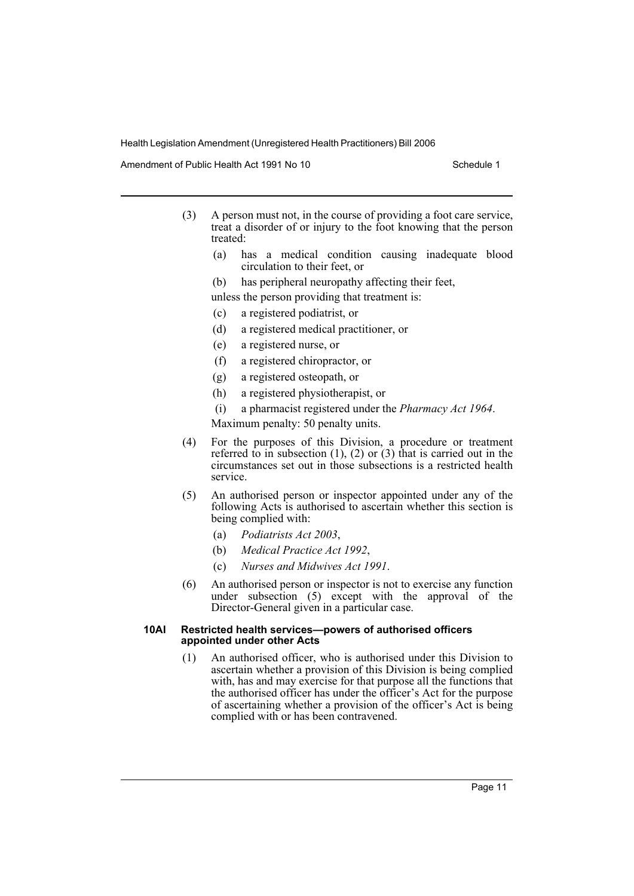Amendment of Public Health Act 1991 No 10 Schedule 1

- (3) A person must not, in the course of providing a foot care service, treat a disorder of or injury to the foot knowing that the person treated:
	- (a) has a medical condition causing inadequate blood circulation to their feet, or
	- (b) has peripheral neuropathy affecting their feet,
	- unless the person providing that treatment is:
	- (c) a registered podiatrist, or
	- (d) a registered medical practitioner, or
	- (e) a registered nurse, or
	- (f) a registered chiropractor, or
	- (g) a registered osteopath, or
	- (h) a registered physiotherapist, or
	- (i) a pharmacist registered under the *Pharmacy Act 1964*.

Maximum penalty: 50 penalty units.

- (4) For the purposes of this Division, a procedure or treatment referred to in subsection  $(1)$ ,  $(2)$  or  $(3)$  that is carried out in the circumstances set out in those subsections is a restricted health service.
- (5) An authorised person or inspector appointed under any of the following Acts is authorised to ascertain whether this section is being complied with:
	- (a) *Podiatrists Act 2003*,
	- (b) *Medical Practice Act 1992*,
	- (c) *Nurses and Midwives Act 1991*.
- (6) An authorised person or inspector is not to exercise any function under subsection (5) except with the approval of the Director-General given in a particular case.

### **10AI Restricted health services—powers of authorised officers appointed under other Acts**

(1) An authorised officer, who is authorised under this Division to ascertain whether a provision of this Division is being complied with, has and may exercise for that purpose all the functions that the authorised officer has under the officer's Act for the purpose of ascertaining whether a provision of the officer's Act is being complied with or has been contravened.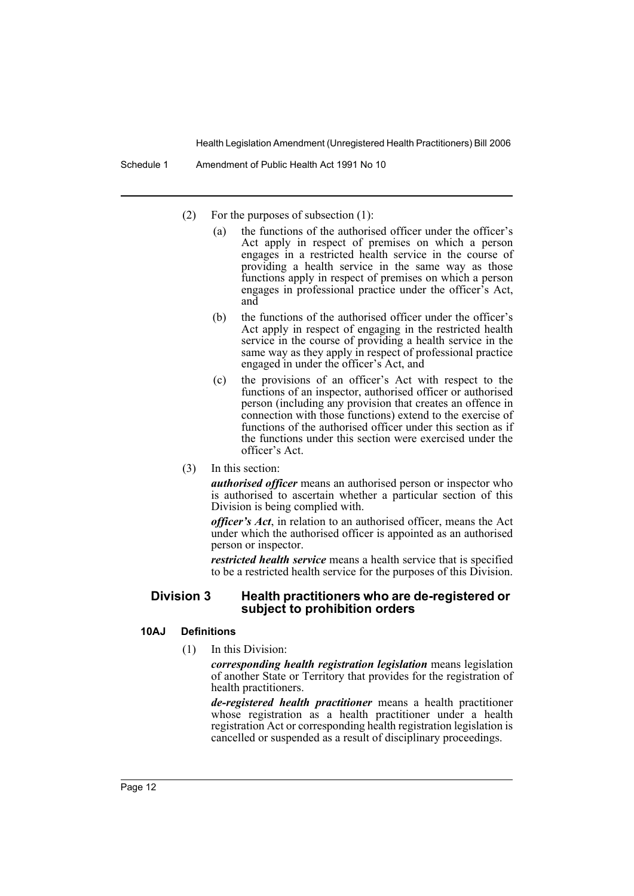Schedule 1 Amendment of Public Health Act 1991 No 10

- (2) For the purposes of subsection (1):
	- (a) the functions of the authorised officer under the officer's Act apply in respect of premises on which a person engages in a restricted health service in the course of providing a health service in the same way as those functions apply in respect of premises on which a person engages in professional practice under the officer's Act, and
	- (b) the functions of the authorised officer under the officer's Act apply in respect of engaging in the restricted health service in the course of providing a health service in the same way as they apply in respect of professional practice engaged in under the officer's Act, and
	- (c) the provisions of an officer's Act with respect to the functions of an inspector, authorised officer or authorised person (including any provision that creates an offence in connection with those functions) extend to the exercise of functions of the authorised officer under this section as if the functions under this section were exercised under the officer's Act.
- (3) In this section:

*authorised officer* means an authorised person or inspector who is authorised to ascertain whether a particular section of this Division is being complied with.

*officer's Act*, in relation to an authorised officer, means the Act under which the authorised officer is appointed as an authorised person or inspector.

*restricted health service* means a health service that is specified to be a restricted health service for the purposes of this Division.

### **Division 3 Health practitioners who are de-registered or subject to prohibition orders**

### **10AJ Definitions**

(1) In this Division:

*corresponding health registration legislation* means legislation of another State or Territory that provides for the registration of health practitioners.

*de-registered health practitioner* means a health practitioner whose registration as a health practitioner under a health registration Act or corresponding health registration legislation is cancelled or suspended as a result of disciplinary proceedings.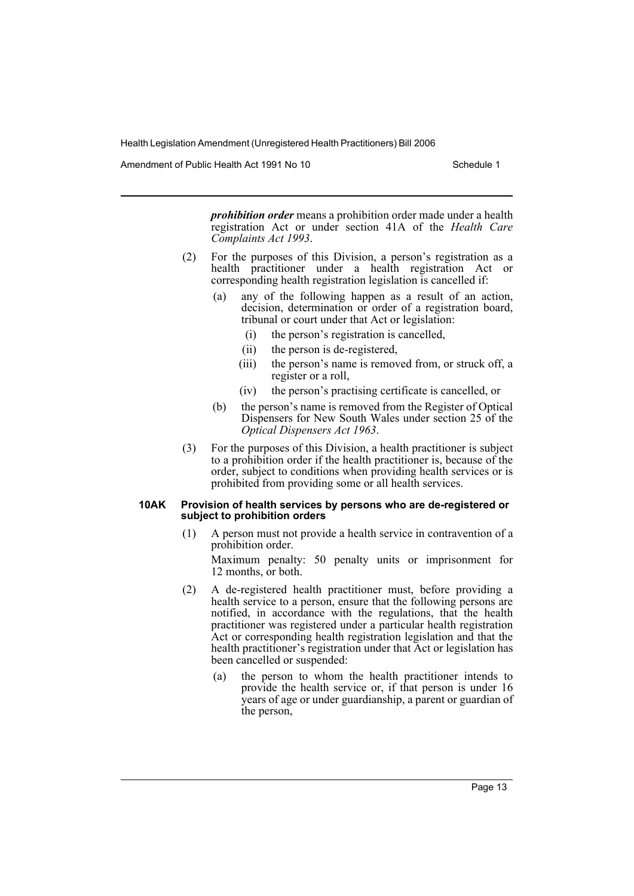Amendment of Public Health Act 1991 No 10 Schedule 1

*prohibition order* means a prohibition order made under a health registration Act or under section 41A of the *Health Care Complaints Act 1993*.

- (2) For the purposes of this Division, a person's registration as a health practitioner under a health registration Act or corresponding health registration legislation is cancelled if:
	- (a) any of the following happen as a result of an action, decision, determination or order of a registration board, tribunal or court under that Act or legislation:
		- (i) the person's registration is cancelled,
		- (ii) the person is de-registered,
		- (iii) the person's name is removed from, or struck off, a register or a roll,
		- (iv) the person's practising certificate is cancelled, or
	- (b) the person's name is removed from the Register of Optical Dispensers for New South Wales under section 25 of the *Optical Dispensers Act 1963*.
- (3) For the purposes of this Division, a health practitioner is subject to a prohibition order if the health practitioner is, because of the order, subject to conditions when providing health services or is prohibited from providing some or all health services.

#### **10AK Provision of health services by persons who are de-registered or subject to prohibition orders**

(1) A person must not provide a health service in contravention of a prohibition order.

Maximum penalty: 50 penalty units or imprisonment for 12 months, or both.

- (2) A de-registered health practitioner must, before providing a health service to a person, ensure that the following persons are notified, in accordance with the regulations, that the health practitioner was registered under a particular health registration Act or corresponding health registration legislation and that the health practitioner's registration under that Act or legislation has been cancelled or suspended:
	- (a) the person to whom the health practitioner intends to provide the health service or, if that person is under 16 years of age or under guardianship, a parent or guardian of the person,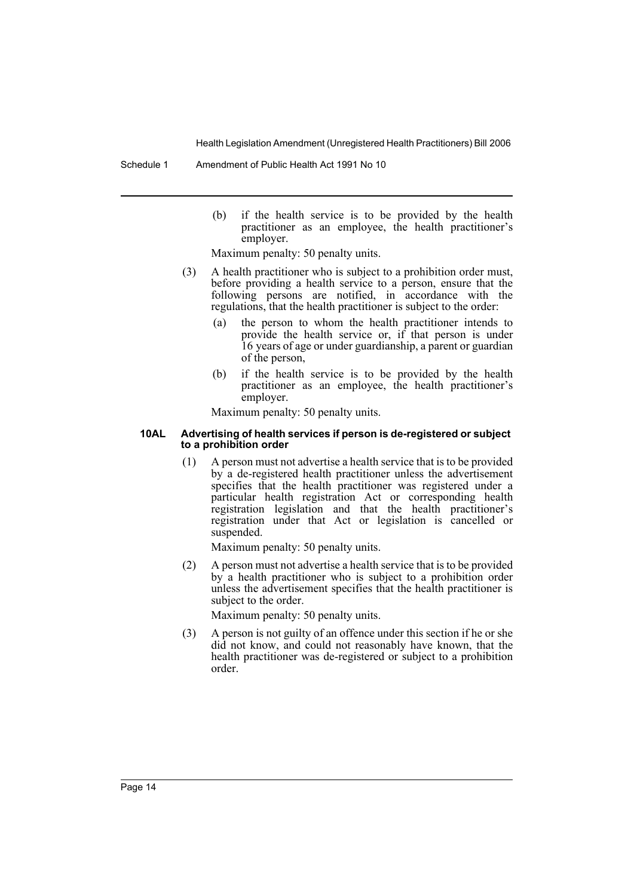Schedule 1 Amendment of Public Health Act 1991 No 10

(b) if the health service is to be provided by the health practitioner as an employee, the health practitioner's employer.

Maximum penalty: 50 penalty units.

- (3) A health practitioner who is subject to a prohibition order must, before providing a health service to a person, ensure that the following persons are notified, in accordance with the regulations, that the health practitioner is subject to the order:
	- (a) the person to whom the health practitioner intends to provide the health service or, if that person is under 16 years of age or under guardianship, a parent or guardian of the person,
	- (b) if the health service is to be provided by the health practitioner as an employee, the health practitioner's employer.

Maximum penalty: 50 penalty units.

### **10AL Advertising of health services if person is de-registered or subject to a prohibition order**

(1) A person must not advertise a health service that is to be provided by a de-registered health practitioner unless the advertisement specifies that the health practitioner was registered under a particular health registration Act or corresponding health registration legislation and that the health practitioner's registration under that Act or legislation is cancelled or suspended.

Maximum penalty: 50 penalty units.

(2) A person must not advertise a health service that is to be provided by a health practitioner who is subject to a prohibition order unless the advertisement specifies that the health practitioner is subject to the order.

Maximum penalty: 50 penalty units.

(3) A person is not guilty of an offence under this section if he or she did not know, and could not reasonably have known, that the health practitioner was de-registered or subject to a prohibition order.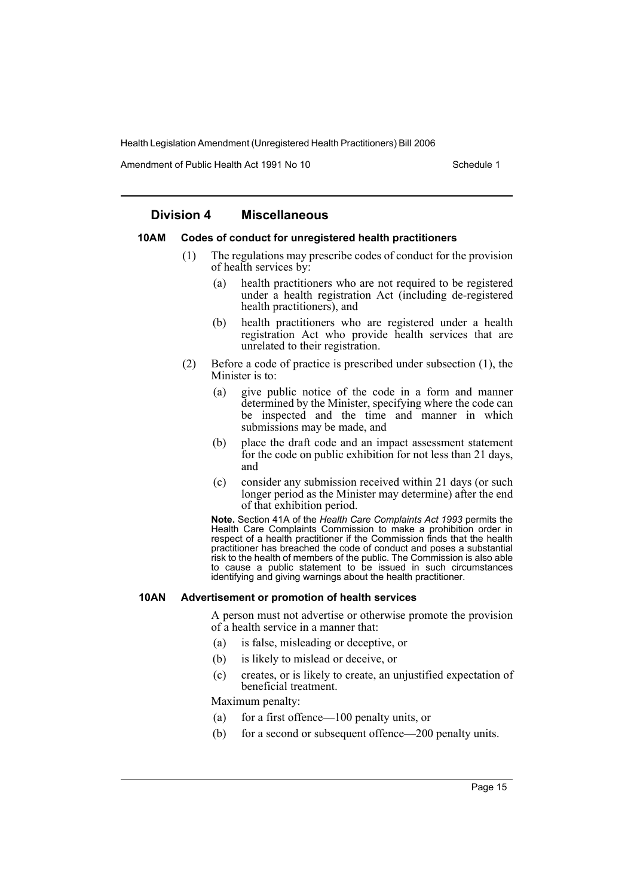Amendment of Public Health Act 1991 No 10 Schedule 1

### **Division 4 Miscellaneous**

### **10AM Codes of conduct for unregistered health practitioners**

- (1) The regulations may prescribe codes of conduct for the provision of health services by:
	- (a) health practitioners who are not required to be registered under a health registration Act (including de-registered health practitioners), and
	- (b) health practitioners who are registered under a health registration Act who provide health services that are unrelated to their registration.
- (2) Before a code of practice is prescribed under subsection (1), the Minister is to:
	- (a) give public notice of the code in a form and manner determined by the Minister, specifying where the code can be inspected and the time and manner in which submissions may be made, and
	- (b) place the draft code and an impact assessment statement for the code on public exhibition for not less than 21 days, and
	- (c) consider any submission received within 21 days (or such longer period as the Minister may determine) after the end of that exhibition period.

**Note.** Section 41A of the *Health Care Complaints Act 1993* permits the Health Care Complaints Commission to make a prohibition order in respect of a health practitioner if the Commission finds that the health practitioner has breached the code of conduct and poses a substantial risk to the health of members of the public. The Commission is also able to cause a public statement to be issued in such circumstances identifying and giving warnings about the health practitioner.

### **10AN Advertisement or promotion of health services**

A person must not advertise or otherwise promote the provision of a health service in a manner that:

- (a) is false, misleading or deceptive, or
- (b) is likely to mislead or deceive, or
- (c) creates, or is likely to create, an unjustified expectation of beneficial treatment.

Maximum penalty:

- (a) for a first offence—100 penalty units, or
- (b) for a second or subsequent offence—200 penalty units.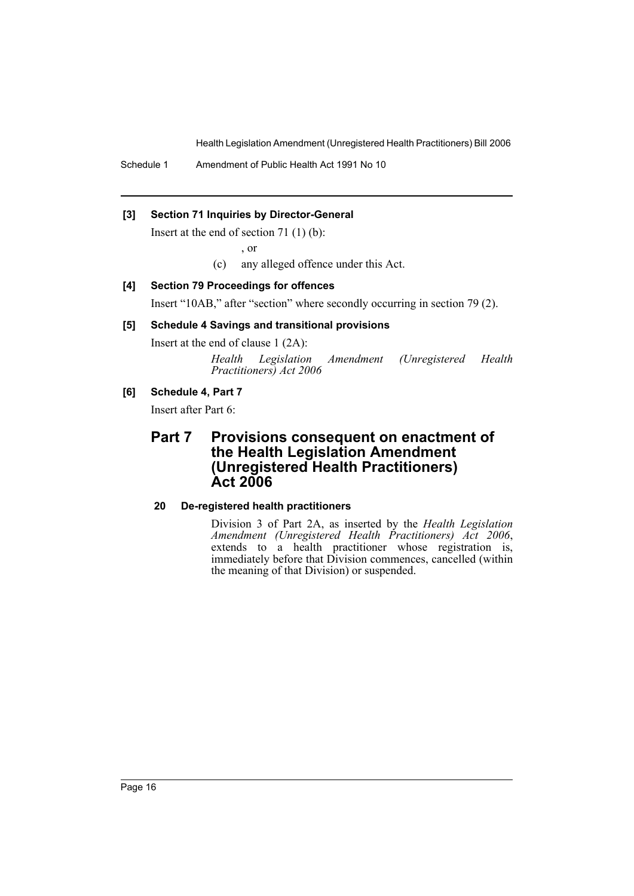Schedule 1 Amendment of Public Health Act 1991 No 10

### **[3] Section 71 Inquiries by Director-General**

Insert at the end of section 71 (1) (b):

, or

(c) any alleged offence under this Act.

### **[4] Section 79 Proceedings for offences**

Insert "10AB," after "section" where secondly occurring in section 79 (2).

### **[5] Schedule 4 Savings and transitional provisions**

Insert at the end of clause 1 (2A):

*Health Legislation Amendment (Unregistered Health Practitioners) Act 2006*

### **[6] Schedule 4, Part 7**

Insert after Part 6:

# **Part 7 Provisions consequent on enactment of the Health Legislation Amendment (Unregistered Health Practitioners) Act 2006**

### **20 De-registered health practitioners**

Division 3 of Part 2A, as inserted by the *Health Legislation Amendment (Unregistered Health Practitioners) Act 2006*, extends to a health practitioner whose registration is, immediately before that Division commences, cancelled (within the meaning of that Division) or suspended.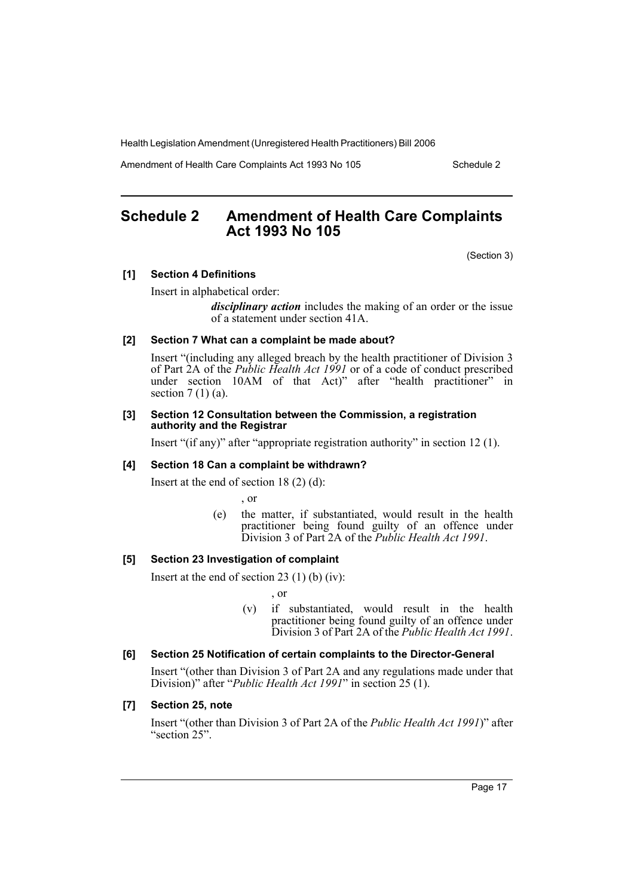Amendment of Health Care Complaints Act 1993 No 105 Schedule 2

# **Schedule 2 Amendment of Health Care Complaints Act 1993 No 105**

(Section 3)

### **[1] Section 4 Definitions**

Insert in alphabetical order:

*disciplinary action* includes the making of an order or the issue of a statement under section 41A.

### **[2] Section 7 What can a complaint be made about?**

Insert "(including any alleged breach by the health practitioner of Division 3 of Part 2A of the *Public Health Act 1991* or of a code of conduct prescribed under section 10AM of that Act)" after "health practitioner" in section  $7(1)(a)$ .

### **[3] Section 12 Consultation between the Commission, a registration authority and the Registrar**

Insert "(if any)" after "appropriate registration authority" in section 12 (1).

### **[4] Section 18 Can a complaint be withdrawn?**

Insert at the end of section 18 (2) (d):

, or

(e) the matter, if substantiated, would result in the health practitioner being found guilty of an offence under Division 3 of Part 2A of the *Public Health Act 1991*.

### **[5] Section 23 Investigation of complaint**

Insert at the end of section 23 (1) (b) (iv):

, or

(v) if substantiated, would result in the health practitioner being found guilty of an offence under Division 3 of Part 2A of the *Public Health Act 1991*.

#### **[6] Section 25 Notification of certain complaints to the Director-General**

Insert "(other than Division 3 of Part 2A and any regulations made under that Division)" after "*Public Health Act 1991*" in section 25 (1).

### **[7] Section 25, note**

Insert "(other than Division 3 of Part 2A of the *Public Health Act 1991*)" after "section 25".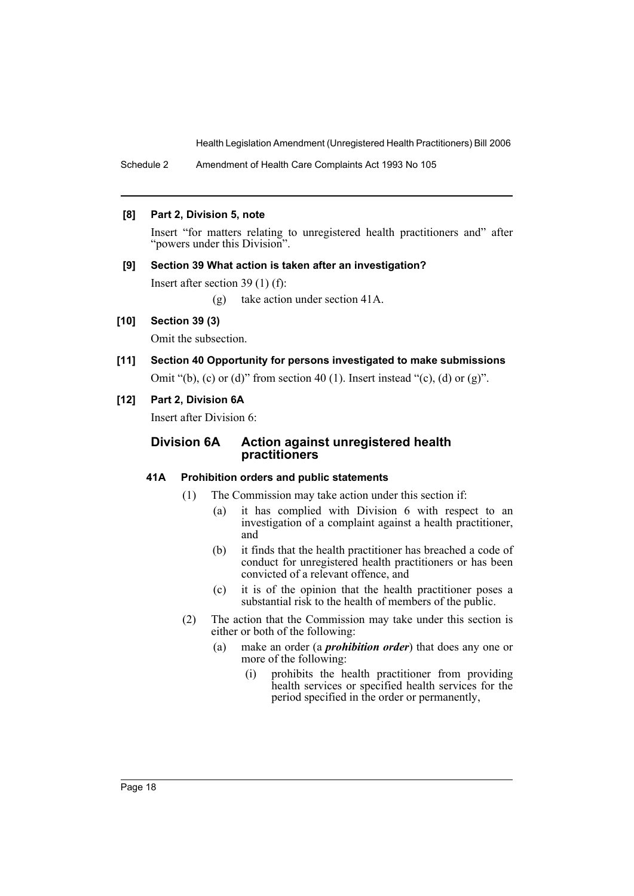Schedule 2 Amendment of Health Care Complaints Act 1993 No 105

### **[8] Part 2, Division 5, note**

Insert "for matters relating to unregistered health practitioners and" after "powers under this Division".

### **[9] Section 39 What action is taken after an investigation?**

Insert after section 39 (1) (f):

(g) take action under section 41A.

### **[10] Section 39 (3)**

Omit the subsection.

**[11] Section 40 Opportunity for persons investigated to make submissions** Omit "(b), (c) or (d)" from section 40 (1). Insert instead "(c), (d) or (g)".

### **[12] Part 2, Division 6A**

Insert after Division 6:

### **Division 6A Action against unregistered health practitioners**

### **41A Prohibition orders and public statements**

- (1) The Commission may take action under this section if:
	- (a) it has complied with Division 6 with respect to an investigation of a complaint against a health practitioner, and
	- (b) it finds that the health practitioner has breached a code of conduct for unregistered health practitioners or has been convicted of a relevant offence, and
	- (c) it is of the opinion that the health practitioner poses a substantial risk to the health of members of the public.
- (2) The action that the Commission may take under this section is either or both of the following:
	- (a) make an order (a *prohibition order*) that does any one or more of the following:
		- (i) prohibits the health practitioner from providing health services or specified health services for the period specified in the order or permanently,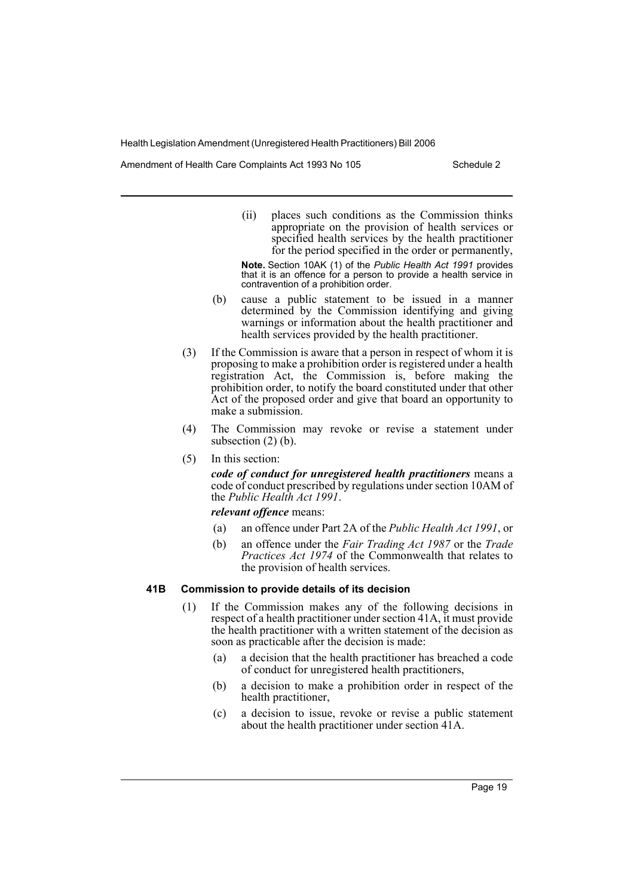Amendment of Health Care Complaints Act 1993 No 105 Schedule 2

(ii) places such conditions as the Commission thinks appropriate on the provision of health services or specified health services by the health practitioner for the period specified in the order or permanently,

**Note.** Section 10AK (1) of the *Public Health Act 1991* provides that it is an offence for a person to provide a health service in contravention of a prohibition order.

- (b) cause a public statement to be issued in a manner determined by the Commission identifying and giving warnings or information about the health practitioner and health services provided by the health practitioner.
- (3) If the Commission is aware that a person in respect of whom it is proposing to make a prohibition order is registered under a health registration Act, the Commission is, before making the prohibition order, to notify the board constituted under that other Act of the proposed order and give that board an opportunity to make a submission.
- (4) The Commission may revoke or revise a statement under subsection  $(2)$  (b).
- (5) In this section:

*code of conduct for unregistered health practitioners* means a code of conduct prescribed by regulations under section 10AM of the *Public Health Act 1991*.

*relevant offence* means:

- (a) an offence under Part 2A of the *Public Health Act 1991*, or
- (b) an offence under the *Fair Trading Act 1987* or the *Trade Practices Act 1974* of the Commonwealth that relates to the provision of health services.

### **41B Commission to provide details of its decision**

- (1) If the Commission makes any of the following decisions in respect of a health practitioner under section 41A, it must provide the health practitioner with a written statement of the decision as soon as practicable after the decision is made:
	- (a) a decision that the health practitioner has breached a code of conduct for unregistered health practitioners,
	- (b) a decision to make a prohibition order in respect of the health practitioner,
	- (c) a decision to issue, revoke or revise a public statement about the health practitioner under section 41A.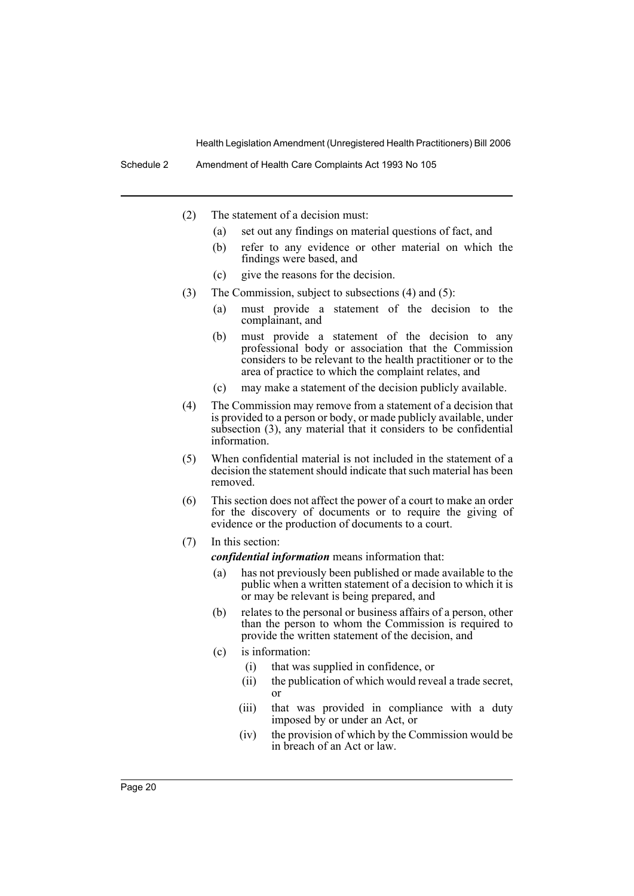Schedule 2 Amendment of Health Care Complaints Act 1993 No 105

- (2) The statement of a decision must:
	- (a) set out any findings on material questions of fact, and
	- (b) refer to any evidence or other material on which the findings were based, and
	- (c) give the reasons for the decision.
- (3) The Commission, subject to subsections (4) and (5):
	- (a) must provide a statement of the decision to the complainant, and
	- (b) must provide a statement of the decision to any professional body or association that the Commission considers to be relevant to the health practitioner or to the area of practice to which the complaint relates, and
	- (c) may make a statement of the decision publicly available.
- (4) The Commission may remove from a statement of a decision that is provided to a person or body, or made publicly available, under subsection (3), any material that it considers to be confidential information.
- (5) When confidential material is not included in the statement of a decision the statement should indicate that such material has been removed.
- (6) This section does not affect the power of a court to make an order for the discovery of documents or to require the giving of evidence or the production of documents to a court.
- (7) In this section:

*confidential information* means information that:

- (a) has not previously been published or made available to the public when a written statement of a decision to which it is or may be relevant is being prepared, and
- (b) relates to the personal or business affairs of a person, other than the person to whom the Commission is required to provide the written statement of the decision, and
- (c) is information:
	- (i) that was supplied in confidence, or
	- (ii) the publication of which would reveal a trade secret, or
	- (iii) that was provided in compliance with a duty imposed by or under an Act, or
	- (iv) the provision of which by the Commission would be in breach of an Act or law.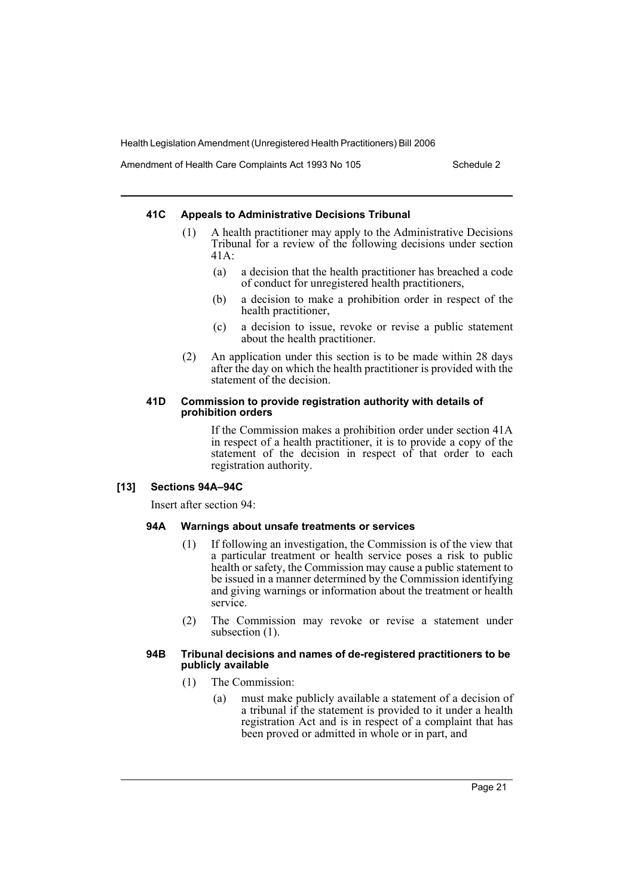Amendment of Health Care Complaints Act 1993 No 105 Schedule 2

### **41C Appeals to Administrative Decisions Tribunal**

- (1) A health practitioner may apply to the Administrative Decisions Tribunal for a review of the following decisions under section 41A:
	- (a) a decision that the health practitioner has breached a code of conduct for unregistered health practitioners,
	- (b) a decision to make a prohibition order in respect of the health practitioner,
	- (c) a decision to issue, revoke or revise a public statement about the health practitioner.
- (2) An application under this section is to be made within 28 days after the day on which the health practitioner is provided with the statement of the decision.

### **41D Commission to provide registration authority with details of prohibition orders**

If the Commission makes a prohibition order under section 41A in respect of a health practitioner, it is to provide a copy of the statement of the decision in respect of that order to each registration authority.

### **[13] Sections 94A–94C**

Insert after section 94:

### **94A Warnings about unsafe treatments or services**

- (1) If following an investigation, the Commission is of the view that a particular treatment or health service poses a risk to public health or safety, the Commission may cause a public statement to be issued in a manner determined by the Commission identifying and giving warnings or information about the treatment or health service.
- (2) The Commission may revoke or revise a statement under subsection  $(1)$ .

#### **94B Tribunal decisions and names of de-registered practitioners to be publicly available**

- (1) The Commission:
	- (a) must make publicly available a statement of a decision of a tribunal if the statement is provided to it under a health registration Act and is in respect of a complaint that has been proved or admitted in whole or in part, and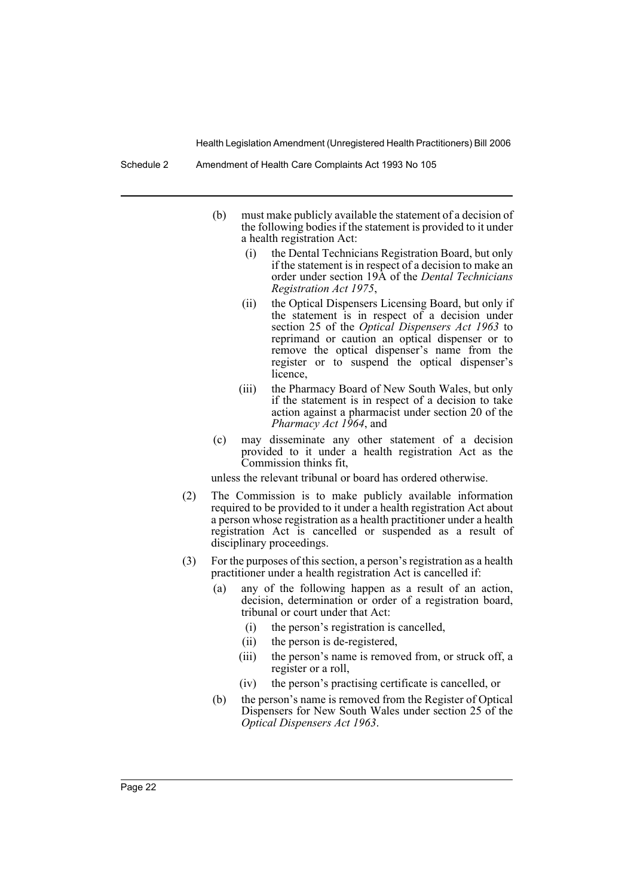Schedule 2 Amendment of Health Care Complaints Act 1993 No 105

- (b) must make publicly available the statement of a decision of the following bodies if the statement is provided to it under a health registration Act:
	- (i) the Dental Technicians Registration Board, but only if the statement is in respect of a decision to make an order under section 19A of the *Dental Technicians Registration Act 1975*,
	- (ii) the Optical Dispensers Licensing Board, but only if the statement is in respect of a decision under section 25 of the *Optical Dispensers Act 1963* to reprimand or caution an optical dispenser or to remove the optical dispenser's name from the register or to suspend the optical dispenser's licence,
	- (iii) the Pharmacy Board of New South Wales, but only if the statement is in respect of a decision to take action against a pharmacist under section 20 of the *Pharmacy Act 1964*, and
- (c) may disseminate any other statement of a decision provided to it under a health registration Act as the Commission thinks fit,

unless the relevant tribunal or board has ordered otherwise.

- (2) The Commission is to make publicly available information required to be provided to it under a health registration Act about a person whose registration as a health practitioner under a health registration Act is cancelled or suspended as a result of disciplinary proceedings.
- (3) For the purposes of this section, a person's registration as a health practitioner under a health registration Act is cancelled if:
	- (a) any of the following happen as a result of an action, decision, determination or order of a registration board. tribunal or court under that Act:
		- (i) the person's registration is cancelled,
		- (ii) the person is de-registered,
		- (iii) the person's name is removed from, or struck off, a register or a roll,
		- (iv) the person's practising certificate is cancelled, or
	- (b) the person's name is removed from the Register of Optical Dispensers for New South Wales under section 25 of the *Optical Dispensers Act 1963*.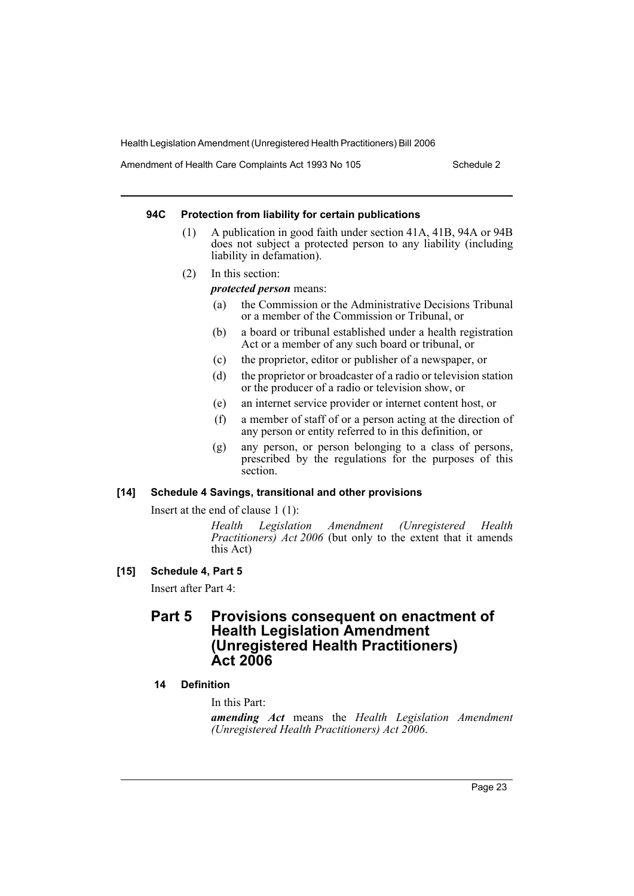Amendment of Health Care Complaints Act 1993 No 105 Schedule 2

### **94C Protection from liability for certain publications**

- (1) A publication in good faith under section 41A, 41B, 94A or 94B does not subject a protected person to any liability (including liability in defamation).
- (2) In this section:

*protected person* means:

- (a) the Commission or the Administrative Decisions Tribunal or a member of the Commission or Tribunal, or
- (b) a board or tribunal established under a health registration Act or a member of any such board or tribunal, or
- (c) the proprietor, editor or publisher of a newspaper, or
- (d) the proprietor or broadcaster of a radio or television station or the producer of a radio or television show, or
- (e) an internet service provider or internet content host, or
- (f) a member of staff of or a person acting at the direction of any person or entity referred to in this definition, or
- (g) any person, or person belonging to a class of persons, prescribed by the regulations for the purposes of this section.

### **[14] Schedule 4 Savings, transitional and other provisions**

Insert at the end of clause 1 (1):

*Health Legislation Amendment (Unregistered Health Practitioners) Act 2006* (but only to the extent that it amends this Act)

**[15] Schedule 4, Part 5**

Insert after Part 4:

# **Part 5 Provisions consequent on enactment of Health Legislation Amendment (Unregistered Health Practitioners) Act 2006**

### **14 Definition**

In this Part:

*amending Act* means the *Health Legislation Amendment (Unregistered Health Practitioners) Act 2006*.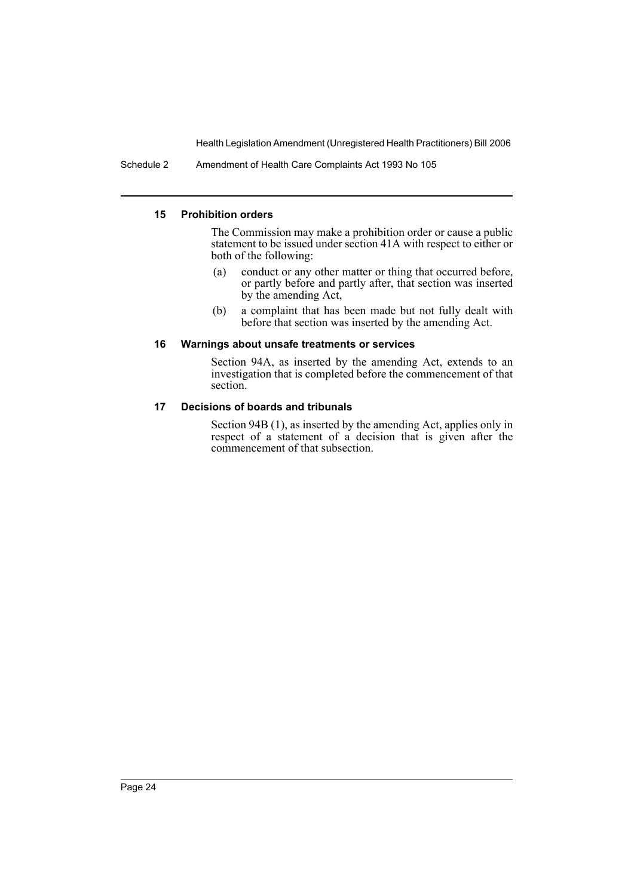Schedule 2 Amendment of Health Care Complaints Act 1993 No 105

### **15 Prohibition orders**

The Commission may make a prohibition order or cause a public statement to be issued under section 41A with respect to either or both of the following:

- (a) conduct or any other matter or thing that occurred before, or partly before and partly after, that section was inserted by the amending Act,
- (b) a complaint that has been made but not fully dealt with before that section was inserted by the amending Act.

### **16 Warnings about unsafe treatments or services**

Section 94A, as inserted by the amending Act, extends to an investigation that is completed before the commencement of that section.

### **17 Decisions of boards and tribunals**

Section 94B (1), as inserted by the amending Act, applies only in respect of a statement of a decision that is given after the commencement of that subsection.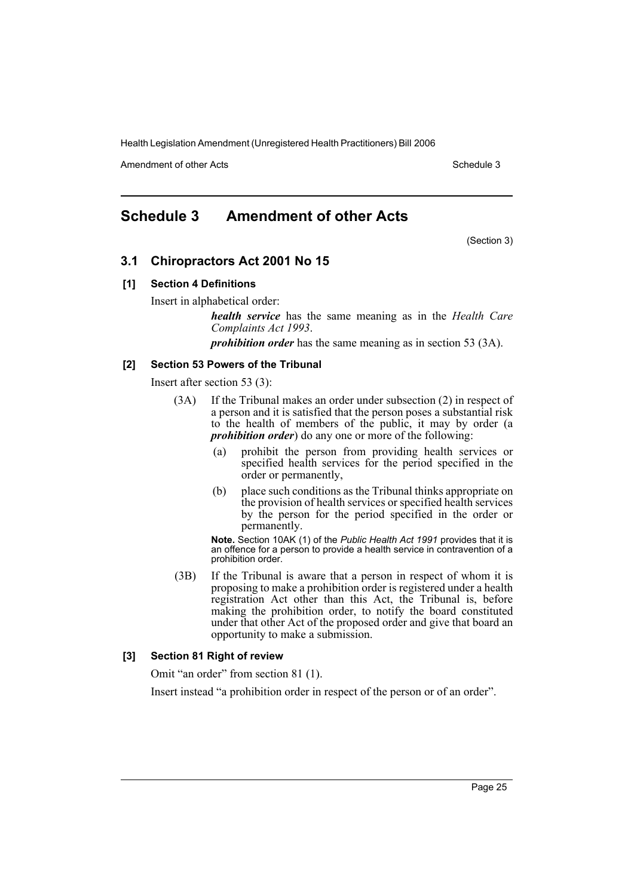Amendment of other Acts **Schedule 3** and the 3 schedule 3

# **Schedule 3 Amendment of other Acts**

(Section 3)

## **3.1 Chiropractors Act 2001 No 15**

### **[1] Section 4 Definitions**

Insert in alphabetical order:

*health service* has the same meaning as in the *Health Care Complaints Act 1993*.

*prohibition order* has the same meaning as in section 53 (3A).

### **[2] Section 53 Powers of the Tribunal**

Insert after section 53 (3):

- (3A) If the Tribunal makes an order under subsection (2) in respect of a person and it is satisfied that the person poses a substantial risk to the health of members of the public, it may by order (a *prohibition order*) do any one or more of the following:
	- (a) prohibit the person from providing health services or specified health services for the period specified in the order or permanently,
	- (b) place such conditions as the Tribunal thinks appropriate on the provision of health services or specified health services by the person for the period specified in the order or permanently.

**Note.** Section 10AK (1) of the *Public Health Act 1991* provides that it is an offence for a person to provide a health service in contravention of a prohibition order.

(3B) If the Tribunal is aware that a person in respect of whom it is proposing to make a prohibition order is registered under a health registration Act other than this Act, the Tribunal is, before making the prohibition order, to notify the board constituted under that other Act of the proposed order and give that board an opportunity to make a submission.

### **[3] Section 81 Right of review**

Omit "an order" from section 81 (1).

Insert instead "a prohibition order in respect of the person or of an order".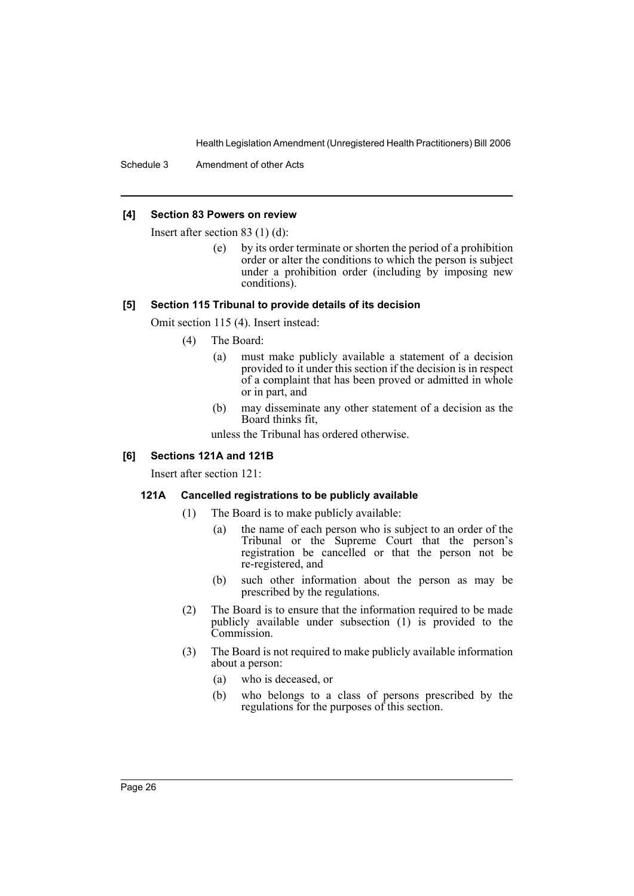Schedule 3 Amendment of other Acts

### **[4] Section 83 Powers on review**

Insert after section 83 (1) (d):

(e) by its order terminate or shorten the period of a prohibition order or alter the conditions to which the person is subject under a prohibition order (including by imposing new conditions).

### **[5] Section 115 Tribunal to provide details of its decision**

Omit section 115 (4). Insert instead:

- (4) The Board:
	- (a) must make publicly available a statement of a decision provided to it under this section if the decision is in respect of a complaint that has been proved or admitted in whole or in part, and
	- (b) may disseminate any other statement of a decision as the Board thinks fit,

unless the Tribunal has ordered otherwise.

### **[6] Sections 121A and 121B**

Insert after section 121:

### **121A Cancelled registrations to be publicly available**

- (1) The Board is to make publicly available:
	- (a) the name of each person who is subject to an order of the Tribunal or the Supreme Court that the person's registration be cancelled or that the person not be re-registered, and
	- (b) such other information about the person as may be prescribed by the regulations.
- (2) The Board is to ensure that the information required to be made publicly available under subsection  $(1)$  is provided to the Commission.
- (3) The Board is not required to make publicly available information about a person:
	- (a) who is deceased, or
	- (b) who belongs to a class of persons prescribed by the regulations for the purposes of this section.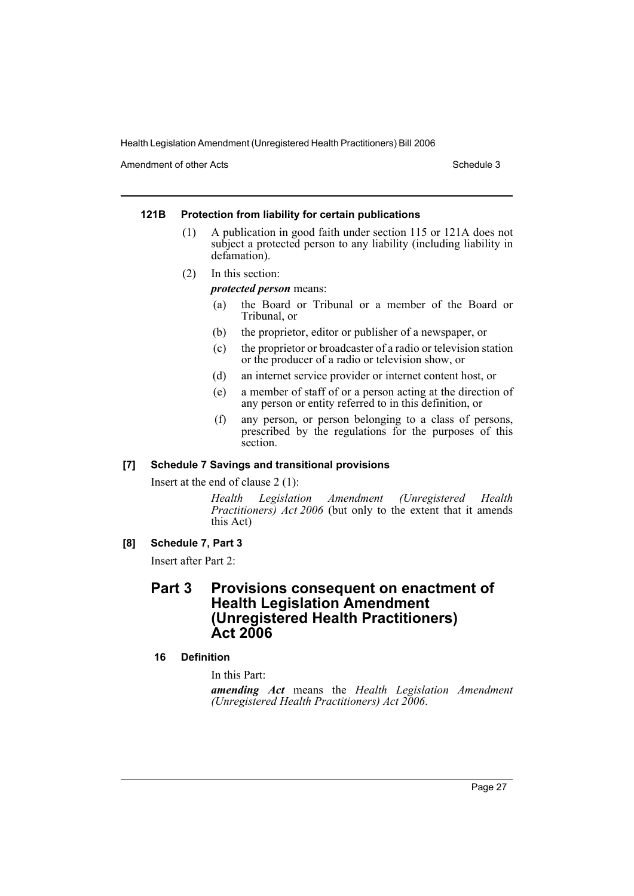Amendment of other Acts **Schedule 3** and the 3 schedule 3

### **121B Protection from liability for certain publications**

- (1) A publication in good faith under section 115 or 121A does not subject a protected person to any liability (including liability in defamation).
- (2) In this section:

### *protected person* means:

- (a) the Board or Tribunal or a member of the Board or Tribunal, or
- (b) the proprietor, editor or publisher of a newspaper, or
- (c) the proprietor or broadcaster of a radio or television station or the producer of a radio or television show, or
- (d) an internet service provider or internet content host, or
- (e) a member of staff of or a person acting at the direction of any person or entity referred to in this definition, or
- (f) any person, or person belonging to a class of persons, prescribed by the regulations for the purposes of this section.

### **[7] Schedule 7 Savings and transitional provisions**

Insert at the end of clause 2 (1):

*Health Legislation Amendment (Unregistered Health Practitioners) Act 2006* (but only to the extent that it amends this Act)

### **[8] Schedule 7, Part 3**

Insert after Part 2:

# **Part 3 Provisions consequent on enactment of Health Legislation Amendment (Unregistered Health Practitioners) Act 2006**

### **16 Definition**

In this Part:

*amending Act* means the *Health Legislation Amendment (Unregistered Health Practitioners) Act 2006*.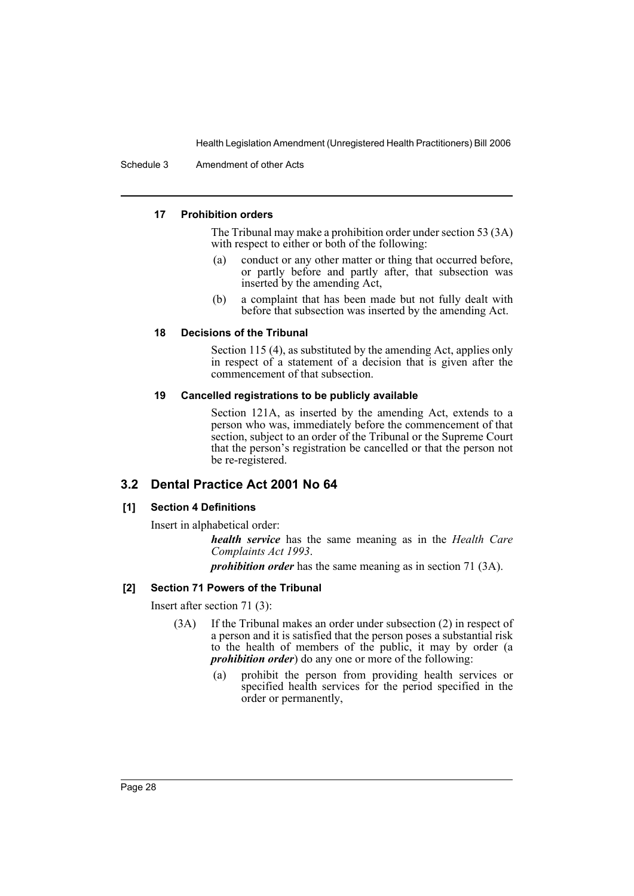Schedule 3 Amendment of other Acts

### **17 Prohibition orders**

The Tribunal may make a prohibition order under section 53 (3A) with respect to either or both of the following:

- (a) conduct or any other matter or thing that occurred before, or partly before and partly after, that subsection was inserted by the amending Act,
- (b) a complaint that has been made but not fully dealt with before that subsection was inserted by the amending Act.

### **18 Decisions of the Tribunal**

Section 115 (4), as substituted by the amending Act, applies only in respect of a statement of a decision that is given after the commencement of that subsection.

### **19 Cancelled registrations to be publicly available**

Section 121A, as inserted by the amending Act, extends to a person who was, immediately before the commencement of that section, subject to an order of the Tribunal or the Supreme Court that the person's registration be cancelled or that the person not be re-registered.

## **3.2 Dental Practice Act 2001 No 64**

### **[1] Section 4 Definitions**

Insert in alphabetical order:

*health service* has the same meaning as in the *Health Care Complaints Act 1993*.

*prohibition order* has the same meaning as in section 71 (3A).

### **[2] Section 71 Powers of the Tribunal**

Insert after section 71 (3):

- (3A) If the Tribunal makes an order under subsection (2) in respect of a person and it is satisfied that the person poses a substantial risk to the health of members of the public, it may by order (a *prohibition order*) do any one or more of the following:
	- (a) prohibit the person from providing health services or specified health services for the period specified in the order or permanently,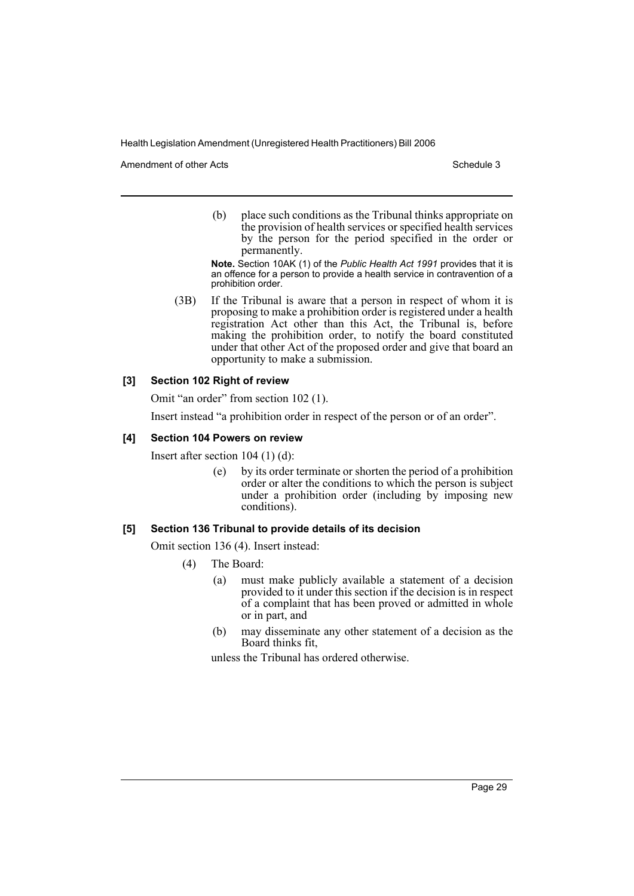Amendment of other Acts **Schedule 3** and the 3 schedule 3

(b) place such conditions as the Tribunal thinks appropriate on the provision of health services or specified health services by the person for the period specified in the order or permanently.

**Note.** Section 10AK (1) of the *Public Health Act 1991* provides that it is an offence for a person to provide a health service in contravention of a prohibition order.

(3B) If the Tribunal is aware that a person in respect of whom it is proposing to make a prohibition order is registered under a health registration Act other than this Act, the Tribunal is, before making the prohibition order, to notify the board constituted under that other Act of the proposed order and give that board an opportunity to make a submission.

### **[3] Section 102 Right of review**

Omit "an order" from section 102 (1).

Insert instead "a prohibition order in respect of the person or of an order".

### **[4] Section 104 Powers on review**

Insert after section 104 (1) (d):

(e) by its order terminate or shorten the period of a prohibition order or alter the conditions to which the person is subject under a prohibition order (including  $b\overline{y}$  imposing new conditions).

### **[5] Section 136 Tribunal to provide details of its decision**

Omit section 136 (4). Insert instead:

- (4) The Board:
	- (a) must make publicly available a statement of a decision provided to it under this section if the decision is in respect of a complaint that has been proved or admitted in whole or in part, and
	- (b) may disseminate any other statement of a decision as the Board thinks fit,

unless the Tribunal has ordered otherwise.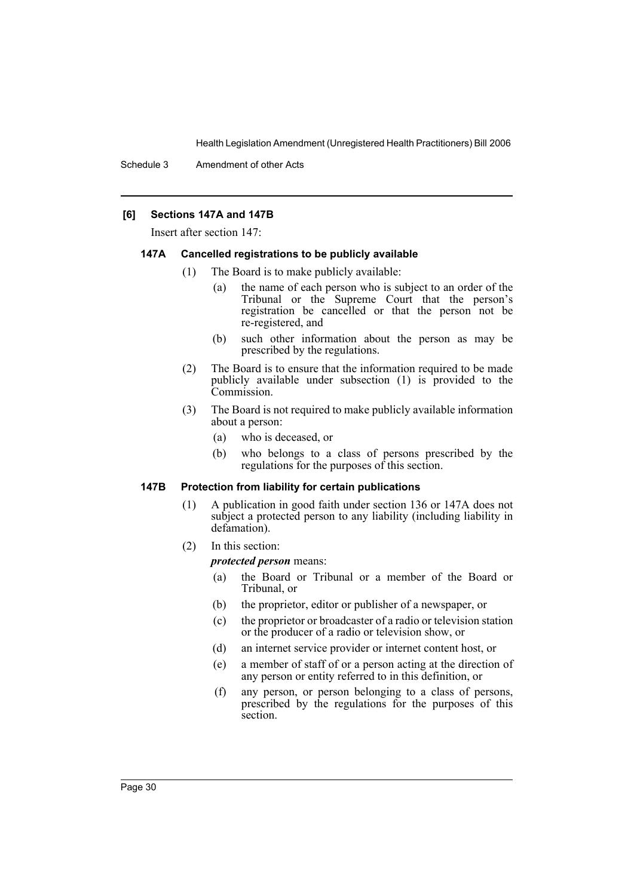### **[6] Sections 147A and 147B**

Insert after section 147:

#### **147A Cancelled registrations to be publicly available**

- (1) The Board is to make publicly available:
	- (a) the name of each person who is subject to an order of the Tribunal or the Supreme Court that the person's registration be cancelled or that the person not be re-registered, and
	- (b) such other information about the person as may be prescribed by the regulations.
- (2) The Board is to ensure that the information required to be made publicly available under subsection (1) is provided to the Commission.
- (3) The Board is not required to make publicly available information about a person:
	- (a) who is deceased, or
	- (b) who belongs to a class of persons prescribed by the regulations for the purposes of this section.

### **147B Protection from liability for certain publications**

- (1) A publication in good faith under section 136 or 147A does not subject a protected person to any liability (including liability in defamation).
- (2) In this section:

*protected person* means:

- (a) the Board or Tribunal or a member of the Board or Tribunal, or
- (b) the proprietor, editor or publisher of a newspaper, or
- (c) the proprietor or broadcaster of a radio or television station or the producer of a radio or television show, or
- (d) an internet service provider or internet content host, or
- (e) a member of staff of or a person acting at the direction of any person or entity referred to in this definition, or
- (f) any person, or person belonging to a class of persons, prescribed by the regulations for the purposes of this section.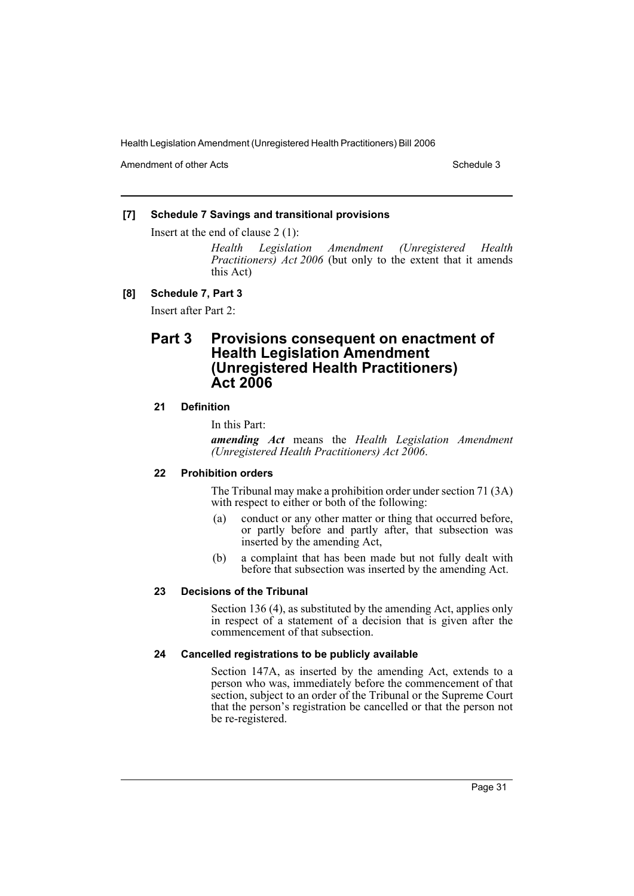Amendment of other Acts **Schedule 3** and the 3 schedule 3

### **[7] Schedule 7 Savings and transitional provisions**

Insert at the end of clause 2 (1):

*Health Legislation Amendment (Unregistered Health Practitioners) Act 2006* (but only to the extent that it amends this Act)

### **[8] Schedule 7, Part 3**

Insert after Part 2:

# **Part 3 Provisions consequent on enactment of Health Legislation Amendment (Unregistered Health Practitioners) Act 2006**

### **21 Definition**

In this Part:

*amending Act* means the *Health Legislation Amendment (Unregistered Health Practitioners) Act 2006*.

### **22 Prohibition orders**

The Tribunal may make a prohibition order under section 71 (3A) with respect to either or both of the following:

- (a) conduct or any other matter or thing that occurred before, or partly before and partly after, that subsection was inserted by the amending Act,
- (b) a complaint that has been made but not fully dealt with before that subsection was inserted by the amending Act.

### **23 Decisions of the Tribunal**

Section 136 (4), as substituted by the amending Act, applies only in respect of a statement of a decision that is given after the commencement of that subsection.

### **24 Cancelled registrations to be publicly available**

Section 147A, as inserted by the amending Act, extends to a person who was, immediately before the commencement of that section, subject to an order of the Tribunal or the Supreme Court that the person's registration be cancelled or that the person not be re-registered.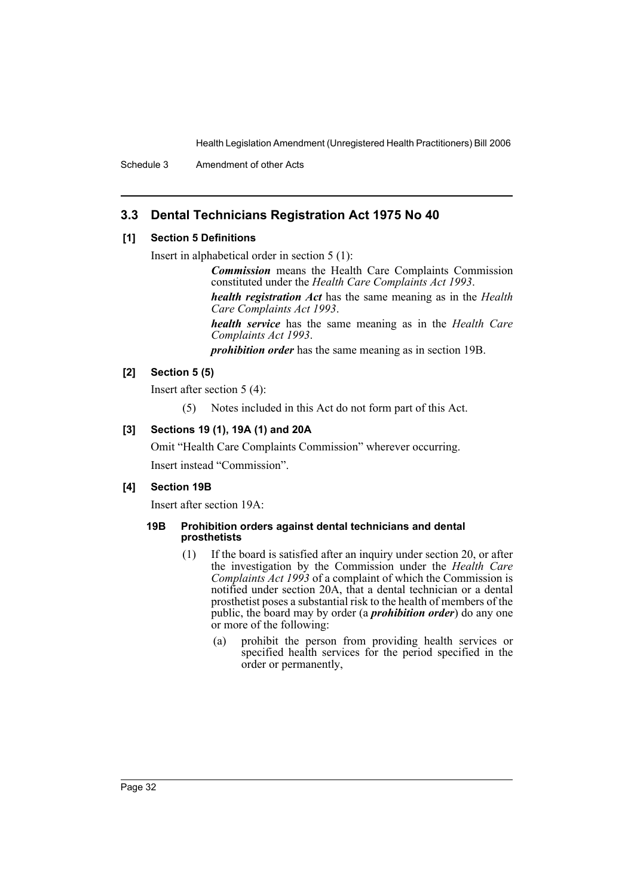Schedule 3 Amendment of other Acts

# **3.3 Dental Technicians Registration Act 1975 No 40**

### **[1] Section 5 Definitions**

Insert in alphabetical order in section 5 (1):

*Commission* means the Health Care Complaints Commission constituted under the *Health Care Complaints Act 1993*. *health registration Act* has the same meaning as in the *Health Care Complaints Act 1993*.

*health service* has the same meaning as in the *Health Care Complaints Act 1993*.

*prohibition order* has the same meaning as in section 19B.

### **[2] Section 5 (5)**

Insert after section 5 (4):

(5) Notes included in this Act do not form part of this Act.

### **[3] Sections 19 (1), 19A (1) and 20A**

Omit "Health Care Complaints Commission" wherever occurring. Insert instead "Commission".

### **[4] Section 19B**

Insert after section 19A:

### **19B Prohibition orders against dental technicians and dental prosthetists**

- (1) If the board is satisfied after an inquiry under section 20, or after the investigation by the Commission under the *Health Care Complaints Act 1993* of a complaint of which the Commission is notified under section 20A, that a dental technician or a dental prosthetist poses a substantial risk to the health of members of the public, the board may by order (a *prohibition order*) do any one or more of the following:
	- (a) prohibit the person from providing health services or specified health services for the period specified in the order or permanently,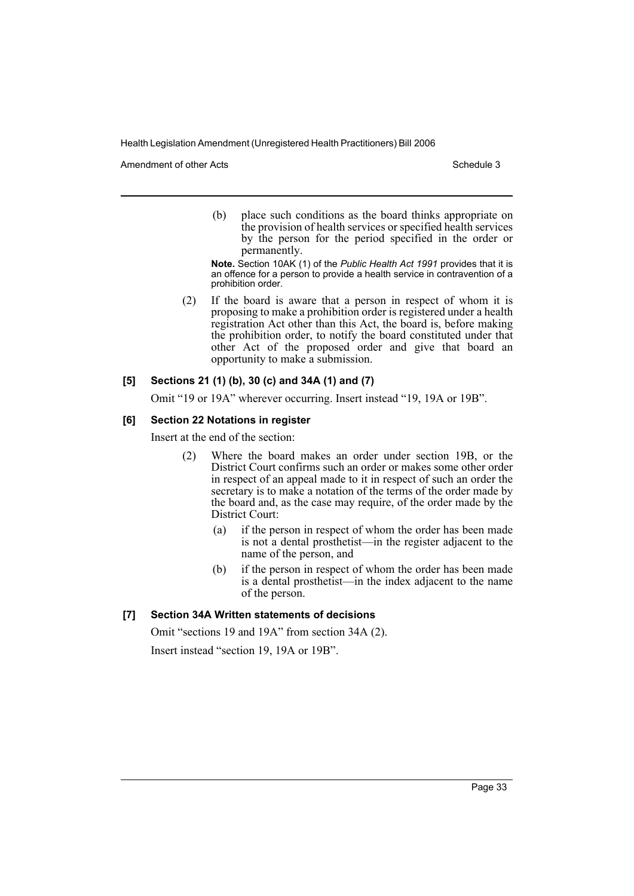Amendment of other Acts **Schedule 3** and the 3 schedule 3

(b) place such conditions as the board thinks appropriate on the provision of health services or specified health services by the person for the period specified in the order or permanently.

**Note.** Section 10AK (1) of the *Public Health Act 1991* provides that it is an offence for a person to provide a health service in contravention of a prohibition order.

(2) If the board is aware that a person in respect of whom it is proposing to make a prohibition order is registered under a health registration Act other than this Act, the board is, before making the prohibition order, to notify the board constituted under that other Act of the proposed order and give that board an opportunity to make a submission.

### **[5] Sections 21 (1) (b), 30 (c) and 34A (1) and (7)**

Omit "19 or 19A" wherever occurring. Insert instead "19, 19A or 19B".

### **[6] Section 22 Notations in register**

Insert at the end of the section:

- (2) Where the board makes an order under section 19B, or the District Court confirms such an order or makes some other order in respect of an appeal made to it in respect of such an order the secretary is to make a notation of the terms of the order made by the board and, as the case may require, of the order made by the District Court:
	- (a) if the person in respect of whom the order has been made is not a dental prosthetist—in the register adjacent to the name of the person, and
	- (b) if the person in respect of whom the order has been made is a dental prosthetist—in the index adjacent to the name of the person.

### **[7] Section 34A Written statements of decisions**

Omit "sections 19 and 19A" from section 34A (2).

Insert instead "section 19, 19A or 19B".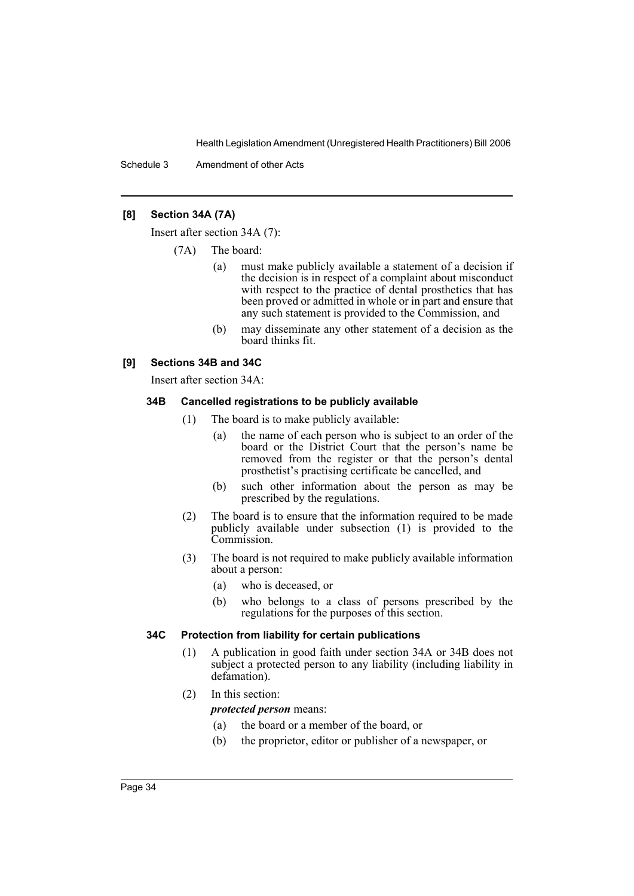Schedule 3 Amendment of other Acts

### **[8] Section 34A (7A)**

Insert after section 34A (7):

- (7A) The board:
	- (a) must make publicly available a statement of a decision if the decision is in respect of a complaint about misconduct with respect to the practice of dental prosthetics that has been proved or admitted in whole or in part and ensure that any such statement is provided to the Commission, and
	- (b) may disseminate any other statement of a decision as the board thinks fit.

### **[9] Sections 34B and 34C**

Insert after section 34A:

### **34B Cancelled registrations to be publicly available**

- (1) The board is to make publicly available:
	- (a) the name of each person who is subject to an order of the board or the District Court that the person's name be removed from the register or that the person's dental prosthetist's practising certificate be cancelled, and
	- (b) such other information about the person as may be prescribed by the regulations.
- (2) The board is to ensure that the information required to be made publicly available under subsection (1) is provided to the Commission.
- (3) The board is not required to make publicly available information about a person:
	- (a) who is deceased, or
	- (b) who belongs to a class of persons prescribed by the regulations for the purposes of this section.

### **34C Protection from liability for certain publications**

- (1) A publication in good faith under section 34A or 34B does not subject a protected person to any liability (including liability in defamation).
- (2) In this section:

### *protected person* means:

- (a) the board or a member of the board, or
- (b) the proprietor, editor or publisher of a newspaper, or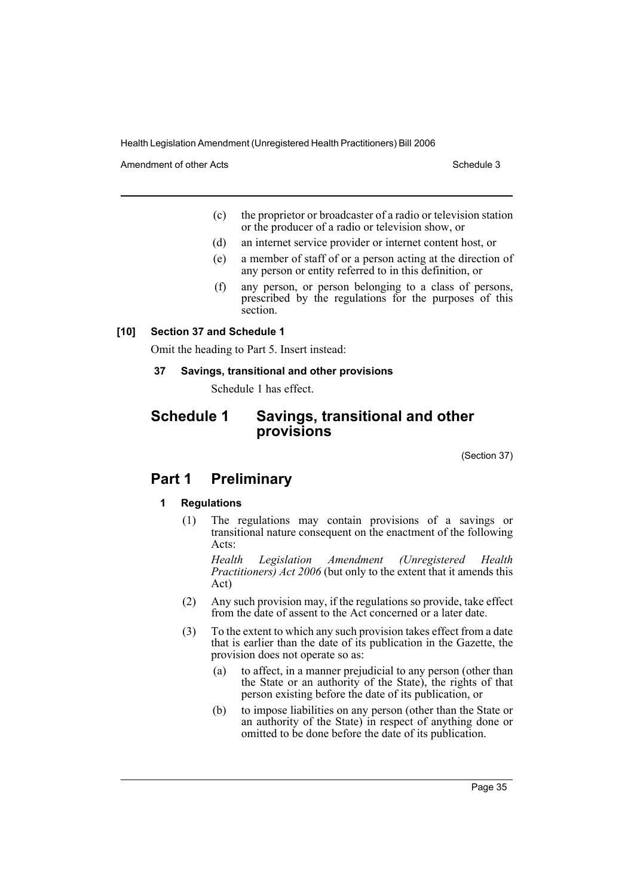Amendment of other Acts **Schedule 3** and the 3 schedule 3

- (c) the proprietor or broadcaster of a radio or television station or the producer of a radio or television show, or
- (d) an internet service provider or internet content host, or
- (e) a member of staff of or a person acting at the direction of any person or entity referred to in this definition, or
- (f) any person, or person belonging to a class of persons, prescribed by the regulations for the purposes of this section.

### **[10] Section 37 and Schedule 1**

Omit the heading to Part 5. Insert instead:

### **37 Savings, transitional and other provisions**

Schedule 1 has effect.

# **Schedule 1 Savings, transitional and other provisions**

(Section 37)

# **Part 1 Preliminary**

### **1 Regulations**

(1) The regulations may contain provisions of a savings or transitional nature consequent on the enactment of the following Acts:

*Health Legislation Amendment (Unregistered Health Practitioners) Act 2006* (but only to the extent that it amends this Act)

- (2) Any such provision may, if the regulations so provide, take effect from the date of assent to the Act concerned or a later date.
- (3) To the extent to which any such provision takes effect from a date that is earlier than the date of its publication in the Gazette, the provision does not operate so as:
	- (a) to affect, in a manner prejudicial to any person (other than the State or an authority of the State), the rights of that person existing before the date of its publication, or
	- (b) to impose liabilities on any person (other than the State or an authority of the State) in respect of anything done or omitted to be done before the date of its publication.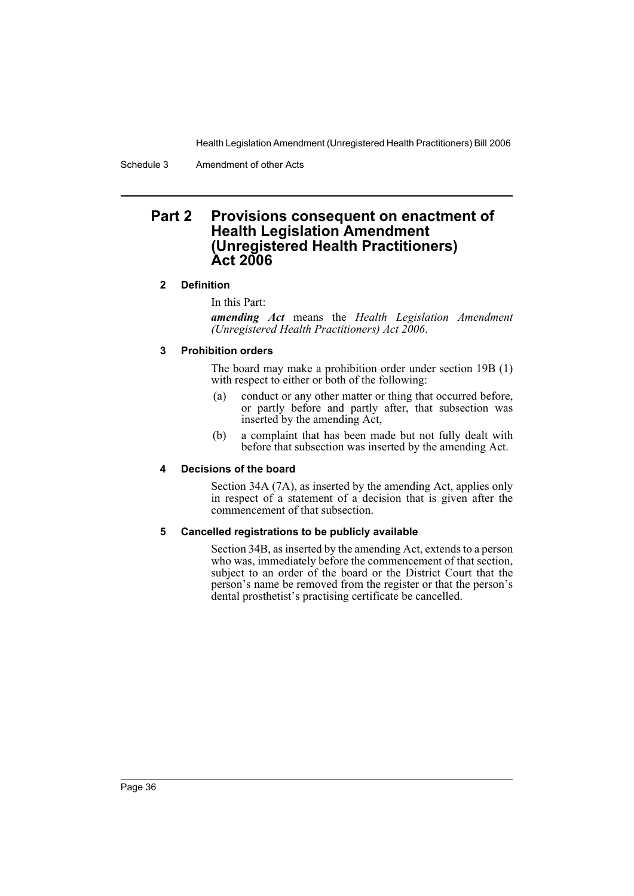Schedule 3 Amendment of other Acts

# **Part 2 Provisions consequent on enactment of Health Legislation Amendment (Unregistered Health Practitioners) Act 2006**

### **2 Definition**

In this Part:

*amending Act* means the *Health Legislation Amendment (Unregistered Health Practitioners) Act 2006*.

### **3 Prohibition orders**

The board may make a prohibition order under section 19B (1) with respect to either or both of the following:

- (a) conduct or any other matter or thing that occurred before, or partly before and partly after, that subsection was inserted by the amending Act,
- (b) a complaint that has been made but not fully dealt with before that subsection was inserted by the amending Act.

### **4 Decisions of the board**

Section 34A (7A), as inserted by the amending Act, applies only in respect of a statement of a decision that is given after the commencement of that subsection.

### **5 Cancelled registrations to be publicly available**

Section 34B, as inserted by the amending Act, extends to a person who was, immediately before the commencement of that section, subject to an order of the board or the District Court that the person's name be removed from the register or that the person's dental prosthetist's practising certificate be cancelled.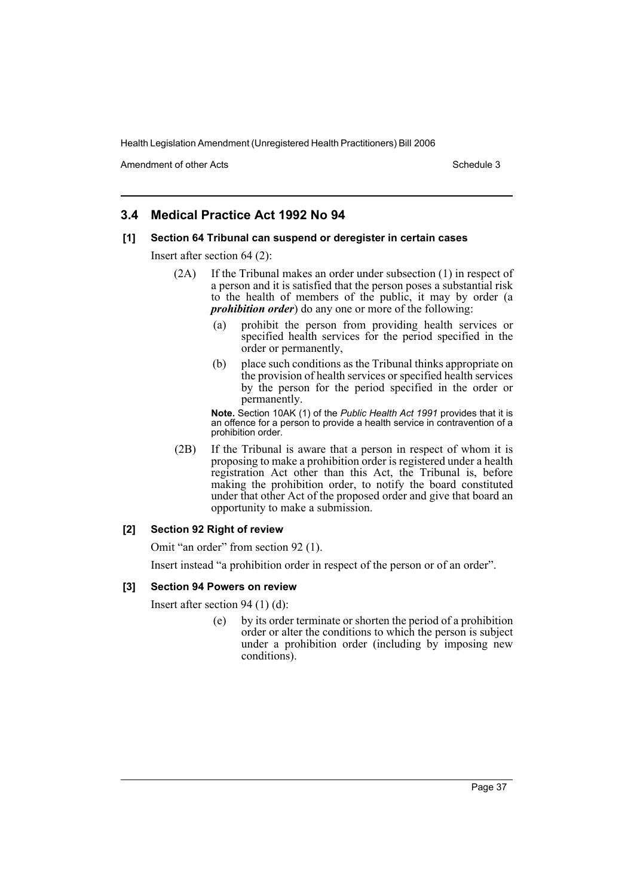Amendment of other Acts **Schedule 3** and the 3 schedule 3

# **3.4 Medical Practice Act 1992 No 94**

### **[1] Section 64 Tribunal can suspend or deregister in certain cases**

Insert after section 64 (2):

- (2A) If the Tribunal makes an order under subsection (1) in respect of a person and it is satisfied that the person poses a substantial risk to the health of members of the public, it may by order (a *prohibition order*) do any one or more of the following:
	- (a) prohibit the person from providing health services or specified health services for the period specified in the order or permanently,
	- (b) place such conditions as the Tribunal thinks appropriate on the provision of health services or specified health services by the person for the period specified in the order or permanently.

**Note.** Section 10AK (1) of the *Public Health Act 1991* provides that it is an offence for a person to provide a health service in contravention of a prohibition order.

(2B) If the Tribunal is aware that a person in respect of whom it is proposing to make a prohibition order is registered under a health registration Act other than this Act, the Tribunal is, before making the prohibition order, to notify the board constituted under that other Act of the proposed order and give that board an opportunity to make a submission.

### **[2] Section 92 Right of review**

Omit "an order" from section 92 (1).

Insert instead "a prohibition order in respect of the person or of an order".

### **[3] Section 94 Powers on review**

Insert after section 94 (1) (d):

(e) by its order terminate or shorten the period of a prohibition order or alter the conditions to which the person is subject under a prohibition order (including by imposing new conditions).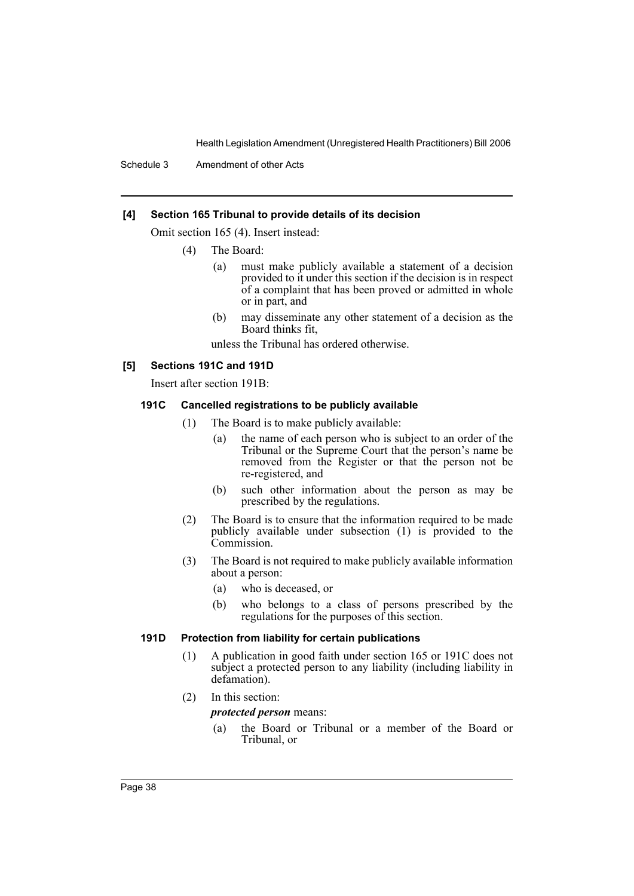Schedule 3 Amendment of other Acts

#### **[4] Section 165 Tribunal to provide details of its decision**

Omit section 165 (4). Insert instead:

- (4) The Board:
	- (a) must make publicly available a statement of a decision provided to it under this section if the decision is in respect of a complaint that has been proved or admitted in whole or in part, and
	- (b) may disseminate any other statement of a decision as the Board thinks fit,

unless the Tribunal has ordered otherwise.

#### **[5] Sections 191C and 191D**

Insert after section 191B:

### **191C Cancelled registrations to be publicly available**

- (1) The Board is to make publicly available:
	- (a) the name of each person who is subject to an order of the Tribunal or the Supreme Court that the person's name be removed from the Register or that the person not be re-registered, and
	- (b) such other information about the person as may be prescribed by the regulations.
- (2) The Board is to ensure that the information required to be made publicly available under subsection (1) is provided to the Commission.
- (3) The Board is not required to make publicly available information about a person:
	- (a) who is deceased, or
	- (b) who belongs to a class of persons prescribed by the regulations for the purposes of this section.

### **191D Protection from liability for certain publications**

- (1) A publication in good faith under section 165 or 191C does not subject a protected person to any liability (including liability in defamation).
- (2) In this section:

*protected person* means:

(a) the Board or Tribunal or a member of the Board or Tribunal, or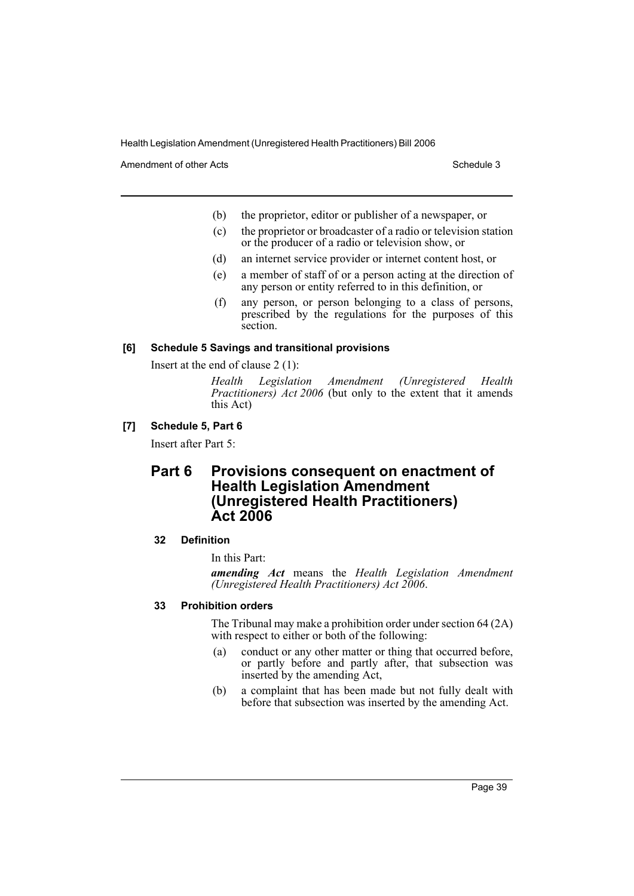Amendment of other Acts **Schedule 3** and the 3 sense of the 3 sense of the 3 sense of the 3 sense of the 3 sense of the 3 sense of the 3 sense of the 3 sense of the 3 sense of the 3 sense of the 3 sense of the 3 sense of t

- (b) the proprietor, editor or publisher of a newspaper, or
- (c) the proprietor or broadcaster of a radio or television station or the producer of a radio or television show, or
- (d) an internet service provider or internet content host, or
- (e) a member of staff of or a person acting at the direction of any person or entity referred to in this definition, or
- (f) any person, or person belonging to a class of persons, prescribed by the regulations for the purposes of this section.

### **[6] Schedule 5 Savings and transitional provisions**

Insert at the end of clause 2 (1):

*Health Legislation Amendment (Unregistered Health Practitioners) Act 2006* (but only to the extent that it amends this Act)

### **[7] Schedule 5, Part 6**

Insert after Part 5:

# **Part 6 Provisions consequent on enactment of Health Legislation Amendment (Unregistered Health Practitioners) Act 2006**

### **32 Definition**

In this Part:

*amending Act* means the *Health Legislation Amendment (Unregistered Health Practitioners) Act 2006*.

### **33 Prohibition orders**

The Tribunal may make a prohibition order under section 64 (2A) with respect to either or both of the following:

- (a) conduct or any other matter or thing that occurred before, or partly before and partly after, that subsection was inserted by the amending Act,
- (b) a complaint that has been made but not fully dealt with before that subsection was inserted by the amending Act.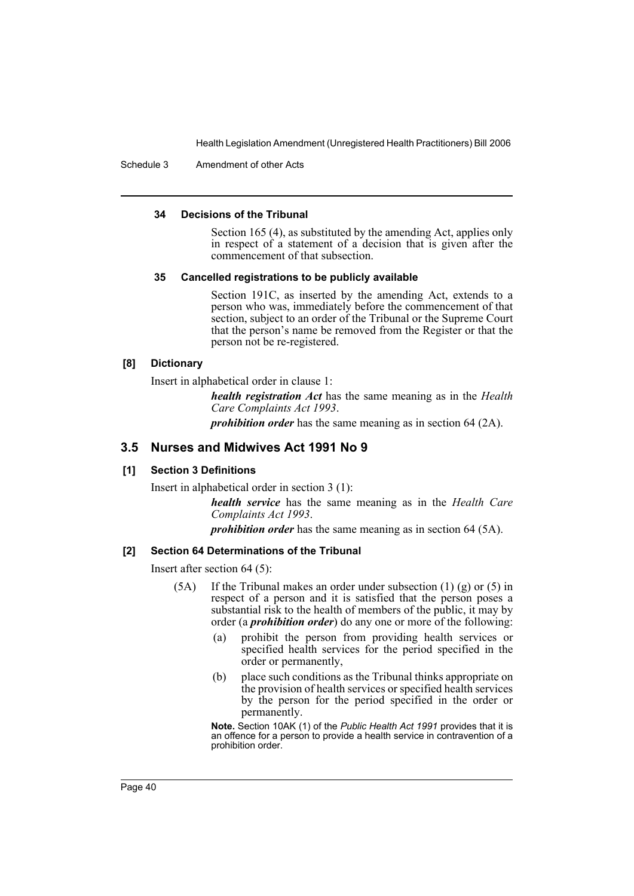Schedule 3 Amendment of other Acts

#### **34 Decisions of the Tribunal**

Section 165 (4), as substituted by the amending Act, applies only in respect of a statement of a decision that is given after the commencement of that subsection.

#### **35 Cancelled registrations to be publicly available**

Section 191C, as inserted by the amending Act, extends to a person who was, immediately before the commencement of that section, subject to an order of the Tribunal or the Supreme Court that the person's name be removed from the Register or that the person not be re-registered.

#### **[8] Dictionary**

Insert in alphabetical order in clause 1:

*health registration Act* has the same meaning as in the *Health Care Complaints Act 1993*.

*prohibition order* has the same meaning as in section 64 (2A).

### **3.5 Nurses and Midwives Act 1991 No 9**

#### **[1] Section 3 Definitions**

Insert in alphabetical order in section 3 (1):

*health service* has the same meaning as in the *Health Care Complaints Act 1993*.

*prohibition order* has the same meaning as in section 64 (5A).

#### **[2] Section 64 Determinations of the Tribunal**

Insert after section 64 (5):

- (5A) If the Tribunal makes an order under subsection (1) (g) or (5) in respect of a person and it is satisfied that the person poses a substantial risk to the health of members of the public, it may by order (a *prohibition order*) do any one or more of the following:
	- (a) prohibit the person from providing health services or specified health services for the period specified in the order or permanently,
	- (b) place such conditions as the Tribunal thinks appropriate on the provision of health services or specified health services by the person for the period specified in the order or permanently.

**Note.** Section 10AK (1) of the *Public Health Act 1991* provides that it is an offence for a person to provide a health service in contravention of a prohibition order.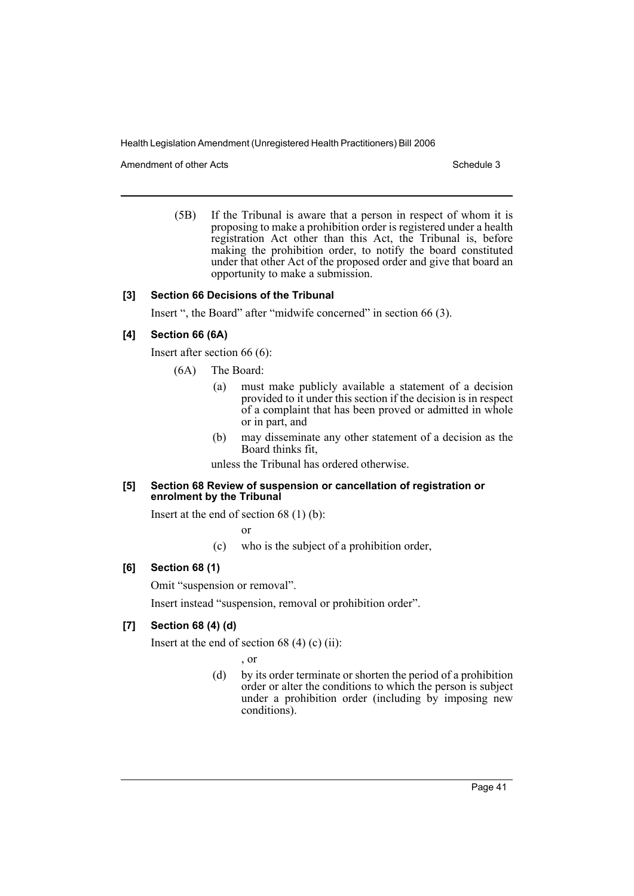Amendment of other Acts **Schedule 3** and the 3 set of the 3 set of the 3 set of the 3 set of the 3 set of the 3 set of the 3 set of the 3 set of the 3 set of the 3 set of the 3 set of the 3 set of the 3 set of the 3 set of

(5B) If the Tribunal is aware that a person in respect of whom it is proposing to make a prohibition order is registered under a health registration Act other than this Act, the Tribunal is, before making the prohibition order, to notify the board constituted under that other Act of the proposed order and give that board an opportunity to make a submission.

### **[3] Section 66 Decisions of the Tribunal**

Insert ", the Board" after "midwife concerned" in section 66 (3).

### **[4] Section 66 (6A)**

Insert after section 66 (6):

- (6A) The Board:
	- (a) must make publicly available a statement of a decision provided to it under this section if the decision is in respect of a complaint that has been proved or admitted in whole or in part, and
	- (b) may disseminate any other statement of a decision as the Board thinks fit,

unless the Tribunal has ordered otherwise.

#### **[5] Section 68 Review of suspension or cancellation of registration or enrolment by the Tribunal**

Insert at the end of section 68 (1) (b):

or

(c) who is the subject of a prohibition order,

### **[6] Section 68 (1)**

Omit "suspension or removal".

Insert instead "suspension, removal or prohibition order".

### **[7] Section 68 (4) (d)**

Insert at the end of section 68  $(4)$  (c) (ii):

, or

(d) by its order terminate or shorten the period of a prohibition order or alter the conditions to which the person is subject under a prohibition order (including by imposing new conditions).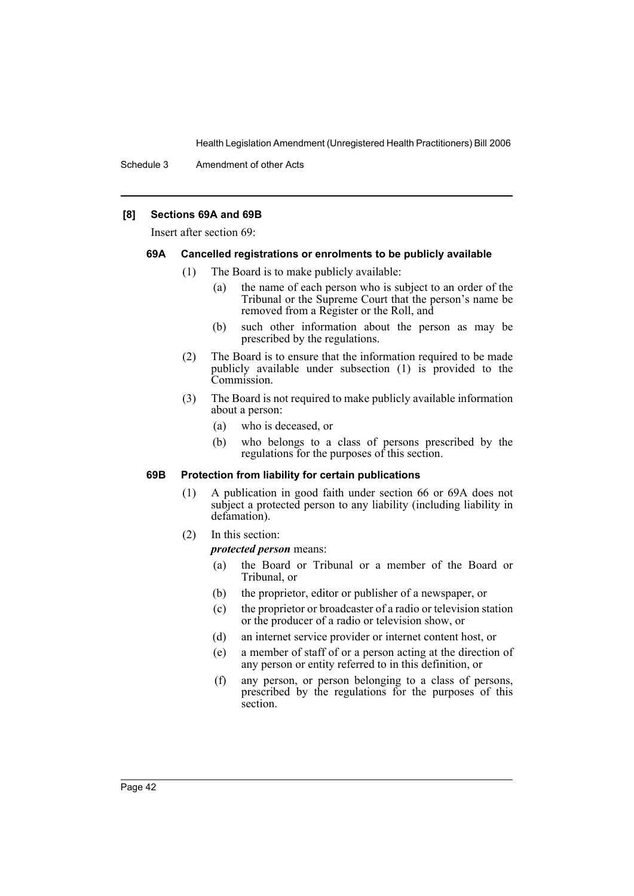### **[8] Sections 69A and 69B**

Insert after section 69:

#### **69A Cancelled registrations or enrolments to be publicly available**

- (1) The Board is to make publicly available:
	- (a) the name of each person who is subject to an order of the Tribunal or the Supreme Court that the person's name be removed from a Register or the Roll, and
	- (b) such other information about the person as may be prescribed by the regulations.
- (2) The Board is to ensure that the information required to be made publicly available under subsection (1) is provided to the Commission.
- (3) The Board is not required to make publicly available information about a person:
	- (a) who is deceased, or
	- (b) who belongs to a class of persons prescribed by the regulations for the purposes of this section.

#### **69B Protection from liability for certain publications**

- (1) A publication in good faith under section 66 or 69A does not subject a protected person to any liability (including liability in defamation).
- (2) In this section:

*protected person* means:

- (a) the Board or Tribunal or a member of the Board or Tribunal, or
- (b) the proprietor, editor or publisher of a newspaper, or
- (c) the proprietor or broadcaster of a radio or television station or the producer of a radio or television show, or
- (d) an internet service provider or internet content host, or
- (e) a member of staff of or a person acting at the direction of any person or entity referred to in this definition, or
- (f) any person, or person belonging to a class of persons, prescribed by the regulations for the purposes of this section.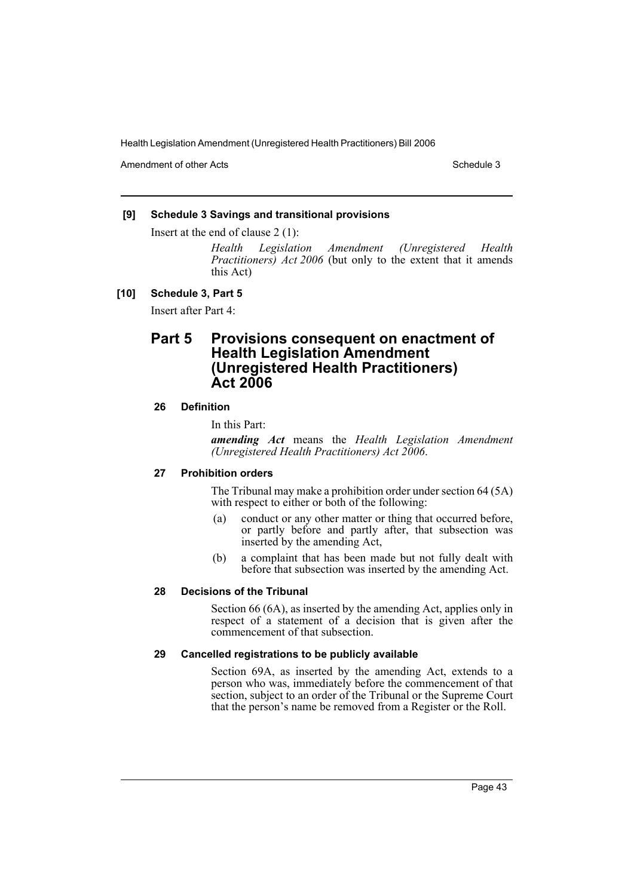Amendment of other Acts **Schedule 3** and the 3 schedule 3

### **[9] Schedule 3 Savings and transitional provisions**

Insert at the end of clause 2 (1):

*Health Legislation Amendment (Unregistered Health Practitioners) Act 2006* (but only to the extent that it amends this Act)

#### **[10] Schedule 3, Part 5**

Insert after Part 4:

# **Part 5 Provisions consequent on enactment of Health Legislation Amendment (Unregistered Health Practitioners) Act 2006**

### **26 Definition**

In this Part:

*amending Act* means the *Health Legislation Amendment (Unregistered Health Practitioners) Act 2006*.

### **27 Prohibition orders**

The Tribunal may make a prohibition order under section 64 (5A) with respect to either or both of the following:

- (a) conduct or any other matter or thing that occurred before, or partly before and partly after, that subsection was inserted by the amending Act,
- (b) a complaint that has been made but not fully dealt with before that subsection was inserted by the amending Act.

#### **28 Decisions of the Tribunal**

Section 66 (6A), as inserted by the amending Act, applies only in respect of a statement of a decision that is given after the commencement of that subsection.

#### **29 Cancelled registrations to be publicly available**

Section 69A, as inserted by the amending Act, extends to a person who was, immediately before the commencement of that section, subject to an order of the Tribunal or the Supreme Court that the person's name be removed from a Register or the Roll.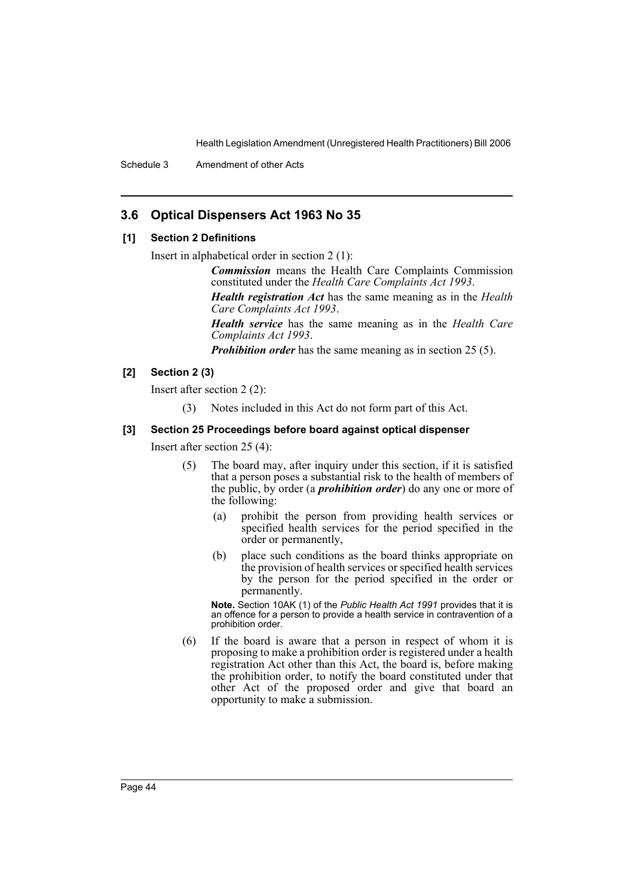Schedule 3 Amendment of other Acts

# **3.6 Optical Dispensers Act 1963 No 35**

### **[1] Section 2 Definitions**

Insert in alphabetical order in section 2 (1):

*Commission* means the Health Care Complaints Commission constituted under the *Health Care Complaints Act 1993*.

*Health registration Act* has the same meaning as in the *Health Care Complaints Act 1993*.

*Health service* has the same meaning as in the *Health Care Complaints Act 1993*.

*Prohibition order* has the same meaning as in section 25 (5).

### **[2] Section 2 (3)**

Insert after section 2 (2):

(3) Notes included in this Act do not form part of this Act.

#### **[3] Section 25 Proceedings before board against optical dispenser**

Insert after section 25 (4):

- (5) The board may, after inquiry under this section, if it is satisfied that a person poses a substantial risk to the health of members of the public, by order (a *prohibition order*) do any one or more of the following:
	- (a) prohibit the person from providing health services or specified health services for the period specified in the order or permanently,
	- (b) place such conditions as the board thinks appropriate on the provision of health services or specified health services by the person for the period specified in the order or permanently.

**Note.** Section 10AK (1) of the *Public Health Act 1991* provides that it is an offence for a person to provide a health service in contravention of a prohibition order.

(6) If the board is aware that a person in respect of whom it is proposing to make a prohibition order is registered under a health registration Act other than this Act, the board is, before making the prohibition order, to notify the board constituted under that other Act of the proposed order and give that board an opportunity to make a submission.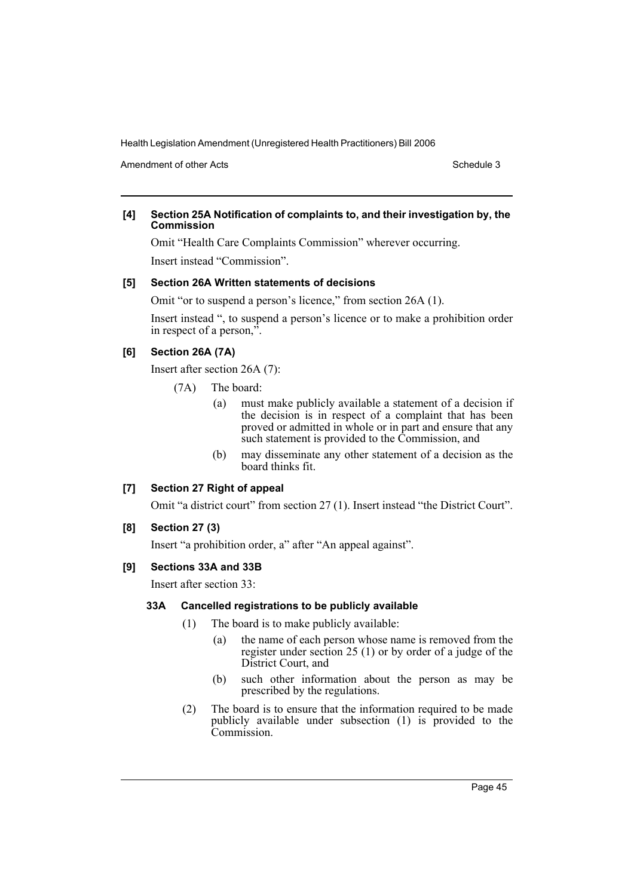Amendment of other Acts **Schedule 3** and the 3 set of the 3 set of the 3 set of the 3 set of the 3 set of the 3 set of the 3 set of the 3 set of the 3 set of the 3 set of the 3 set of the 3 set of the 3 set of the 3 set of

### **[4] Section 25A Notification of complaints to, and their investigation by, the Commission**

Omit "Health Care Complaints Commission" wherever occurring. Insert instead "Commission".

### **[5] Section 26A Written statements of decisions**

Omit "or to suspend a person's licence," from section 26A (1).

Insert instead ", to suspend a person's licence or to make a prohibition order in respect of a person,".

# **[6] Section 26A (7A)**

Insert after section 26A (7):

- (7A) The board:
	- (a) must make publicly available a statement of a decision if the decision is in respect of a complaint that has been proved or admitted in whole or in part and ensure that any such statement is provided to the Commission, and
	- (b) may disseminate any other statement of a decision as the board thinks fit.

### **[7] Section 27 Right of appeal**

Omit "a district court" from section 27 (1). Insert instead "the District Court".

### **[8] Section 27 (3)**

Insert "a prohibition order, a" after "An appeal against".

### **[9] Sections 33A and 33B**

Insert after section 33:

#### **33A Cancelled registrations to be publicly available**

- (1) The board is to make publicly available:
	- (a) the name of each person whose name is removed from the register under section 25 (1) or by order of a judge of the District Court, and
	- (b) such other information about the person as may be prescribed by the regulations.
- (2) The board is to ensure that the information required to be made publicly available under subsection (1) is provided to the Commission.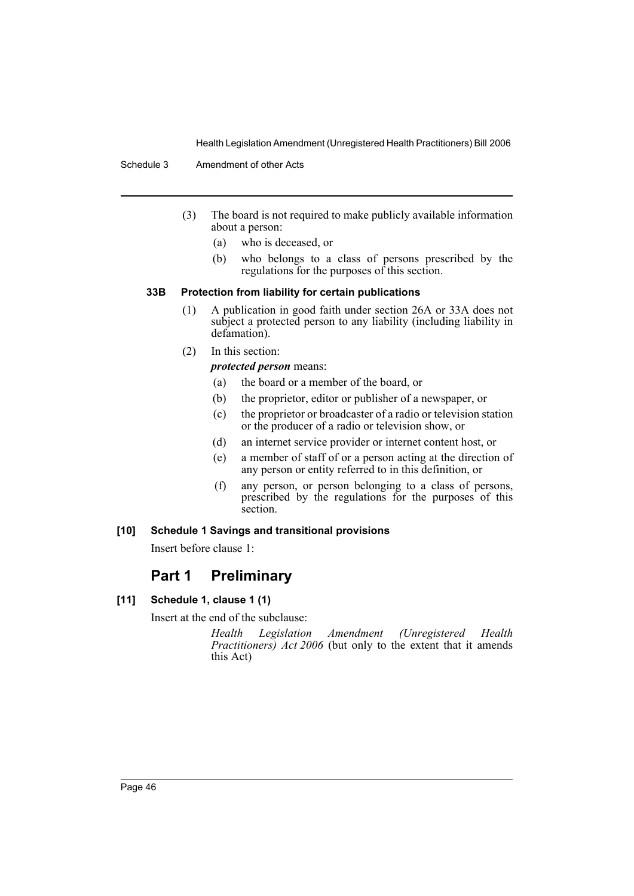Schedule 3 Amendment of other Acts

- (3) The board is not required to make publicly available information about a person:
	- (a) who is deceased, or
	- (b) who belongs to a class of persons prescribed by the regulations for the purposes of this section.

### **33B Protection from liability for certain publications**

- (1) A publication in good faith under section 26A or 33A does not subject a protected person to any liability (including liability in defamation).
- (2) In this section:

*protected person* means:

- (a) the board or a member of the board, or
- (b) the proprietor, editor or publisher of a newspaper, or
- (c) the proprietor or broadcaster of a radio or television station or the producer of a radio or television show, or
- (d) an internet service provider or internet content host, or
- (e) a member of staff of or a person acting at the direction of any person or entity referred to in this definition, or
- (f) any person, or person belonging to a class of persons, prescribed by the regulations for the purposes of this section.

### **[10] Schedule 1 Savings and transitional provisions**

Insert before clause 1:

# **Part 1 Preliminary**

**[11] Schedule 1, clause 1 (1)**

Insert at the end of the subclause:

*Health Legislation Amendment (Unregistered Health Practitioners) Act 2006* (but only to the extent that it amends this Act)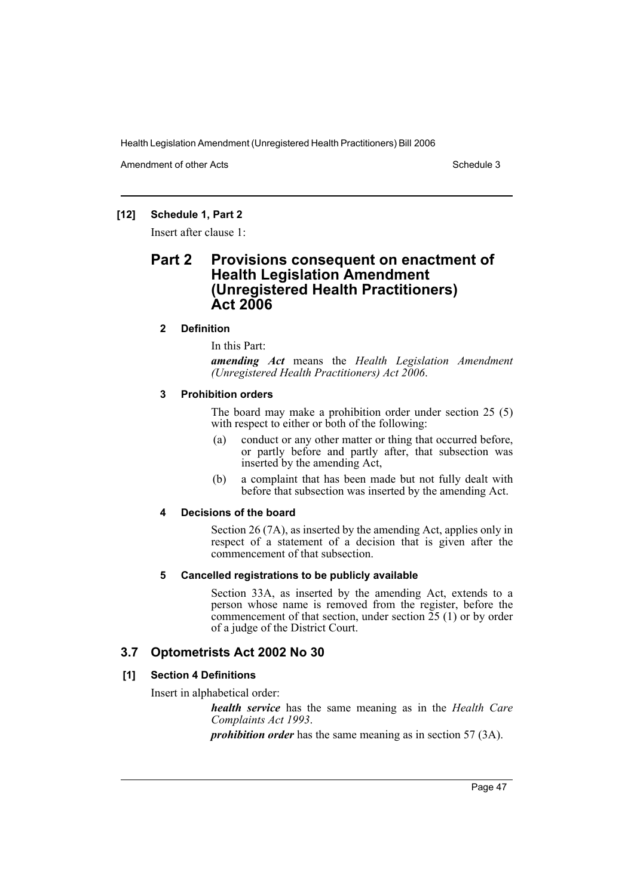Amendment of other Acts **Schedule 3** and the 3 schedule 3

## **[12] Schedule 1, Part 2**

Insert after clause 1:

# **Part 2 Provisions consequent on enactment of Health Legislation Amendment (Unregistered Health Practitioners) Act 2006**

## **2 Definition**

In this Part:

*amending Act* means the *Health Legislation Amendment (Unregistered Health Practitioners) Act 2006*.

### **3 Prohibition orders**

The board may make a prohibition order under section 25 (5) with respect to either or both of the following:

- (a) conduct or any other matter or thing that occurred before, or partly before and partly after, that subsection was inserted by the amending Act,
- (b) a complaint that has been made but not fully dealt with before that subsection was inserted by the amending Act.

### **4 Decisions of the board**

Section 26 (7A), as inserted by the amending Act, applies only in respect of a statement of a decision that is given after the commencement of that subsection.

### **5 Cancelled registrations to be publicly available**

Section 33A, as inserted by the amending Act, extends to a person whose name is removed from the register, before the commencement of that section, under section  $\tilde{25}$  (1) or by order of a judge of the District Court.

# **3.7 Optometrists Act 2002 No 30**

# **[1] Section 4 Definitions**

Insert in alphabetical order:

*health service* has the same meaning as in the *Health Care Complaints Act 1993*.

*prohibition order* has the same meaning as in section 57 (3A).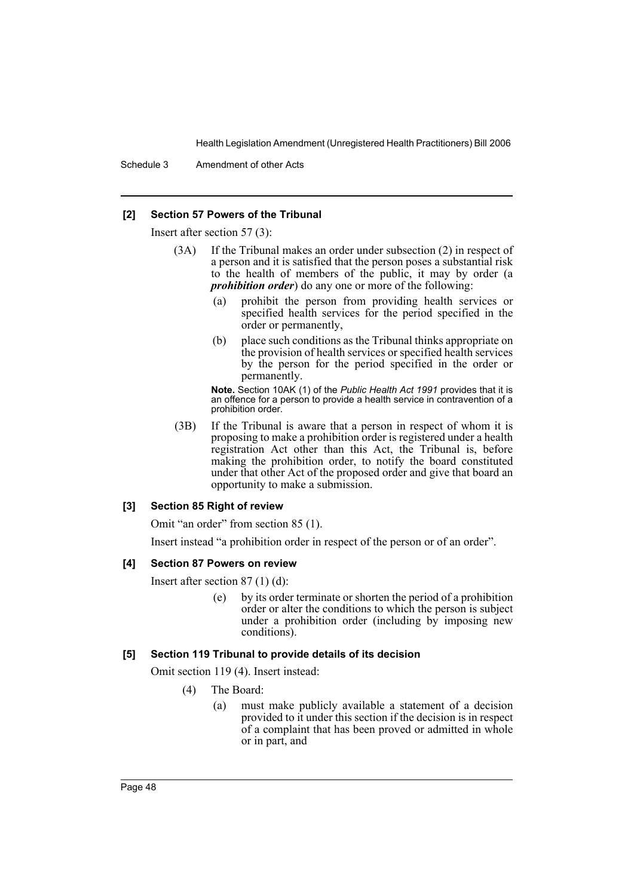Schedule 3 Amendment of other Acts

#### **[2] Section 57 Powers of the Tribunal**

Insert after section 57 (3):

- (3A) If the Tribunal makes an order under subsection (2) in respect of a person and it is satisfied that the person poses a substantial risk to the health of members of the public, it may by order (a *prohibition order*) do any one or more of the following:
	- (a) prohibit the person from providing health services or specified health services for the period specified in the order or permanently,
	- (b) place such conditions as the Tribunal thinks appropriate on the provision of health services or specified health services by the person for the period specified in the order or permanently.

**Note.** Section 10AK (1) of the *Public Health Act 1991* provides that it is an offence for a person to provide a health service in contravention of a prohibition order.

(3B) If the Tribunal is aware that a person in respect of whom it is proposing to make a prohibition order is registered under a health registration Act other than this Act, the Tribunal is, before making the prohibition order, to notify the board constituted under that other Act of the proposed order and give that board an opportunity to make a submission.

#### **[3] Section 85 Right of review**

Omit "an order" from section 85 (1).

Insert instead "a prohibition order in respect of the person or of an order".

#### **[4] Section 87 Powers on review**

Insert after section 87 (1) (d):

(e) by its order terminate or shorten the period of a prohibition order or alter the conditions to which the person is subject under a prohibition order (including by imposing new conditions).

#### **[5] Section 119 Tribunal to provide details of its decision**

Omit section 119 (4). Insert instead:

- (4) The Board:
	- (a) must make publicly available a statement of a decision provided to it under this section if the decision is in respect of a complaint that has been proved or admitted in whole or in part, and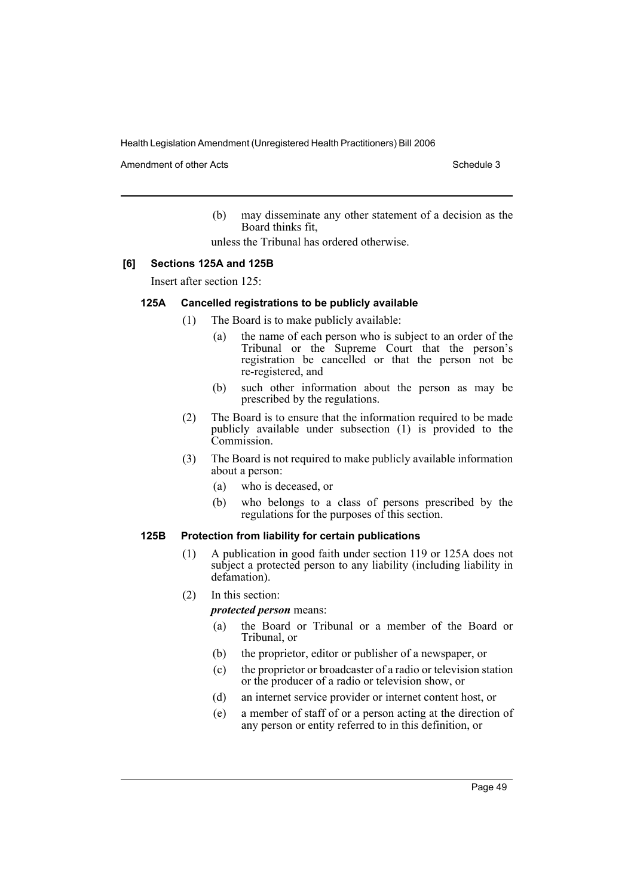Amendment of other Acts **Schedule 3** and the 3 set of the 3 set of the 3 set of the 3 set of the 3 set of the 3 set of the 3 set of the 3 set of the 3 set of the 3 set of the 3 set of the 3 set of the 3 set of the 3 set of

(b) may disseminate any other statement of a decision as the Board thinks fit,

unless the Tribunal has ordered otherwise.

### **[6] Sections 125A and 125B**

Insert after section 125:

#### **125A Cancelled registrations to be publicly available**

- (1) The Board is to make publicly available:
	- (a) the name of each person who is subject to an order of the Tribunal or the Supreme Court that the person's registration be cancelled or that the person not be re-registered, and
	- (b) such other information about the person as may be prescribed by the regulations.
	- (2) The Board is to ensure that the information required to be made publicly available under subsection (1) is provided to the Commission.
	- (3) The Board is not required to make publicly available information about a person:
		- (a) who is deceased, or
		- (b) who belongs to a class of persons prescribed by the regulations for the purposes of this section.

#### **125B Protection from liability for certain publications**

- (1) A publication in good faith under section 119 or 125A does not subject a protected person to any liability (including liability in defamation).
- (2) In this section:

*protected person* means:

- (a) the Board or Tribunal or a member of the Board or Tribunal, or
- (b) the proprietor, editor or publisher of a newspaper, or
- (c) the proprietor or broadcaster of a radio or television station or the producer of a radio or television show, or
- (d) an internet service provider or internet content host, or
- (e) a member of staff of or a person acting at the direction of any person or entity referred to in this definition, or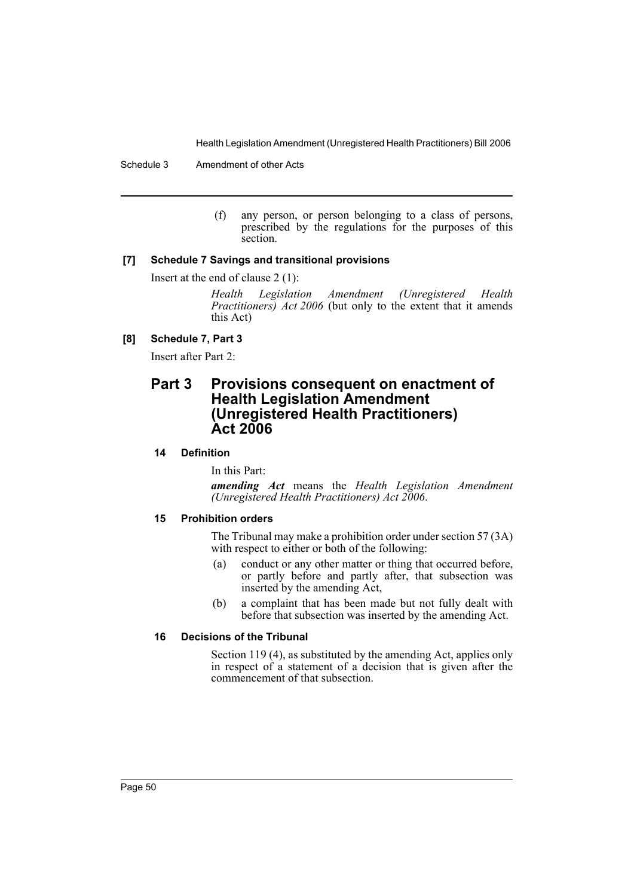(f) any person, or person belonging to a class of persons, prescribed by the regulations for the purposes of this section.

### **[7] Schedule 7 Savings and transitional provisions**

Insert at the end of clause 2 (1):

*Health Legislation Amendment (Unregistered Health Practitioners) Act 2006* (but only to the extent that it amends this Act)

## **[8] Schedule 7, Part 3**

Insert after Part 2:

# **Part 3 Provisions consequent on enactment of Health Legislation Amendment (Unregistered Health Practitioners) Act 2006**

## **14 Definition**

In this Part:

*amending Act* means the *Health Legislation Amendment (Unregistered Health Practitioners) Act 2006*.

### **15 Prohibition orders**

The Tribunal may make a prohibition order under section 57 (3A) with respect to either or both of the following:

- (a) conduct or any other matter or thing that occurred before, or partly before and partly after, that subsection was inserted by the amending Act,
- (b) a complaint that has been made but not fully dealt with before that subsection was inserted by the amending Act.

### **16 Decisions of the Tribunal**

Section 119 (4), as substituted by the amending Act, applies only in respect of a statement of a decision that is given after the commencement of that subsection.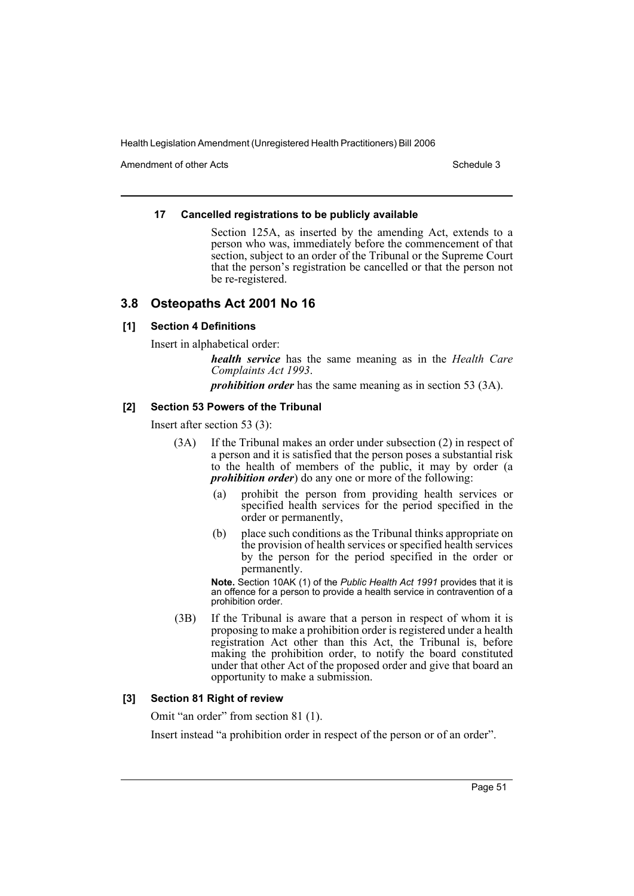Amendment of other Acts **Schedule 3** and the 3 schedule 3

### **17 Cancelled registrations to be publicly available**

Section 125A, as inserted by the amending Act, extends to a person who was, immediately before the commencement of that section, subject to an order of the Tribunal or the Supreme Court that the person's registration be cancelled or that the person not be re-registered.

# **3.8 Osteopaths Act 2001 No 16**

### **[1] Section 4 Definitions**

Insert in alphabetical order:

*health service* has the same meaning as in the *Health Care Complaints Act 1993*.

*prohibition order* has the same meaning as in section 53 (3A).

### **[2] Section 53 Powers of the Tribunal**

Insert after section 53 (3):

- (3A) If the Tribunal makes an order under subsection (2) in respect of a person and it is satisfied that the person poses a substantial risk to the health of members of the public, it may by order (a *prohibition order*) do any one or more of the following:
	- (a) prohibit the person from providing health services or specified health services for the period specified in the order or permanently,
	- (b) place such conditions as the Tribunal thinks appropriate on the provision of health services or specified health services by the person for the period specified in the order or permanently.

**Note.** Section 10AK (1) of the *Public Health Act 1991* provides that it is an offence for a person to provide a health service in contravention of a prohibition order.

(3B) If the Tribunal is aware that a person in respect of whom it is proposing to make a prohibition order is registered under a health registration Act other than this Act, the Tribunal is, before making the prohibition order, to notify the board constituted under that other Act of the proposed order and give that board an opportunity to make a submission.

### **[3] Section 81 Right of review**

Omit "an order" from section 81 (1).

Insert instead "a prohibition order in respect of the person or of an order".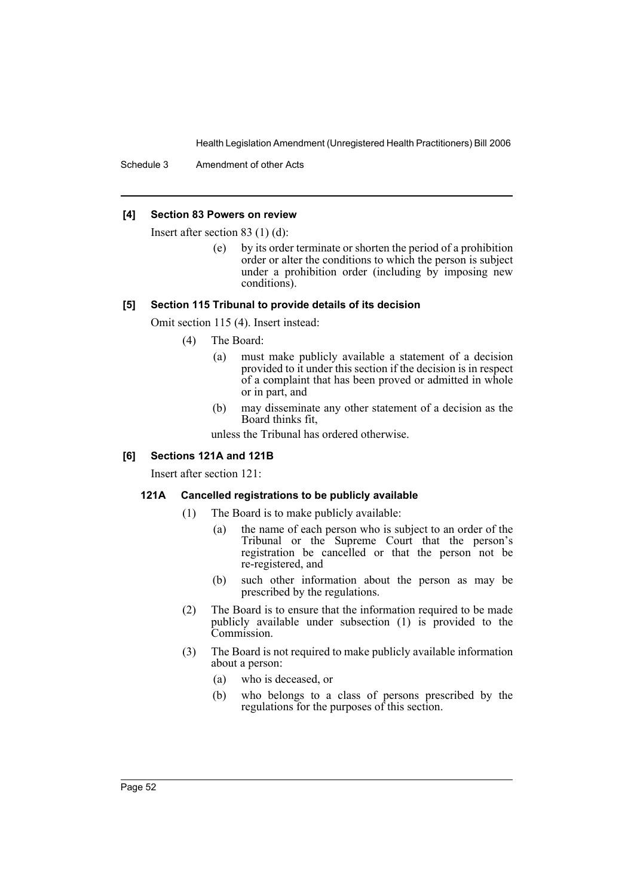Schedule 3 Amendment of other Acts

#### **[4] Section 83 Powers on review**

Insert after section 83 (1) (d):

(e) by its order terminate or shorten the period of a prohibition order or alter the conditions to which the person is subject under a prohibition order (including by imposing new conditions).

#### **[5] Section 115 Tribunal to provide details of its decision**

Omit section 115 (4). Insert instead:

- (4) The Board:
	- (a) must make publicly available a statement of a decision provided to it under this section if the decision is in respect of a complaint that has been proved or admitted in whole or in part, and
	- (b) may disseminate any other statement of a decision as the Board thinks fit,

unless the Tribunal has ordered otherwise.

#### **[6] Sections 121A and 121B**

Insert after section 121:

#### **121A Cancelled registrations to be publicly available**

- (1) The Board is to make publicly available:
	- (a) the name of each person who is subject to an order of the Tribunal or the Supreme Court that the person's registration be cancelled or that the person not be re-registered, and
	- (b) such other information about the person as may be prescribed by the regulations.
- (2) The Board is to ensure that the information required to be made publicly available under subsection  $(1)$  is provided to the Commission.
- (3) The Board is not required to make publicly available information about a person:
	- (a) who is deceased, or
	- (b) who belongs to a class of persons prescribed by the regulations for the purposes of this section.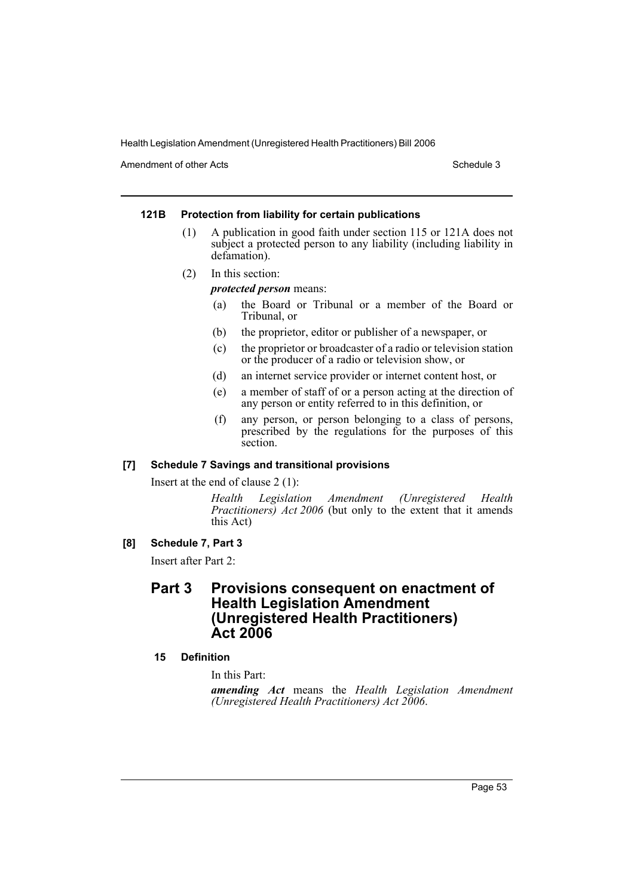Amendment of other Acts **Schedule 3** and the 3 schedule 3

#### **121B Protection from liability for certain publications**

- (1) A publication in good faith under section 115 or 121A does not subject a protected person to any liability (including liability in defamation).
- (2) In this section:

#### *protected person* means:

- (a) the Board or Tribunal or a member of the Board or Tribunal, or
- (b) the proprietor, editor or publisher of a newspaper, or
- (c) the proprietor or broadcaster of a radio or television station or the producer of a radio or television show, or
- (d) an internet service provider or internet content host, or
- (e) a member of staff of or a person acting at the direction of any person or entity referred to in this definition, or
- (f) any person, or person belonging to a class of persons, prescribed by the regulations for the purposes of this section.

#### **[7] Schedule 7 Savings and transitional provisions**

Insert at the end of clause 2 (1):

*Health Legislation Amendment (Unregistered Health Practitioners) Act 2006* (but only to the extent that it amends this Act)

### **[8] Schedule 7, Part 3**

Insert after Part 2:

# **Part 3 Provisions consequent on enactment of Health Legislation Amendment (Unregistered Health Practitioners) Act 2006**

#### **15 Definition**

In this Part:

*amending Act* means the *Health Legislation Amendment (Unregistered Health Practitioners) Act 2006*.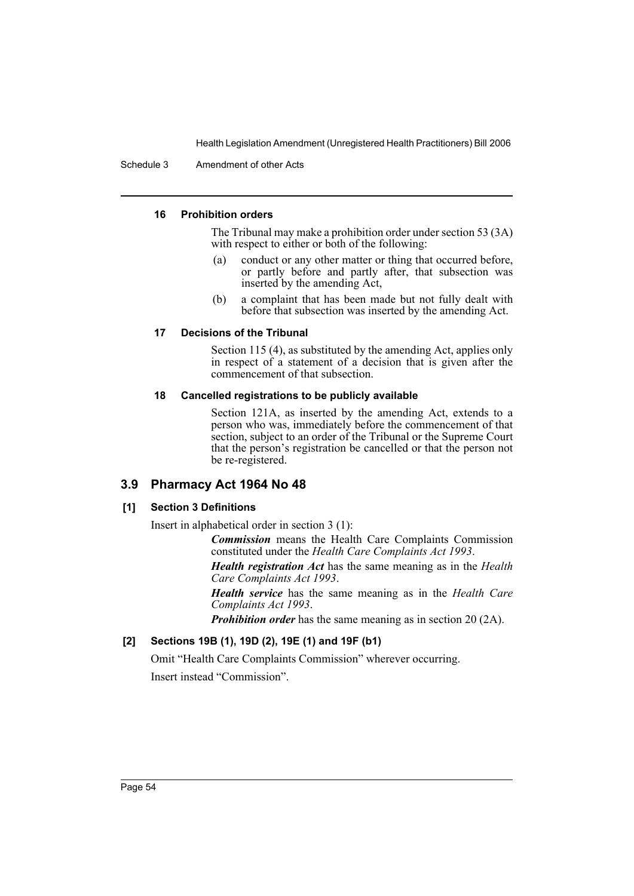Schedule 3 Amendment of other Acts

### **16 Prohibition orders**

The Tribunal may make a prohibition order under section 53 (3A) with respect to either or both of the following:

- (a) conduct or any other matter or thing that occurred before, or partly before and partly after, that subsection was inserted by the amending Act,
- (b) a complaint that has been made but not fully dealt with before that subsection was inserted by the amending Act.

### **17 Decisions of the Tribunal**

Section 115 (4), as substituted by the amending Act, applies only in respect of a statement of a decision that is given after the commencement of that subsection.

### **18 Cancelled registrations to be publicly available**

Section 121A, as inserted by the amending Act, extends to a person who was, immediately before the commencement of that section, subject to an order of the Tribunal or the Supreme Court that the person's registration be cancelled or that the person not be re-registered.

### **3.9 Pharmacy Act 1964 No 48**

### **[1] Section 3 Definitions**

Insert in alphabetical order in section 3 (1):

*Commission* means the Health Care Complaints Commission constituted under the *Health Care Complaints Act 1993*.

*Health registration Act* has the same meaning as in the *Health Care Complaints Act 1993*.

*Health service* has the same meaning as in the *Health Care Complaints Act 1993*.

*Prohibition order* has the same meaning as in section 20 (2A).

# **[2] Sections 19B (1), 19D (2), 19E (1) and 19F (b1)**

Omit "Health Care Complaints Commission" wherever occurring. Insert instead "Commission".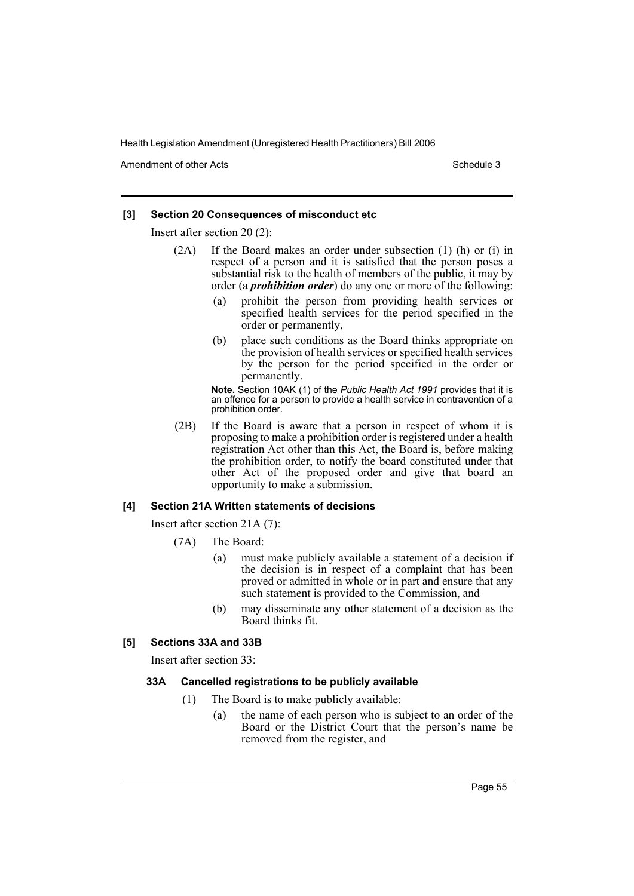Amendment of other Acts **Schedule 3** and the 3 schedule 3

### **[3] Section 20 Consequences of misconduct etc**

Insert after section 20 (2):

- (2A) If the Board makes an order under subsection (1) (h) or (i) in respect of a person and it is satisfied that the person poses a substantial risk to the health of members of the public, it may by order (a *prohibition order*) do any one or more of the following:
	- (a) prohibit the person from providing health services or specified health services for the period specified in the order or permanently,
	- (b) place such conditions as the Board thinks appropriate on the provision of health services or specified health services by the person for the period specified in the order or permanently.

**Note.** Section 10AK (1) of the *Public Health Act 1991* provides that it is an offence for a person to provide a health service in contravention of a prohibition order.

(2B) If the Board is aware that a person in respect of whom it is proposing to make a prohibition order is registered under a health registration Act other than this Act, the Board is, before making the prohibition order, to notify the board constituted under that other Act of the proposed order and give that board an opportunity to make a submission.

#### **[4] Section 21A Written statements of decisions**

Insert after section 21A (7):

- (7A) The Board:
	- (a) must make publicly available a statement of a decision if the decision is in respect of a complaint that has been proved or admitted in whole or in part and ensure that any such statement is provided to the Commission, and
	- (b) may disseminate any other statement of a decision as the Board thinks fit.

### **[5] Sections 33A and 33B**

Insert after section 33:

#### **33A Cancelled registrations to be publicly available**

- (1) The Board is to make publicly available:
	- (a) the name of each person who is subject to an order of the Board or the District Court that the person's name be removed from the register, and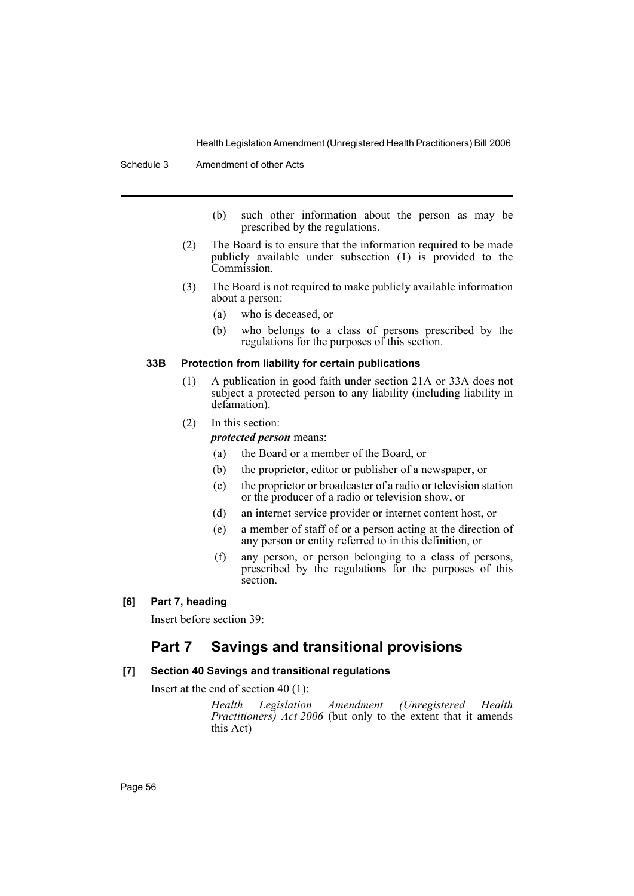- (b) such other information about the person as may be prescribed by the regulations.
- (2) The Board is to ensure that the information required to be made publicly available under subsection (1) is provided to the Commission.
- (3) The Board is not required to make publicly available information about a person:
	- (a) who is deceased, or
	- (b) who belongs to a class of persons prescribed by the regulations for the purposes of this section.

#### **33B Protection from liability for certain publications**

- (1) A publication in good faith under section 21A or 33A does not subject a protected person to any liability (including liability in defamation).
- (2) In this section:

*protected person* means:

- (a) the Board or a member of the Board, or
- (b) the proprietor, editor or publisher of a newspaper, or
- (c) the proprietor or broadcaster of a radio or television station or the producer of a radio or television show, or
- (d) an internet service provider or internet content host, or
- (e) a member of staff of or a person acting at the direction of any person or entity referred to in this definition, or
- (f) any person, or person belonging to a class of persons, prescribed by the regulations for the purposes of this section.
- **[6] Part 7, heading**

Insert before section 39:

# **Part 7 Savings and transitional provisions**

### **[7] Section 40 Savings and transitional regulations**

Insert at the end of section 40 (1):

*Health Legislation Amendment (Unregistered Health Practitioners) Act 2006* (but only to the extent that it amends this Act)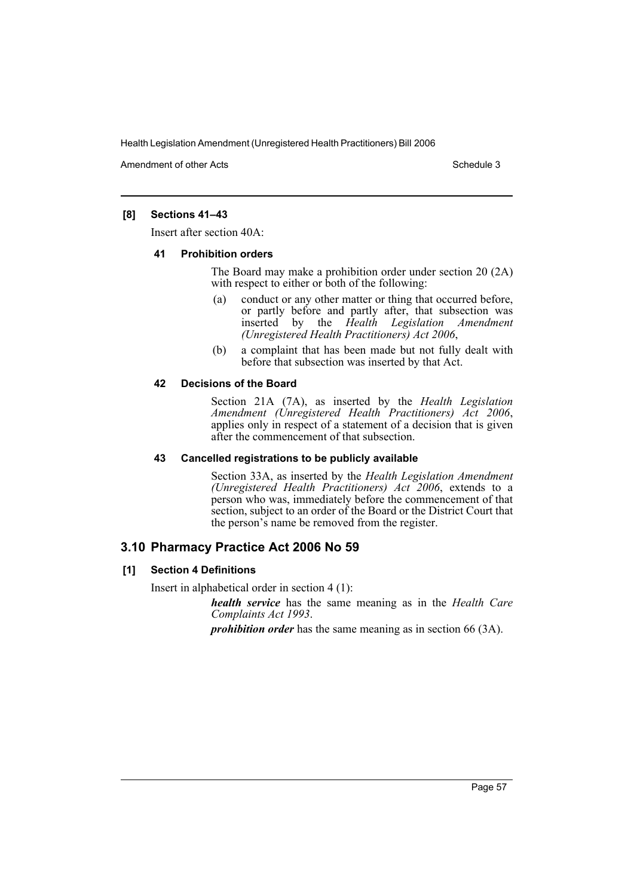Amendment of other Acts **Schedule 3** and the 3 schedule 3

### **[8] Sections 41–43**

Insert after section 40A:

#### **41 Prohibition orders**

The Board may make a prohibition order under section 20 (2A) with respect to either or both of the following:

- (a) conduct or any other matter or thing that occurred before, or partly before and partly after, that subsection was inserted by the *Health Legislation Amendment (Unregistered Health Practitioners) Act 2006*,
- (b) a complaint that has been made but not fully dealt with before that subsection was inserted by that Act.

#### **42 Decisions of the Board**

Section 21A (7A), as inserted by the *Health Legislation* applies only in respect of a statement of a decision that is given after the commencement of that subsection.

#### **43 Cancelled registrations to be publicly available**

Section 33A, as inserted by the *Health Legislation Amendment (Unregistered Health Practitioners) Act 2006*, extends to a person who was, immediately before the commencement of that section, subject to an order of the Board or the District Court that the person's name be removed from the register.

# **3.10 Pharmacy Practice Act 2006 No 59**

### **[1] Section 4 Definitions**

Insert in alphabetical order in section 4 (1):

*health service* has the same meaning as in the *Health Care Complaints Act 1993*.

*prohibition order* has the same meaning as in section 66 (3A).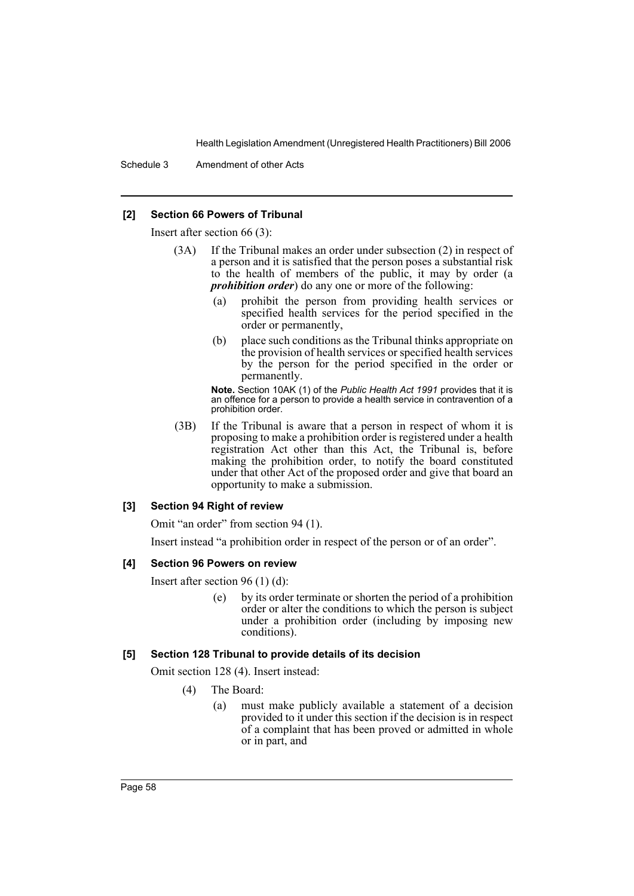Schedule 3 Amendment of other Acts

#### **[2] Section 66 Powers of Tribunal**

Insert after section 66 (3):

- (3A) If the Tribunal makes an order under subsection (2) in respect of a person and it is satisfied that the person poses a substantial risk to the health of members of the public, it may by order (a *prohibition order*) do any one or more of the following:
	- (a) prohibit the person from providing health services or specified health services for the period specified in the order or permanently,
	- (b) place such conditions as the Tribunal thinks appropriate on the provision of health services or specified health services by the person for the period specified in the order or permanently.

**Note.** Section 10AK (1) of the *Public Health Act 1991* provides that it is an offence for a person to provide a health service in contravention of a prohibition order.

(3B) If the Tribunal is aware that a person in respect of whom it is proposing to make a prohibition order is registered under a health registration Act other than this Act, the Tribunal is, before making the prohibition order, to notify the board constituted under that other Act of the proposed order and give that board an opportunity to make a submission.

#### **[3] Section 94 Right of review**

Omit "an order" from section 94 (1).

Insert instead "a prohibition order in respect of the person or of an order".

#### **[4] Section 96 Powers on review**

Insert after section 96 (1) (d):

(e) by its order terminate or shorten the period of a prohibition order or alter the conditions to which the person is subject under a prohibition order (including by imposing new conditions).

#### **[5] Section 128 Tribunal to provide details of its decision**

Omit section 128 (4). Insert instead:

- (4) The Board:
	- (a) must make publicly available a statement of a decision provided to it under this section if the decision is in respect of a complaint that has been proved or admitted in whole or in part, and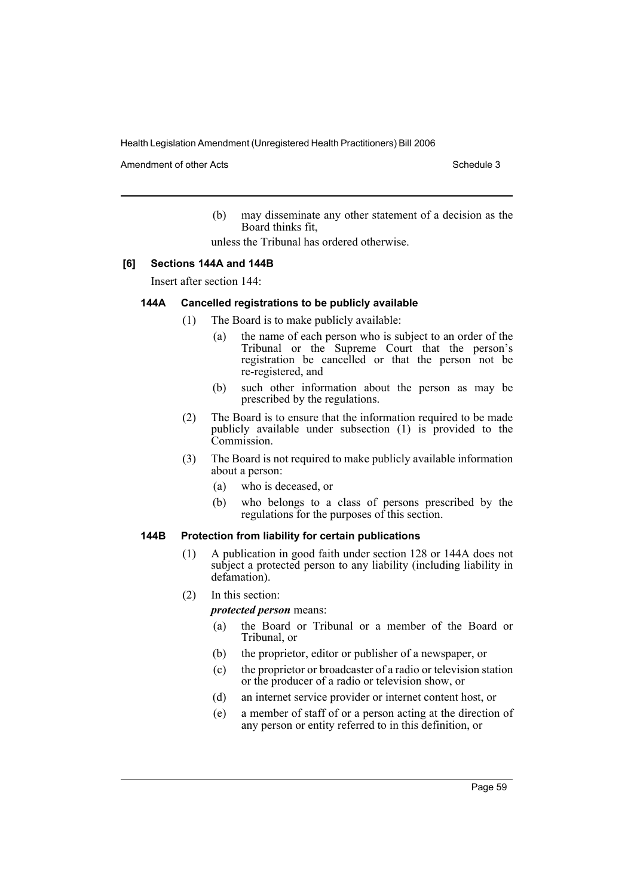Amendment of other Acts **Schedule 3** and the 3 set of the 3 set of the 3 set of the 3 set of the 3 set of the 3 set of the 3 set of the 3 set of the 3 set of the 3 set of the 3 set of the 3 set of the 3 set of the 3 set of

(b) may disseminate any other statement of a decision as the Board thinks fit,

unless the Tribunal has ordered otherwise.

### **[6] Sections 144A and 144B**

Insert after section 144:

#### **144A Cancelled registrations to be publicly available**

- (1) The Board is to make publicly available:
	- (a) the name of each person who is subject to an order of the Tribunal or the Supreme Court that the person's registration be cancelled or that the person not be re-registered, and
	- (b) such other information about the person as may be prescribed by the regulations.
	- (2) The Board is to ensure that the information required to be made publicly available under subsection (1) is provided to the Commission.
	- (3) The Board is not required to make publicly available information about a person:
		- (a) who is deceased, or
		- (b) who belongs to a class of persons prescribed by the regulations for the purposes of this section.

#### **144B Protection from liability for certain publications**

- (1) A publication in good faith under section 128 or 144A does not subject a protected person to any liability (including liability in defamation).
- (2) In this section:

*protected person* means:

- (a) the Board or Tribunal or a member of the Board or Tribunal, or
- (b) the proprietor, editor or publisher of a newspaper, or
- (c) the proprietor or broadcaster of a radio or television station or the producer of a radio or television show, or
- (d) an internet service provider or internet content host, or
- (e) a member of staff of or a person acting at the direction of any person or entity referred to in this definition, or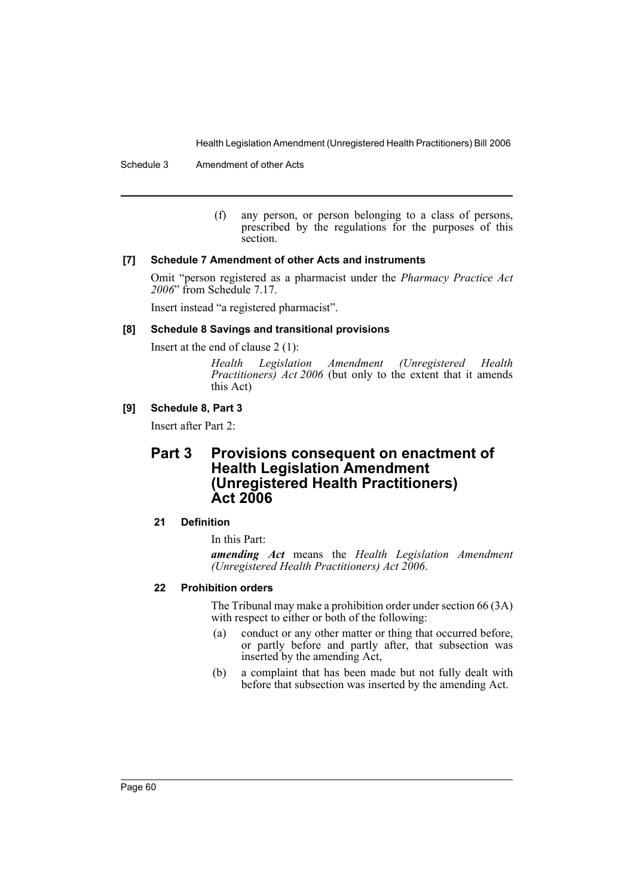Schedule 3 Amendment of other Acts

(f) any person, or person belonging to a class of persons, prescribed by the regulations for the purposes of this section.

### **[7] Schedule 7 Amendment of other Acts and instruments**

Omit "person registered as a pharmacist under the *Pharmacy Practice Act 2006*" from Schedule 7.17.

Insert instead "a registered pharmacist".

### **[8] Schedule 8 Savings and transitional provisions**

Insert at the end of clause 2 (1):

*Health Legislation Amendment (Unregistered Health Practitioners) Act 2006* (but only to the extent that it amends this Act)

## **[9] Schedule 8, Part 3**

Insert after Part 2:

# **Part 3 Provisions consequent on enactment of Health Legislation Amendment (Unregistered Health Practitioners) Act 2006**

## **21 Definition**

In this Part:

*amending Act* means the *Health Legislation Amendment (Unregistered Health Practitioners) Act 2006*.

### **22 Prohibition orders**

The Tribunal may make a prohibition order under section 66 (3A) with respect to either or both of the following:

- (a) conduct or any other matter or thing that occurred before, or partly before and partly after, that subsection was inserted by the amending Act,
- (b) a complaint that has been made but not fully dealt with before that subsection was inserted by the amending Act.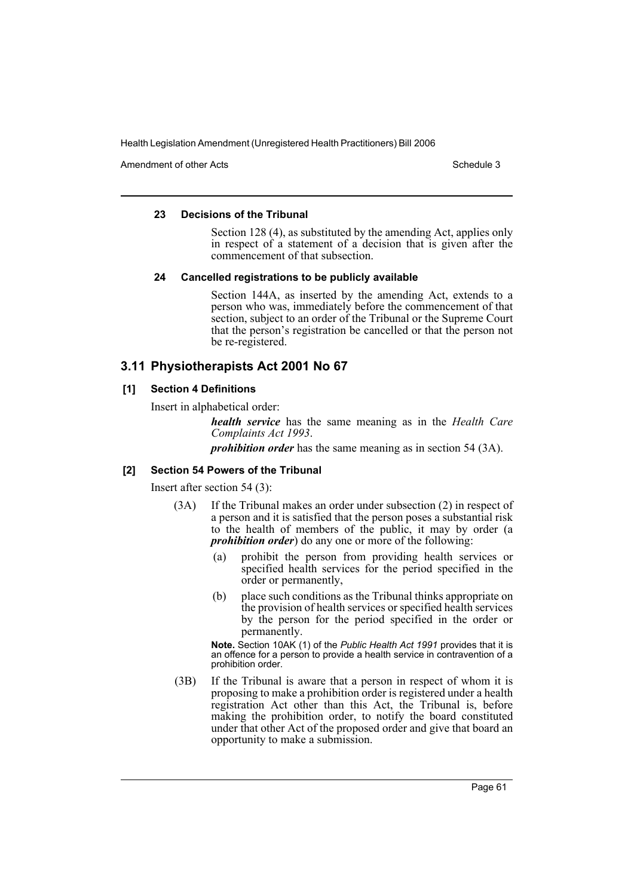Amendment of other Acts **Schedule 3** and the 3 schedule 3

#### **23 Decisions of the Tribunal**

Section 128 (4), as substituted by the amending Act, applies only in respect of a statement of a decision that is given after the commencement of that subsection.

#### **24 Cancelled registrations to be publicly available**

Section 144A, as inserted by the amending Act, extends to a person who was, immediately before the commencement of that section, subject to an order of the Tribunal or the Supreme Court that the person's registration be cancelled or that the person not be re-registered.

# **3.11 Physiotherapists Act 2001 No 67**

### **[1] Section 4 Definitions**

Insert in alphabetical order:

*health service* has the same meaning as in the *Health Care Complaints Act 1993*.

*prohibition order* has the same meaning as in section 54 (3A).

### **[2] Section 54 Powers of the Tribunal**

Insert after section 54 (3):

- (3A) If the Tribunal makes an order under subsection (2) in respect of a person and it is satisfied that the person poses a substantial risk to the health of members of the public, it may by order (a *prohibition order*) do any one or more of the following:
	- (a) prohibit the person from providing health services or specified health services for the period specified in the order or permanently,
	- (b) place such conditions as the Tribunal thinks appropriate on the provision of health services or specified health services by the person for the period specified in the order or permanently.

**Note.** Section 10AK (1) of the *Public Health Act 1991* provides that it is an offence for a person to provide a health service in contravention of a prohibition order.

(3B) If the Tribunal is aware that a person in respect of whom it is proposing to make a prohibition order is registered under a health registration Act other than this Act, the Tribunal is, before making the prohibition order, to notify the board constituted under that other Act of the proposed order and give that board an opportunity to make a submission.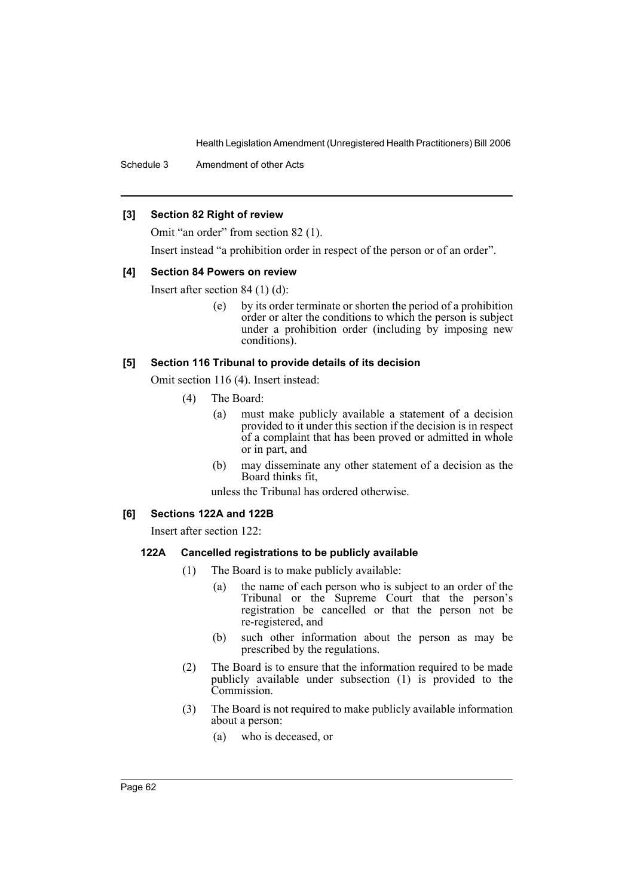Schedule 3 Amendment of other Acts

### **[3] Section 82 Right of review**

Omit "an order" from section 82 (1).

Insert instead "a prohibition order in respect of the person or of an order".

#### **[4] Section 84 Powers on review**

Insert after section 84 (1) (d):

(e) by its order terminate or shorten the period of a prohibition order or alter the conditions to which the person is subject under a prohibition order (including by imposing new conditions).

### **[5] Section 116 Tribunal to provide details of its decision**

Omit section 116 (4). Insert instead:

- (4) The Board:
	- (a) must make publicly available a statement of a decision provided to it under this section if the decision is in respect of a complaint that has been proved or admitted in whole or in part, and
	- (b) may disseminate any other statement of a decision as the Board thinks fit,

unless the Tribunal has ordered otherwise.

#### **[6] Sections 122A and 122B**

Insert after section 122:

### **122A Cancelled registrations to be publicly available**

- (1) The Board is to make publicly available:
	- (a) the name of each person who is subject to an order of the Tribunal or the Supreme Court that the person's registration be cancelled or that the person not be re-registered, and
	- (b) such other information about the person as may be prescribed by the regulations.
- (2) The Board is to ensure that the information required to be made publicly available under subsection (1) is provided to the Commission.
- (3) The Board is not required to make publicly available information about a person:
	- (a) who is deceased, or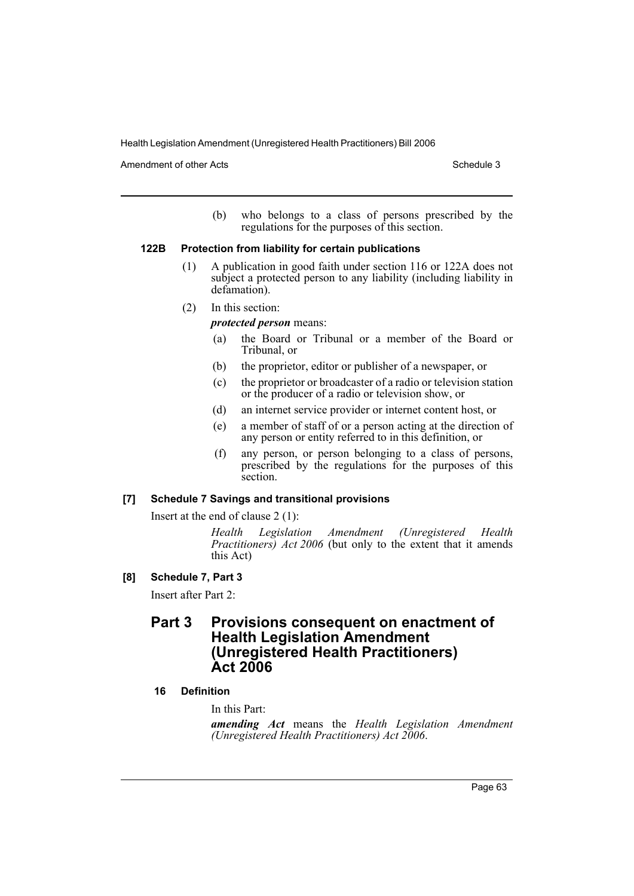Amendment of other Acts **Schedule 3** and the 3 schedule 3

(b) who belongs to a class of persons prescribed by the regulations for the purposes of this section.

#### **122B Protection from liability for certain publications**

- (1) A publication in good faith under section 116 or 122A does not subject a protected person to any liability (including liability in defamation).
- (2) In this section:

### *protected person* means:

- (a) the Board or Tribunal or a member of the Board or Tribunal, or
- (b) the proprietor, editor or publisher of a newspaper, or
- (c) the proprietor or broadcaster of a radio or television station or the producer of a radio or television show, or
- (d) an internet service provider or internet content host, or
- (e) a member of staff of or a person acting at the direction of any person or entity referred to in this definition, or
- (f) any person, or person belonging to a class of persons, prescribed by the regulations for the purposes of this section.

### **[7] Schedule 7 Savings and transitional provisions**

Insert at the end of clause 2 (1):

*Health Legislation Amendment (Unregistered Health Practitioners) Act 2006* (but only to the extent that it amends this Act)

**[8] Schedule 7, Part 3**

Insert after Part 2:

# **Part 3 Provisions consequent on enactment of Health Legislation Amendment (Unregistered Health Practitioners) Act 2006**

### **16 Definition**

In this Part:

*amending Act* means the *Health Legislation Amendment (Unregistered Health Practitioners) Act 2006*.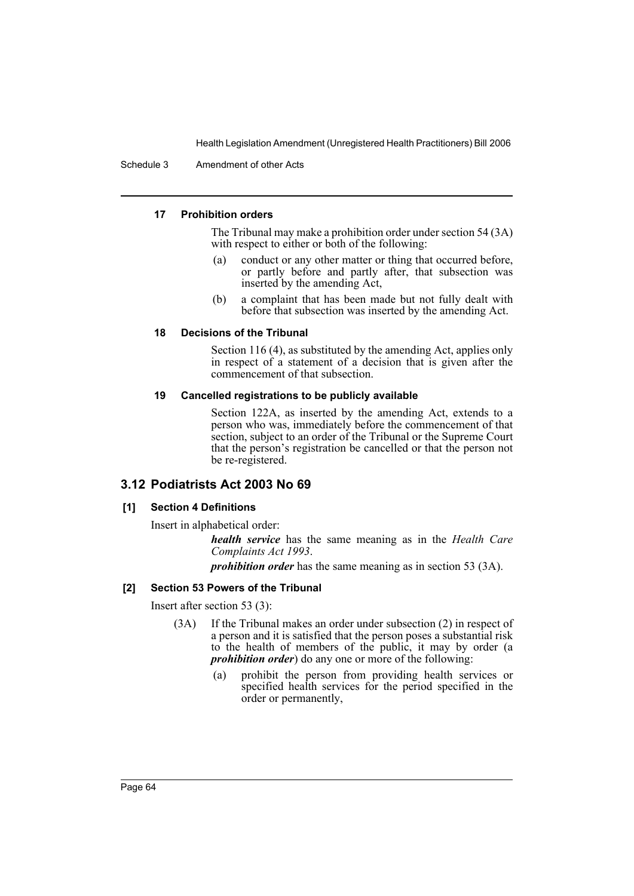Schedule 3 Amendment of other Acts

### **17 Prohibition orders**

The Tribunal may make a prohibition order under section 54 (3A) with respect to either or both of the following:

- (a) conduct or any other matter or thing that occurred before, or partly before and partly after, that subsection was inserted by the amending Act,
- (b) a complaint that has been made but not fully dealt with before that subsection was inserted by the amending Act.

### **18 Decisions of the Tribunal**

Section 116 (4), as substituted by the amending Act, applies only in respect of a statement of a decision that is given after the commencement of that subsection.

#### **19 Cancelled registrations to be publicly available**

Section 122A, as inserted by the amending Act, extends to a person who was, immediately before the commencement of that section, subject to an order of the Tribunal or the Supreme Court that the person's registration be cancelled or that the person not be re-registered.

## **3.12 Podiatrists Act 2003 No 69**

### **[1] Section 4 Definitions**

Insert in alphabetical order:

*health service* has the same meaning as in the *Health Care Complaints Act 1993*.

*prohibition order* has the same meaning as in section 53 (3A).

### **[2] Section 53 Powers of the Tribunal**

Insert after section 53 (3):

- (3A) If the Tribunal makes an order under subsection (2) in respect of a person and it is satisfied that the person poses a substantial risk to the health of members of the public, it may by order (a *prohibition order*) do any one or more of the following:
	- (a) prohibit the person from providing health services or specified health services for the period specified in the order or permanently,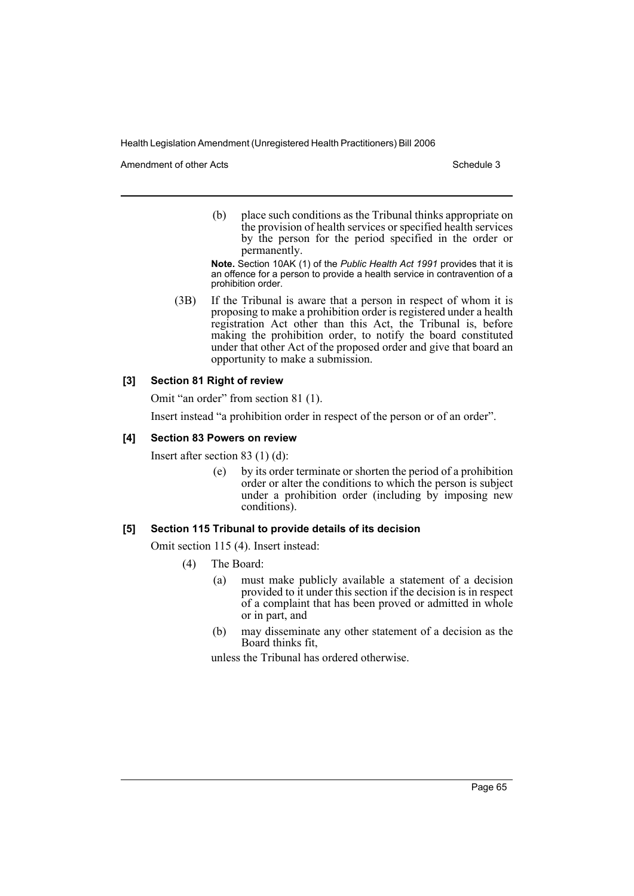Amendment of other Acts **Schedule 3** and the 3 schedule 3

(b) place such conditions as the Tribunal thinks appropriate on the provision of health services or specified health services by the person for the period specified in the order or permanently.

**Note.** Section 10AK (1) of the *Public Health Act 1991* provides that it is an offence for a person to provide a health service in contravention of a prohibition order.

(3B) If the Tribunal is aware that a person in respect of whom it is proposing to make a prohibition order is registered under a health registration Act other than this Act, the Tribunal is, before making the prohibition order, to notify the board constituted under that other Act of the proposed order and give that board an opportunity to make a submission.

### **[3] Section 81 Right of review**

Omit "an order" from section 81 (1).

Insert instead "a prohibition order in respect of the person or of an order".

#### **[4] Section 83 Powers on review**

Insert after section 83 (1) (d):

(e) by its order terminate or shorten the period of a prohibition order or alter the conditions to which the person is subject under a prohibition order (including  $b\dot{y}$  imposing new conditions).

#### **[5] Section 115 Tribunal to provide details of its decision**

Omit section 115 (4). Insert instead:

- (4) The Board:
	- (a) must make publicly available a statement of a decision provided to it under this section if the decision is in respect of a complaint that has been proved or admitted in whole or in part, and
	- (b) may disseminate any other statement of a decision as the Board thinks fit,

unless the Tribunal has ordered otherwise.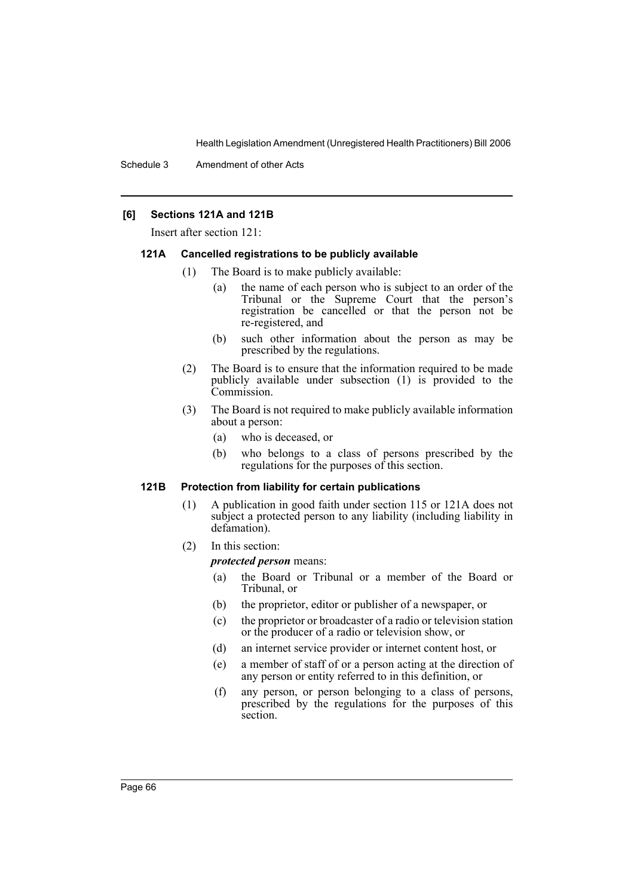#### **[6] Sections 121A and 121B**

Insert after section 121:

#### **121A Cancelled registrations to be publicly available**

- (1) The Board is to make publicly available:
	- (a) the name of each person who is subject to an order of the Tribunal or the Supreme Court that the person's registration be cancelled or that the person not be re-registered, and
	- (b) such other information about the person as may be prescribed by the regulations.
- (2) The Board is to ensure that the information required to be made publicly available under subsection (1) is provided to the Commission.
- (3) The Board is not required to make publicly available information about a person:
	- (a) who is deceased, or
	- (b) who belongs to a class of persons prescribed by the regulations for the purposes of this section.

#### **121B Protection from liability for certain publications**

- (1) A publication in good faith under section 115 or 121A does not subject a protected person to any liability (including liability in defamation).
- (2) In this section:

*protected person* means:

- (a) the Board or Tribunal or a member of the Board or Tribunal, or
- (b) the proprietor, editor or publisher of a newspaper, or
- (c) the proprietor or broadcaster of a radio or television station or the producer of a radio or television show, or
- (d) an internet service provider or internet content host, or
- (e) a member of staff of or a person acting at the direction of any person or entity referred to in this definition, or
- (f) any person, or person belonging to a class of persons, prescribed by the regulations for the purposes of this section.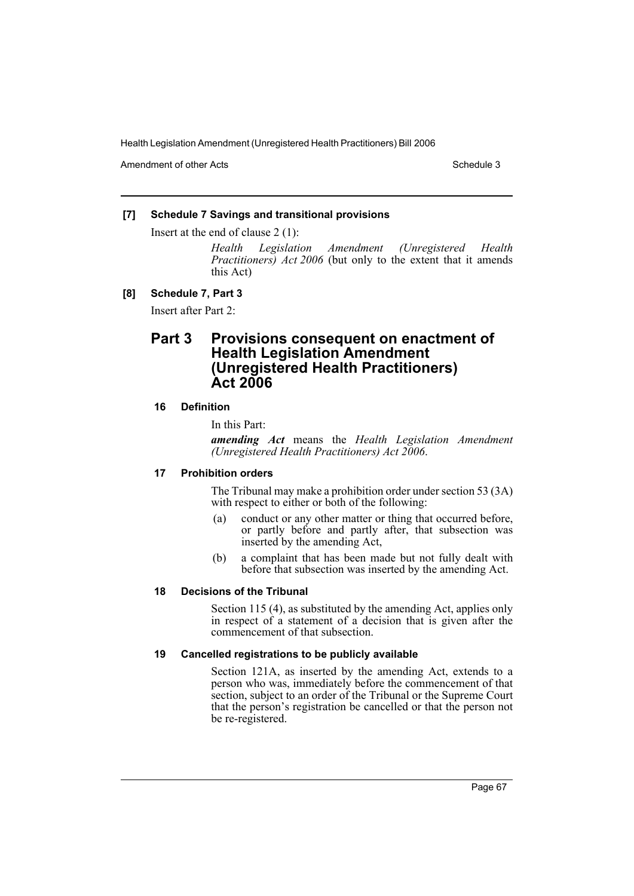Amendment of other Acts **Schedule 3** and the 3 schedule 3

### **[7] Schedule 7 Savings and transitional provisions**

Insert at the end of clause 2 (1):

*Health Legislation Amendment (Unregistered Health Practitioners) Act 2006* (but only to the extent that it amends this Act)

### **[8] Schedule 7, Part 3**

Insert after Part 2:

# **Part 3 Provisions consequent on enactment of Health Legislation Amendment (Unregistered Health Practitioners) Act 2006**

## **16 Definition**

In this Part:

*amending Act* means the *Health Legislation Amendment (Unregistered Health Practitioners) Act 2006*.

### **17 Prohibition orders**

The Tribunal may make a prohibition order under section 53 (3A) with respect to either or both of the following:

- (a) conduct or any other matter or thing that occurred before, or partly before and partly after, that subsection was inserted by the amending Act,
- (b) a complaint that has been made but not fully dealt with before that subsection was inserted by the amending Act.

### **18 Decisions of the Tribunal**

Section 115 (4), as substituted by the amending Act, applies only in respect of a statement of a decision that is given after the commencement of that subsection.

### **19 Cancelled registrations to be publicly available**

Section 121A, as inserted by the amending Act, extends to a person who was, immediately before the commencement of that section, subject to an order of the Tribunal or the Supreme Court that the person's registration be cancelled or that the person not be re-registered.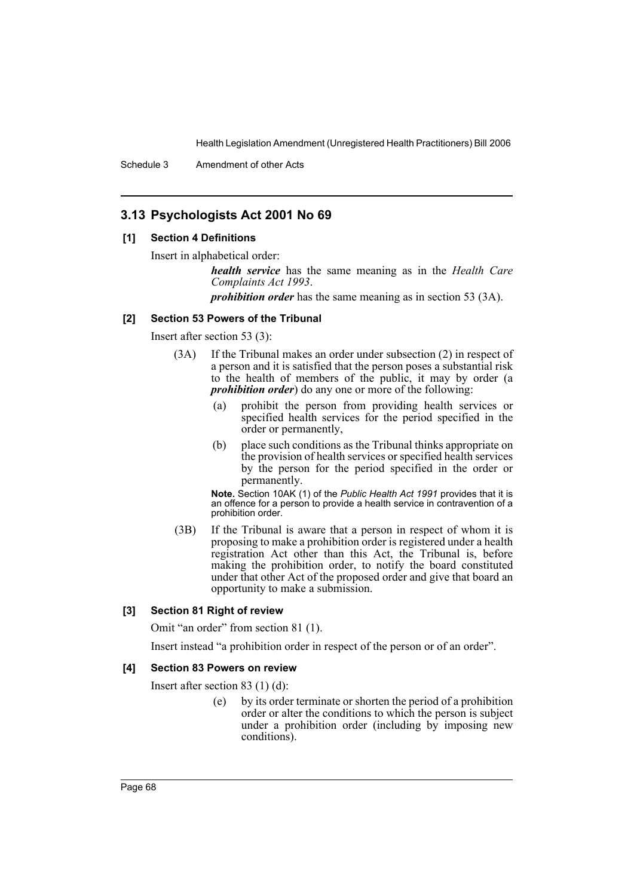Schedule 3 Amendment of other Acts

# **3.13 Psychologists Act 2001 No 69**

### **[1] Section 4 Definitions**

Insert in alphabetical order:

*health service* has the same meaning as in the *Health Care Complaints Act 1993*.

*prohibition order* has the same meaning as in section 53 (3A).

### **[2] Section 53 Powers of the Tribunal**

Insert after section 53 (3):

- (3A) If the Tribunal makes an order under subsection (2) in respect of a person and it is satisfied that the person poses a substantial risk to the health of members of the public, it may by order (a *prohibition order*) do any one or more of the following:
	- (a) prohibit the person from providing health services or specified health services for the period specified in the order or permanently,
	- (b) place such conditions as the Tribunal thinks appropriate on the provision of health services or specified health services by the person for the period specified in the order or permanently.

**Note.** Section 10AK (1) of the *Public Health Act 1991* provides that it is an offence for a person to provide a health service in contravention of a prohibition order.

(3B) If the Tribunal is aware that a person in respect of whom it is proposing to make a prohibition order is registered under a health registration Act other than this Act, the Tribunal is, before making the prohibition order, to notify the board constituted under that other Act of the proposed order and give that board an opportunity to make a submission.

### **[3] Section 81 Right of review**

Omit "an order" from section 81 (1).

Insert instead "a prohibition order in respect of the person or of an order".

#### **[4] Section 83 Powers on review**

Insert after section 83 (1) (d):

(e) by its order terminate or shorten the period of a prohibition order or alter the conditions to which the person is subject under a prohibition order (including by imposing new conditions).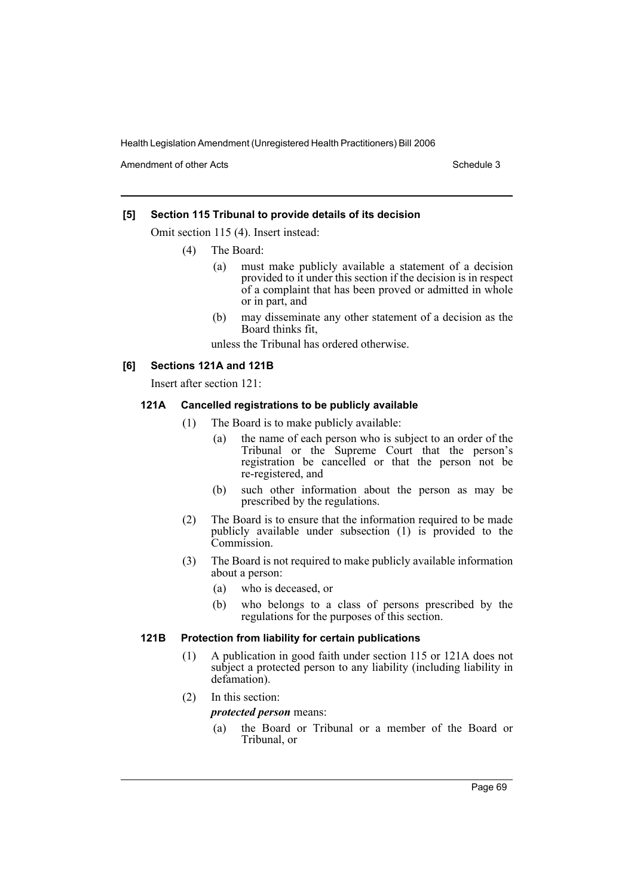Amendment of other Acts **Schedule 3** and the 3 schedule 3

### **[5] Section 115 Tribunal to provide details of its decision**

Omit section 115 (4). Insert instead:

- (4) The Board:
	- (a) must make publicly available a statement of a decision provided to it under this section if the decision is in respect of a complaint that has been proved or admitted in whole or in part, and
	- (b) may disseminate any other statement of a decision as the Board thinks fit,

unless the Tribunal has ordered otherwise.

#### **[6] Sections 121A and 121B**

Insert after section 121:

### **121A Cancelled registrations to be publicly available**

- (1) The Board is to make publicly available:
	- (a) the name of each person who is subject to an order of the Tribunal or the Supreme Court that the person's registration be cancelled or that the person not be re-registered, and
	- (b) such other information about the person as may be prescribed by the regulations.
- (2) The Board is to ensure that the information required to be made publicly available under subsection (1) is provided to the Commission.
- (3) The Board is not required to make publicly available information about a person:
	- (a) who is deceased, or
	- (b) who belongs to a class of persons prescribed by the regulations for the purposes of this section.

### **121B Protection from liability for certain publications**

- (1) A publication in good faith under section 115 or 121A does not subject a protected person to any liability (including liability in defamation).
- (2) In this section:

*protected person* means:

(a) the Board or Tribunal or a member of the Board or Tribunal, or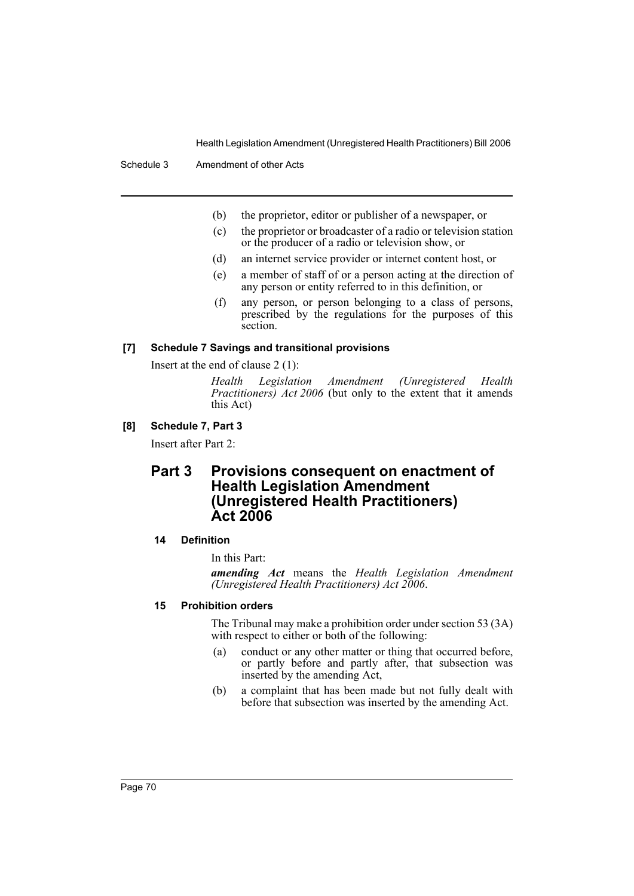- (b) the proprietor, editor or publisher of a newspaper, or
- (c) the proprietor or broadcaster of a radio or television station or the producer of a radio or television show, or
- (d) an internet service provider or internet content host, or
- (e) a member of staff of or a person acting at the direction of any person or entity referred to in this definition, or
- (f) any person, or person belonging to a class of persons, prescribed by the regulations for the purposes of this section.

#### **[7] Schedule 7 Savings and transitional provisions**

Insert at the end of clause 2 (1):

*Health Legislation Amendment (Unregistered Health Practitioners) Act 2006* (but only to the extent that it amends this Act)

#### **[8] Schedule 7, Part 3**

Insert after Part 2:

# **Part 3 Provisions consequent on enactment of Health Legislation Amendment (Unregistered Health Practitioners) Act 2006**

#### **14 Definition**

In this Part:

*amending Act* means the *Health Legislation Amendment (Unregistered Health Practitioners) Act 2006*.

#### **15 Prohibition orders**

The Tribunal may make a prohibition order under section 53 (3A) with respect to either or both of the following:

- (a) conduct or any other matter or thing that occurred before, or partly before and partly after, that subsection was inserted by the amending Act,
- (b) a complaint that has been made but not fully dealt with before that subsection was inserted by the amending Act.